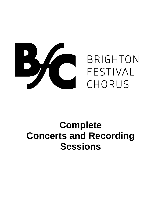

# **Complete Concerts and Recording Sessions**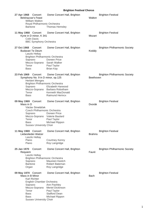| 27 Apr 1968 | Concert<br><b>Belshazzar's Feast</b><br><b>William Walton</b><br>Royal Philharmonic Orchestra<br><b>Baritone</b>                                                                                | Dome Concert Hall, Brighton<br>Thomas Hemsley                                                                                  | Walton        | <b>Brighton Festival</b>             |
|-------------|-------------------------------------------------------------------------------------------------------------------------------------------------------------------------------------------------|--------------------------------------------------------------------------------------------------------------------------------|---------------|--------------------------------------|
|             | 11 May 1968 Concert<br>Kyrie in D minor, K 341<br><b>Colin Davis</b><br><b>BBC Symphony Orchestra</b>                                                                                           | Dome Concert Hall, Brighton                                                                                                    | Mozart        | <b>Brighton Festival</b>             |
| 27 Oct 1968 | Concert<br><b>Budavari Te Deum</b><br>Laszlo Heltay<br><b>Brighton Philharmonic Orchestra</b><br>Soprano<br>Mezzo-Soprano Sarah Walker<br>Tenor<br><b>Bass</b>                                  | Dome Concert Hall, Brighton<br>Doreen Price<br>Paul Taylor<br><b>Brian Kay</b>                                                 | Kodály        | <b>Brighton Philharmonic Society</b> |
| 23 Feb 1969 | Concert<br>Symphony No. 9 in D minor, op.125<br><b>Herbert Menges</b><br><b>Brighton Philharmonic Orchestra</b><br>Soprano<br>Tenor<br><b>Bass</b>                                              | Dome Concert Hall, Brighton<br>Elizabeth Harwood<br>Mezzo-Soprano Barbara Robotham<br>Kenneth MacDonald<br>Raimund Herincx     | Beethoven     | <b>Brighton Philharmonic Society</b> |
|             | 09 May 1969 Concert<br>Mass in D<br>Václav Smetáček<br>Czech Philharmonic Orchestra<br>Soprano<br>Mezzo-Soprano Valerie Baulard<br>Tenor<br>Bass<br><b>Sussex University Choir</b>              | Dome Concert Hall, Brighton<br>Doreen Price<br>Paul Taylor<br>Michael Rippon                                                   | Dvorák        | <b>Brighton Festival</b>             |
|             | 11 May 1969 Concert<br>Liebeslieder-Walzer<br>Laszlo Heltay<br>Piano<br>Piano                                                                                                                   | Dome Concert Hall, Brighton<br><b>Courtney Kenny</b><br>Roy Langridge                                                          | <b>Brahms</b> | <b>Brighton Festival</b>             |
| 25 Jan 1970 | Concert<br>Requiem<br>Laszlo Heltay<br><b>Brighton Philharmonic Orchestra</b><br>Soprano<br><b>Baritone</b><br>Organ                                                                            | Dome Concert Hall, Brighton<br>Maureen Keetch<br>Robert Bateman<br>Roy Langridge                                               | Fauré         | <b>Brighton Philharmonic Society</b> |
|             | 09 May 1970 Concert<br>Mass in B Minor<br><b>Karl Richter</b><br>English Chamber Orchestra<br>Soprano<br>Mezzo-Soprano<br>Tenor<br><b>Bass</b><br><b>Bass</b><br><b>Sussex University Choir</b> | Dome Concert Hall, Brighton<br>Ann Pashley<br><b>Meriel Dickinson</b><br>Paul Taylor<br><b>Stafford Dean</b><br>Michael Rippon | <b>Bach</b>   | <b>Brighton Festival</b>             |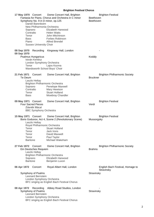| 17 May 1970 Concert<br>Symphony No. 9 in D minor, op.125<br>Daniel Barenboim<br>New Philharmonia Orchestra<br>Soprano<br>Contralto<br>Tenor<br>Bass<br>Piano<br><b>Sussex University Choir</b> | Dome Concert Hall, Brighton<br>Fantasia for Piano, Chorus and Orchestra in C minor<br>Elizabeth Harwood<br><b>Helen Watts</b><br>John Mitchinson<br>Forbes Robinson<br><b>Alfred Brendel</b> | <b>Brighton Festival</b><br>Beethoven<br>Beethoven      |
|------------------------------------------------------------------------------------------------------------------------------------------------------------------------------------------------|----------------------------------------------------------------------------------------------------------------------------------------------------------------------------------------------|---------------------------------------------------------|
| 08 Sep 1970 Recording<br>09 Sep 1970<br><b>Psalmus Hungaricus</b>                                                                                                                              | Kingsway Hall, London                                                                                                                                                                        | Kodály                                                  |
| István Kertész<br>London Symphony Orchestra<br>Tenor                                                                                                                                           | Lajos Kozma<br>Wandsworth School Boys' Choir                                                                                                                                                 |                                                         |
| 21 Feb 1971 Concert<br>Te Deum<br>Laszlo Heltay                                                                                                                                                | Dome Concert Hall, Brighton                                                                                                                                                                  | <b>Brighton Philharmonic Society</b><br><b>Bruckner</b> |
| Soprano                                                                                                                                                                                        | <b>Brighton Philharmonic Orchestra</b><br>Penelope Maxwell                                                                                                                                   |                                                         |
| Contralto                                                                                                                                                                                      | Mary Hewison                                                                                                                                                                                 |                                                         |
| Tenor<br>Bass                                                                                                                                                                                  | <b>Stuart Holland</b><br>Mowbray Chandler                                                                                                                                                    |                                                         |
| 09 May 1971 Concert<br><b>Four Sacred Pieces</b><br>Zdeněk Mácal<br><b>BBC Symphony Orchestra</b>                                                                                              | Dome Concert Hall, Brighton                                                                                                                                                                  | <b>Brighton Festival</b><br>Verdi                       |
|                                                                                                                                                                                                |                                                                                                                                                                                              |                                                         |
| Laszlo Heltay                                                                                                                                                                                  | 15 May 1971 Concert Dome Concert Hall, Brighton<br>Boris Godunov, Act 4, Scene 2 (Revolutionary Scene)                                                                                       | <b>Brighton Festival</b><br>Mussorgsky                  |
|                                                                                                                                                                                                | Royal Philharmonic Orchestra                                                                                                                                                                 |                                                         |
| Tenor<br>Tenor                                                                                                                                                                                 | <b>Stuart Holland</b><br>Jack Irons                                                                                                                                                          |                                                         |
| Tenor                                                                                                                                                                                          | David Maxwell                                                                                                                                                                                |                                                         |
| Tenor                                                                                                                                                                                          | Paul Taylor                                                                                                                                                                                  |                                                         |
| <b>Baritone</b>                                                                                                                                                                                | Michael Wakeham                                                                                                                                                                              |                                                         |
| 27 Feb 1972<br>Concert<br>Ein Deutsches Requiem<br>Laszlo Heltay                                                                                                                               | Dome Concert Hall, Brighton                                                                                                                                                                  | <b>Brighton Philharmonic Society</b><br><b>Brahms</b>   |
|                                                                                                                                                                                                | Brighton Philharmonic Orchestra                                                                                                                                                              |                                                         |
| Soprano<br><b>Baritone</b>                                                                                                                                                                     | Elizabeth Harwood<br>Benjamin Luxon                                                                                                                                                          |                                                         |
|                                                                                                                                                                                                |                                                                                                                                                                                              |                                                         |
| 06 Apr 1972<br>Concert                                                                                                                                                                         | Royal Albert Hall, London                                                                                                                                                                    | English Bach Festival, Homage to<br>Stravinsky          |
| Symphony of Psalms                                                                                                                                                                             |                                                                                                                                                                                              | Stravinsky                                              |
| <b>Leonard Bernstein</b><br>London Symphony Orchestra                                                                                                                                          |                                                                                                                                                                                              |                                                         |
|                                                                                                                                                                                                | BFC singing as English Bach Festival Chorus                                                                                                                                                  |                                                         |
| 08 Apr 1972<br>Recording                                                                                                                                                                       | Abbey Road Studios, London                                                                                                                                                                   |                                                         |
| Symphony of Psalms                                                                                                                                                                             |                                                                                                                                                                                              | Stravinsky                                              |
| Leonard Bernstein<br>London Symphony Orchestra                                                                                                                                                 |                                                                                                                                                                                              |                                                         |
|                                                                                                                                                                                                | BFC singing as English Bach Festival Chorus                                                                                                                                                  |                                                         |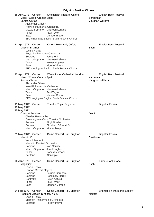| 18 Apr 1972 Concert<br>Mass: "Come, Creator Spirit"<br>Sancta Civitas<br>Alexander Gibson<br>New Philharmonia Orchestra<br>Tenor<br>Bass        | Sheldonian Theatre, Oxford<br>Mezzo-Soprano Maureen Lehane<br>Paul Taylor<br>Michael Rippon<br>BFC singing as English Bach Festival Chorus                      | Yardumian<br>Vaughan Williams | English Bach Festival                |
|-------------------------------------------------------------------------------------------------------------------------------------------------|-----------------------------------------------------------------------------------------------------------------------------------------------------------------|-------------------------------|--------------------------------------|
| 21 Apr 1972 Concert<br>Mass in B Minor<br>Laszlo Heltay<br>Royal Philharmonic Orchestra<br>Soprano<br>Tenor<br><b>Bass</b>                      | Oxford Town Hall, Oxford<br>Jenny Hill<br>Mezzo-Soprano Maureen Lehane<br>Heiner Hopfner<br><b>Nigel Wickens</b><br>BFC singing as English Bach Festival Chorus | <b>Bach</b>                   | English Bach Festival                |
| 27 Apr 1972 Concert<br>Mass: "Come, Creator Spirit"<br>Sancta Civitas<br>Alexander Gibson<br>New Philharmonia Orchestra<br>Tenor<br><b>Bass</b> | Westminster Cathedral, London<br>Mezzo-Soprano Maureen Lehane<br>Paul Taylor<br>Michael Rippon<br>BFC singing as English Bach Festival Chorus                   | Yardumian<br>Vaughan Williams | English Bach Festival                |
| 11 May 1972 Concert<br>13 May 1972<br>15 May 1972<br>Orfeo et Euridice<br><b>Charles Farncombe</b><br>Soprano<br>Soprano<br>Mezzo-Soprano       | Theatre Royal, Brighton<br>Drottningholm Court Theatre Orchestra<br><b>Birgit Nordin</b><br>Elizabeth Söderström<br>Kirsten Meyer                               | Gluck                         | <b>Brighton Festival</b>             |
| 21 May 1972 Concert<br>Mass in C<br>Yehudi Menuhin<br><b>Menuhin Festival Orchestra</b><br>Soprano<br>Mezzo-Soprano<br>Tenor<br><b>Baritone</b> | Dome Concert Hall, Brighton<br>Nan Christie<br>Janet Hughes<br><b>Ronald Murdock</b><br>Alan Opie                                                               | Beethoven                     | <b>Brighton Festival</b>             |
| 08 Jan 1973<br>Concert<br>Magnificat<br>Laszlo Heltay<br><b>London Mozart Players</b><br>Soprano<br>Soprano<br>Contralto<br>Tenor<br>Bass       | Dome Concert Hall, Brighton<br>Patricia Garnham<br><b>Rosemary Hardy</b><br><b>Helen Attfield</b><br>Paul Taylor<br>Stephen Varcoe                              | <b>Bach</b>                   | Fanfare for Europe                   |
| 04 Feb 1973 Concert<br>Requiem Mass in D minor, K 626<br>Laszlo Heltay<br><b>Brighton Philharmonic Orchestra</b><br>Soprano                     | Dome Concert Hall, Brighton<br><b>Felicity Palmer</b>                                                                                                           | Mozart                        | <b>Brighton Philharmonic Society</b> |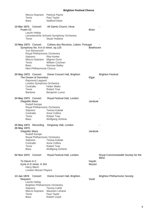| Tenor<br>Bass                                                                                                                                                                                   | Mezzo-Soprano Patricia Payne<br>Paul Taylor<br><b>Stafford Dean</b>                                                                            |                 |                                                    |
|-------------------------------------------------------------------------------------------------------------------------------------------------------------------------------------------------|------------------------------------------------------------------------------------------------------------------------------------------------|-----------------|----------------------------------------------------|
| 10 Mar 1973 Concert<br>Psalm 23<br>Laszlo Heltay<br>Tenor                                                                                                                                       | All Saints Church, Hove<br>Leicestershire Schools Symphony Orchestra<br><b>Stuart Holland</b>                                                  | <b>Brian</b>    |                                                    |
| 10 May 1973 Concert<br>Symphony No. 9 in D minor, op.125<br>Yuri Ahronovich<br>Royal Philharmonic Orchestra<br>Soprano<br>Mezzo-Soprano Mignon Dunn<br>Tenor<br>Bass<br>New Philharmonia Chorus | Coliseu dos Recreios, Lisbon, Portugal<br><b>Rita Hunter</b><br>William Cochran<br>Norman Bailey                                               | Beethoven       |                                                    |
| 20 May 1973 Concert<br>The Dream of Gerontius<br>Raymond Leppard<br>London Symphony Orchestra<br>Contralto<br>Tenor<br><b>Baritone</b>                                                          | Dome Concert Hall, Brighton<br><b>Helen Watts</b><br><b>Robert Tear</b><br>Benjamin Luxon                                                      | Elgar           | <b>Brighton Festival</b>                           |
| 24 May 1973 Concert<br><b>Glagolitic Mass</b><br>Rudolf Kempe<br>Royal Philharmonic Orchestra<br>Soprano<br>Contralto<br>Tenor<br><b>Bass</b>                                                   | Royal Festival Hall, London<br><b>Teresa Kubiak</b><br><b>Anne Collins</b><br><b>Robert Tear</b><br>Wolfgang Schöne                            | Janácek         |                                                    |
| 25 May 1973 Recording<br>26 May 1973<br><b>Glagolitic Mass</b><br>Rudolf Kempe<br>Royal Philharmonic Orchestra<br>Soprano<br>Contralto<br>Tenor<br><b>Bass</b>                                  | Kingsway Hall, London<br><b>Teresa Kubiak</b><br><b>Anne Collins</b><br><b>Robert Tear</b><br>Wolfgang Schöne                                  | Janácek         |                                                    |
| 02 Nov 1973 Concert<br>Te Deum in C<br>Kyrie in D minor, K 341<br>Harry Blech<br><b>London Mozart Players</b>                                                                                   | Royal Festival Hall, London                                                                                                                    | Haydn<br>Mozart | Royal Commonwealth Society for the<br><b>Blind</b> |
| 13 Jan 1974<br>Concert<br>Requiem<br>Laszlo Heltay<br>Soprano<br>Mezzo-Soprano<br>Tenor<br><b>Bass</b>                                                                                          | Dome Concert Hall, Brighton<br><b>Brighton Philharmonic Orchestra</b><br><b>Teresa Cahill</b><br>Maureen Lehane<br>Paul Taylor<br>Robert Lloyd | Verdi           | <b>Brighton Philharmonic Society</b>               |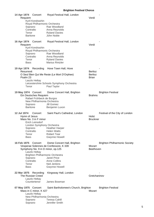| 14 Apr 1974 Concert<br>Requiem<br>Soprano<br>Contralto<br>Tenor<br><b>Baritone</b> | Kyril Kondrashin<br>Royal Philharmonic Orchestra                                 | Royal Festival Hall, London<br>Rae Woodland<br>Anna Reynolds<br><b>Ryland Davies</b><br>John Noble                                                                                                                                 | Verdi                                            |                                      |
|------------------------------------------------------------------------------------|----------------------------------------------------------------------------------|------------------------------------------------------------------------------------------------------------------------------------------------------------------------------------------------------------------------------------|--------------------------------------------------|--------------------------------------|
| 16 Apr 1974<br>Requiem<br>Soprano<br>Contralto<br>Tenor<br><b>Bass</b>             | Concert<br>Kyril Kondrashin<br>Royal Philharmonic Orchestra                      | Royal Festival Hall, London<br>Rae Woodland<br>Anna Reynolds<br><b>Ryland Davies</b><br><b>Marius Rintzler</b>                                                                                                                     | Verdi                                            |                                      |
| 19 Apr 1974 Recording<br>Resurrexit<br>Psalm 23<br>Tenor                           | Laszlo Heltay                                                                    | Hove Town Hall, Hove<br>O Seul Bien Qui Me Reste (Le Mort D'Orphee)<br>Leicestershire Schools Symphony Orchestra<br>Paul Taylor                                                                                                    | <b>Berlioz</b><br><b>Berlioz</b><br><b>Brian</b> |                                      |
| 19 May 1974 Concert<br>Soprano<br><b>Baritone</b>                                  | Ein Deutsches Requiem<br>Rafael Frühbeck de Burgos<br>New Philharmonia Orchestra | Dome Concert Hall, Brighton<br>Jill Gomez<br>Benjamin Luxon                                                                                                                                                                        | <b>Brahms</b>                                    | <b>Brighton Festival</b>             |
| 12 Jul 1974<br>Hymn of Jesus<br>Contralto<br>Tenor<br><b>Bass</b>                  | Concert<br>Mass No. 3 in F minor<br>Erich Leinsdorf<br>London Symphony Orchestra | Saint Paul's Cathedral, London<br>Soprano Heather Harper<br><b>Helen Watts</b><br><b>Robert Tear</b><br><b>Gwynne Howell</b>                                                                                                       | Holst<br><b>Bruckner</b>                         | Festival of the City of London       |
| 16 Feb 1975 Concert<br>Soprano<br>Contralto<br>Tenor<br><b>Bass</b>                | Laszlo Heltay                                                                    | Dome Concert Hall, Brighton<br>Vesperae Solennes de Confessore, K 339<br>Symphony No. 9 in D minor, op.125<br><b>Brighton Philharmonic Orchestra</b><br>Janet Price<br><b>Anne Collins</b><br>Neil Jenkins<br><b>Gwynne Howell</b> | Mozart<br>Beethoven                              | <b>Brighton Philharmonic Society</b> |
| 22 Mar 1975<br>The Russian Creed                                                   | Recording<br>Laszlo Heltay<br>Countertenor                                       | Kingsway Hall, London<br>James Bowman                                                                                                                                                                                              | Gretchaninov                                     |                                      |
| 07 May 1975 Concert<br>Soprano<br>Soprano                                          | Mass in C minor, K 427<br>Laszlo Heltay<br>New Philharmonia Orchestra            | Saint Bartholomew's Church, Brighton<br><b>Teresa Cahill</b><br>Jennifer Smith                                                                                                                                                     | Mozart                                           | <b>Brighton Festival</b>             |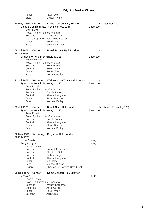|                            | Tenor<br>Bass                                                                                                                                       | Paul Taylor<br>Malcolm King                                                                                                                                        |                                        |
|----------------------------|-----------------------------------------------------------------------------------------------------------------------------------------------------|--------------------------------------------------------------------------------------------------------------------------------------------------------------------|----------------------------------------|
|                            | 18 May 1975 Concert<br>Colin Davis<br>Royal Philharmonic Orchestra<br>Soprano<br>Mezzo-Soprano<br>Tenor<br><b>Bass</b>                              | Dome Concert Hall, Brighton<br>Missa Solemnis (Mass in D major, op. 123)<br><b>Teresa Cahill</b><br>Josephine Veasey<br><b>Robert Tear</b><br><b>Gwynne Howell</b> | <b>Brighton Festival</b><br>Beethoven  |
| 08 Jul 1975<br>10 Jul 1975 | Concert<br>Symphony No. 9 in D minor, op.125<br>Rudolf Kempe<br>Royal Philharmonic Orchestra<br>Soprano<br>Contralto<br>Tenor<br>Bass               | Royal Festival Hall, London<br><b>Heather Harper</b><br><b>Helen Watts</b><br><b>Robert Tear</b><br>Norman Bailey                                                  | Beethoven                              |
| 22 Jul 1975                | Symphony No. 9 in D minor, op.125<br><b>Antal Dorati</b><br>Royal Philharmonic Orchestra<br>Soprano<br>Contralto<br>Tenor<br><b>Bass</b>            | Recording Walthamstow Town Hall, London<br><b>Carole Farley</b><br>Alfreda Hodgson<br><b>Stuart Burrows</b><br>Norman Bailey                                       | Beethoven                              |
| 23 Jul 1975                | Concert<br>Symphony No. 9 in D minor, op.125<br><b>Antal Dorati</b><br>Royal Philharmonic Orchestra<br>Soprano<br>Contralto<br>Tenor<br><b>Bass</b> | Royal Albert Hall, London<br><b>Carole Farley</b><br>Alfreda Hodgson<br><b>Stuart Burrows</b><br>Norman Bailey                                                     | Beethoven Festival (1975)<br>Beethoven |
| 22 Nov 1975<br>28 Feb 1976 | Recording<br>Missa Brevis<br>Pange Lingua<br>Laszlo Heltay<br>Soprano<br>Soprano<br>Soprano<br>Contralto<br>Tenor<br><b>Bass</b><br>Organ           | Kingsway Hall, London<br>Hannah Francis<br>Elizabeth Gale<br>Sally le Sage<br>Alfreda Hodgson<br>lan Caley<br>Michael Rippon<br>Christopher Bowers-Broadbent       | Kodály<br>Kodály                       |
| 06 Dec 1975                | Concert<br>Messiah<br>Laszlo Heltay<br>Royal Philharmonic Orchestra<br>Soprano<br>Contralto<br>Tenor<br><b>Baritone</b>                             | Dome Concert Hall, Brighton<br><b>Wendy Eathorne</b><br><b>Anne Collins</b><br>Paul Taylor<br>Alan Opie                                                            | Handel                                 |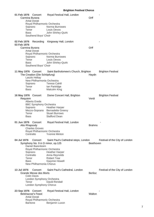| 01 Feb 1976<br>Carmina Burana<br>Tenor<br><b>Bass</b> | Concert<br><b>Antal Dorati</b><br>Royal Philharmonic Orchestra<br>Soprano<br>Southend Boys' Choir | Royal Festival Hall, London<br>Norma Burrowes<br>Louis Devos<br>John Shirley-Quirk | Orff             |                                |
|-------------------------------------------------------|---------------------------------------------------------------------------------------------------|------------------------------------------------------------------------------------|------------------|--------------------------------|
| 02 Feb 1976                                           | Recording                                                                                         | Kingsway Hall, London                                                              |                  |                                |
| 03 Feb 1976<br>Carmina Burana                         |                                                                                                   |                                                                                    | Orff             |                                |
|                                                       | <b>Antal Dorati</b>                                                                               |                                                                                    |                  |                                |
|                                                       | Royal Philharmonic Orchestra<br>Soprano                                                           | Norma Burrowes                                                                     |                  |                                |
| Tenor                                                 |                                                                                                   | Louis Devos                                                                        |                  |                                |
| <b>Bass</b>                                           |                                                                                                   | John Shirley-Quirk                                                                 |                  |                                |
|                                                       | Southend Boys' Choir                                                                              |                                                                                    |                  |                                |
| 11 May 1976 Concert                                   | The Creation (Die Schöpfung)<br>Laszlo Heltay                                                     | Saint Bartholomew's Church, Brighton                                               | Haydn            | <b>Brighton Festival</b>       |
|                                                       | New Philharmonia Orchestra<br>Soprano                                                             | <b>Teresa Cahill</b>                                                               |                  |                                |
| Tenor                                                 |                                                                                                   | lan Partridge                                                                      |                  |                                |
| Bass                                                  |                                                                                                   | Malcolm King                                                                       |                  |                                |
| 16 May 1976 Concert                                   |                                                                                                   | Dome Concert Hall, Brighton                                                        |                  | <b>Brighton Festival</b>       |
| Requiem                                               |                                                                                                   |                                                                                    | Verdi            |                                |
|                                                       | Alberto Erede<br><b>BBC Symphony Orchestra</b>                                                    |                                                                                    |                  |                                |
|                                                       | Soprano                                                                                           | <b>Heather Harper</b>                                                              |                  |                                |
|                                                       | Mezzo-Soprano                                                                                     | <b>Bernadette Greevy</b>                                                           |                  |                                |
| Tenor<br><b>Bass</b>                                  |                                                                                                   | <b>Stuart Burrows</b><br><b>Stafford Dean</b>                                      |                  |                                |
|                                                       |                                                                                                   |                                                                                    |                  |                                |
| 01 Jun 1976 Concert                                   |                                                                                                   | Royal Festival Hall, London                                                        |                  |                                |
| Alto Rhapsody                                         | <b>Charles Groves</b>                                                                             |                                                                                    | <b>Brahms</b>    |                                |
|                                                       | Royal Philharmonic Orchestra                                                                      |                                                                                    |                  |                                |
|                                                       | Contralto                                                                                         | <b>Yvonne Minton</b>                                                               |                  |                                |
| 04 Jul 1976                                           | Concert                                                                                           | Saint Paul's Cathedral steps, London                                               |                  | Festival of the City of London |
|                                                       |                                                                                                   | Symphony No. 9 in D minor, op.125                                                  | <b>Beethoven</b> |                                |
|                                                       | Daniel Barenboim                                                                                  |                                                                                    |                  |                                |
|                                                       | Royal Philharmonic Orchestra<br>Soprano                                                           | <b>Heather Harper</b>                                                              |                  |                                |
|                                                       | Contralto                                                                                         | Anna Reynolds                                                                      |                  |                                |
| Tenor                                                 |                                                                                                   | <b>Robert Tear</b>                                                                 |                  |                                |
| Bass                                                  | New Philharmonia Chorus                                                                           | <b>Gwynne Howell</b>                                                               |                  |                                |
|                                                       |                                                                                                   |                                                                                    |                  |                                |
| 13 Jul 1976                                           | Concert<br>Grande Messe des Morts                                                                 | Saint Paul's Cathedral, London                                                     | <b>Berlioz</b>   | Festival of the City of London |
|                                                       | <b>Colin Davis</b>                                                                                |                                                                                    |                  |                                |
|                                                       | London Symphony Orchestra                                                                         |                                                                                    |                  |                                |
| Tenor                                                 | <b>London Symphony Chorus</b>                                                                     | David Rendall                                                                      |                  |                                |
|                                                       |                                                                                                   |                                                                                    |                  |                                |
| 23 Sep 1976                                           | Concert                                                                                           | Royal Festival Hall, London                                                        |                  |                                |
|                                                       | <b>Belshazzar's Feast</b><br><b>Antal Dorati</b>                                                  |                                                                                    | Walton           |                                |
|                                                       | Royal Philharmonic Orchestra                                                                      |                                                                                    |                  |                                |
|                                                       | <b>Baritone</b>                                                                                   | Benjamin Luxon                                                                     |                  |                                |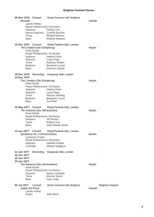| 29 Nov 1976 Concert<br>Messiah |                                                     | Dome Concert Hall, Brighton                     | Handel |                          |
|--------------------------------|-----------------------------------------------------|-------------------------------------------------|--------|--------------------------|
|                                | Laszlo Heltay                                       |                                                 |        |                          |
|                                |                                                     | Royal Philharmonic Orchestra                    |        |                          |
|                                | Soprano                                             | <b>Felicity Lott</b>                            |        |                          |
|                                |                                                     | Mezzo-Soprano Cynthia Buchan                    |        |                          |
| Tenor                          |                                                     | <b>Richard Morton</b>                           |        |                          |
| Bass                           |                                                     | Rodney Macann                                   |        |                          |
| 16 Dec 1976 Concert            |                                                     | Royal Festival Hall, London                     |        |                          |
|                                | The Creation (Die Schöpfung)                        |                                                 | Haydn  |                          |
|                                | <b>Antal Dorati</b>                                 |                                                 |        |                          |
| Soprano                        |                                                     | Royal Philharmonic Orchestra<br>Helena Döse     |        |                          |
| Soprano                        |                                                     | Lucia Popp                                      |        |                          |
| Tenor                          |                                                     | Anthony Roden                                   |        |                          |
| <b>Baritone</b>                |                                                     | Benjamin Luxon                                  |        |                          |
| Bass                           |                                                     | <b>Gwynne Howell</b>                            |        |                          |
| 18 Dec 1976 Recording          |                                                     | Kingsway Hall, London                           |        |                          |
| 19 Dec 1976                    |                                                     |                                                 |        |                          |
|                                | The Creation (Die Schöpfung)<br><b>Antal Dorati</b> |                                                 | Haydn  |                          |
|                                |                                                     | Royal Philharmonic Orchestra                    |        |                          |
| Soprano                        |                                                     | Helena Döse                                     |        |                          |
| Soprano                        |                                                     | Lucia Popp                                      |        |                          |
| Tenor                          |                                                     | Werner Hollweg                                  |        |                          |
| <b>Baritone</b><br>Bass        |                                                     | Benjamin Luxon<br>Kurt Moll                     |        |                          |
|                                |                                                     |                                                 |        |                          |
|                                |                                                     | 15 May 1977 Concert Royal Festival Hall, London |        |                          |
|                                | The Seasons (Die Jahreszeiten)                      |                                                 | Haydn  |                          |
|                                | <b>Antal Dorati</b>                                 |                                                 |        |                          |
|                                |                                                     | Royal Philharmonic Orchestra                    |        |                          |
| Soprano<br>Tenor               |                                                     | Jill Gomez<br><b>Robert Tear</b>                |        |                          |
| Bass                           |                                                     | John Shirley-Quirk                              |        |                          |
|                                |                                                     |                                                 |        |                          |
| 12 Jun 1977 Concert            |                                                     | Royal Festival Hall, London                     |        |                          |
|                                | Symphony No. 2 (Resurrection)                       |                                                 | Mahler |                          |
|                                | Lawrence Foster                                     | Royal Philharmonic Orchestra                    |        |                          |
| Soprano                        |                                                     | <b>Heather Harper</b>                           |        |                          |
| Contralto                      |                                                     | Alfreda Hodgson                                 |        |                          |
|                                |                                                     |                                                 |        |                          |
| 14 Jun 1977                    | Recording                                           | Kingsway Hall, London                           |        |                          |
| 16 Jun 1977                    |                                                     |                                                 |        |                          |
| 18 Jun 1977<br>19 Jun 1977     |                                                     |                                                 |        |                          |
|                                | The Seasons (Die Jahreszeiten)                      |                                                 | Haydn  |                          |
|                                | <b>Antal Dorati</b>                                 |                                                 |        |                          |
|                                |                                                     | Royal Philharmonic Orchestra                    |        |                          |
| Soprano                        |                                                     | Ileana Cotrubas                                 |        |                          |
| Tenor                          |                                                     | Werner Krenn                                    |        |                          |
| <b>Bass</b>                    |                                                     | Hans Sotin                                      |        |                          |
| 05 Jul 1977                    | Concert                                             | Dome Concert Hall, Brighton                     |        | <b>Brighton Festival</b> |
| Zadok the Priest               |                                                     |                                                 | Handel |                          |
|                                | Laszlo Heltay                                       |                                                 |        |                          |
| Organ                          |                                                     | John Birch                                      |        |                          |
|                                |                                                     |                                                 |        |                          |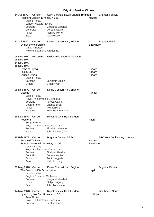| 14 Jul 1977<br>Soprano<br>Contralto<br>Tenor<br><b>Bass</b>                                                                                 | Concert<br>Requiem Mass in D minor, K 626<br>Laszlo Heltay<br><b>London Mozart Players</b> | Saint Bartholomew's Church, Brighton<br>Margaret Marshall<br>Doreen Walker<br><b>Richard Morton</b><br>Paul Hudson                                                               | Mozart                     | <b>Brighton Festival</b>            |
|---------------------------------------------------------------------------------------------------------------------------------------------|--------------------------------------------------------------------------------------------|----------------------------------------------------------------------------------------------------------------------------------------------------------------------------------|----------------------------|-------------------------------------|
| 17 Jul 1977                                                                                                                                 | Concert<br>Symphony of Psalms<br>David Atherton<br>New Philharmonia Orchestra              | Dome Concert Hall, Brighton                                                                                                                                                      | Stravinsky                 | <b>Brighton Festival</b>            |
| 04 Nov 1977<br>09 Nov 1977<br><b>14 Nov 1977</b><br>15 Nov 1977<br>Hymn of Zrynyi<br>Psalm 114<br>Laudes Organi<br><b>Baritone</b><br>Organ | Recording<br>Laszlo Heltay                                                                 | Guildford Cathedral, Guildford<br>Benjamin Luxon<br>Gillian Weir                                                                                                                 | Kodály<br>Kodály<br>Kodály |                                     |
| 09 Dec 1977<br>Messiah<br>Soprano<br>Tenor<br><b>Baritone</b>                                                                               | Concert<br>Laszlo Heltay<br>Countertenor                                                   | Dome Concert Hall, Brighton<br>Royal Philharmonic Orchestra<br><b>Teresa Cahill</b><br><b>Charles Brett</b><br>Neil Jenkins<br><b>Brian Rayner Cook</b>                          | Handel                     |                                     |
| 18 Dec 1977<br>Requiem<br>Soprano<br><b>Bass</b>                                                                                            | Concert<br>Serge Baudo                                                                     | Royal Festival Hall, London<br>Royal Philharmonic Orchestra<br>Elizabeth Harwood<br>John Shirley-Quirk                                                                           | Fauré                      |                                     |
| 25 Feb 1978<br><b>Budavari Te Deum</b><br>Soprano<br>Contralto<br>Tenor<br><b>Bass</b>                                                      | Concert<br>Laszlo Heltay                                                                   | <b>Brighton Centre, Brighton</b><br>Symphony No. 9 in D minor, op.125<br>Royal Philharmonic Orchestra<br><b>Eiddwen Harrhy</b><br>Doreen Walker<br>Robin Leggate<br>Malcolm King | Kodály<br>Beethoven        | <b>BFC 10th Anniversary Concert</b> |
| 07 May 1978 Concert<br>Soprano<br>Tenor<br><b>Bass</b>                                                                                      | The Seasons (Die Jahreszeiten)<br>Laszlo Heltay<br>English Chamber Orchestra               | Dome Concert Hall, Brighton<br>Margaret Marshall<br>Philip Langridge<br>John Tomlinson                                                                                           | Haydn                      | <b>Brighton Festival</b>            |
| 14 May 1978 Concert<br>Soprano                                                                                                              | <b>Antal Dorati</b>                                                                        | Royal Festival Hall, London<br>Symphony No. 9 in D minor, op.125<br>Royal Philharmonic Orchestra<br><b>Heather Harper</b>                                                        | Beethoven                  | <b>Beethoven Series</b>             |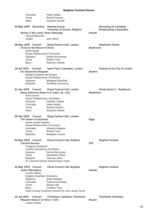| Contralto                                                                                     |                                                               | <b>Helen Watts</b>                                                                                                                                                                                      |               |                                                           |
|-----------------------------------------------------------------------------------------------|---------------------------------------------------------------|---------------------------------------------------------------------------------------------------------------------------------------------------------------------------------------------------------|---------------|-----------------------------------------------------------|
| Tenor                                                                                         |                                                               | <b>Ryland Davies</b>                                                                                                                                                                                    |               |                                                           |
| <b>Bass</b>                                                                                   |                                                               | <b>Gwynne Howell</b>                                                                                                                                                                                    |               |                                                           |
| 20 May 1978 Recording                                                                         |                                                               | Meeting House,<br>University of Sussex, Brighton                                                                                                                                                        |               | Recording for Canadian<br><b>Broadcasting Corporation</b> |
|                                                                                               | Yehudi Menuhin                                                | Worthy is the Lamb; Amen (Messiah)                                                                                                                                                                      | Handel        |                                                           |
| Organ                                                                                         |                                                               | John Birch                                                                                                                                                                                              |               |                                                           |
| 28 May 1978 Concert                                                                           | Christ on the Mount of Olives<br><b>Antal Dorati</b>          | Royal Festival Hall, London                                                                                                                                                                             | Beethoven     | <b>Beethoven Series</b>                                   |
| Soprano                                                                                       |                                                               | Royal Philharmonic Orchestra<br>Sheila Armstrong                                                                                                                                                        |               |                                                           |
| Tenor                                                                                         |                                                               | <b>Robert Tear</b>                                                                                                                                                                                      |               |                                                           |
| <b>Bass</b>                                                                                   |                                                               | <b>Gwynne Howell</b>                                                                                                                                                                                    |               |                                                           |
| 19 Jul 1978<br>Soprano<br><b>Baritone</b>                                                     | Concert<br>Ein Deutsches Requiem<br>Rafael Frühbeck de Burgos | Saint Paul's Cathedral, London<br>Royal Philharmonic Orchestra<br>Margaret Marshall<br><b>Jonathan Summers</b>                                                                                          | <b>Brahms</b> | Festival of the City of London                            |
| 21 Jan 1979<br>Soprano<br>Contralto<br>Tenor<br><b>Bass</b>                                   | Concert<br>Antal Dorati                                       | Royal Festival Hall, London<br>Missa Solemnis (Mass in D major, op. 123)<br>Royal Philharmonic Orchestra<br><b>Heather Harper</b><br><b>Helen Watts</b><br><b>Ryland Davies</b><br><b>Gwynne Howell</b> | Beethoven     | Dorati Series 3 - Beethoven                               |
| 29 Apr 1979<br>Tenor<br><b>Baritone</b>                                                       | Concert<br>The Dream of Gerontius<br>Owain Arwel Hughes       | Royal Festival Hall, London<br>Royal Philharmonic Orchestra<br>Contralto Alfreda Hodgson<br><b>Robert Tear</b><br>Benjamin Luxon                                                                        | Elgar         |                                                           |
| 05 May 1979 Concert<br>Carmina Burana                                                         | Yevgeny Svetlanov                                             | Dome Concert Hall, Brighton                                                                                                                                                                             | Orff          | <b>Brighton Festival</b>                                  |
| Soprano<br>Tenor<br><b>Baritone</b>                                                           |                                                               | London Symphony Orchestra<br>Norma Burrowes<br>Alexander Oliver<br><b>Thomas Allen</b><br>St. Clement Danes School Boys' Choir                                                                          |               |                                                           |
| 16 May 1979 Concert<br><b>Judas Maccabeus</b><br>Soprano<br>Contralto<br>Tenor<br><b>Bass</b> | Laszlo Heltay<br>English Chamber Orchestra                    | Dome Concert Hall, Brighton<br>Sally Burgess<br><b>Catherine Denley</b><br>Martyn Hill<br><b>Graham Titus</b><br>Hove County Grammar School for Girls Junior Choir                                      | Handel        | <b>Brighton Festival</b>                                  |
| 14 Jul 1979                                                                                   | Concert<br>Requiem Mass in D minor, K 626<br>Laszlo Heltay    | Chichester Cathedral, Chichester                                                                                                                                                                        | Mozart        | <b>Chichester Festivities</b>                             |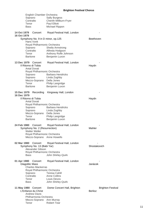| English Chamber Orchestra                            |                                                       |                          |
|------------------------------------------------------|-------------------------------------------------------|--------------------------|
| Soprano<br>Contralto                                 | <b>Sally Burgess</b><br><b>Cherith Millburn-Fryer</b> |                          |
| Tenor                                                | <b>Paul Elliott</b>                                   |                          |
| <b>Bass</b>                                          | Michael Rippon                                        |                          |
| 14 Oct 1979<br>Concert<br>16 Oct 1979                | Royal Festival Hall, London                           |                          |
| Symphony No. 9 in D minor, op.125                    |                                                       | Beethoven                |
| Hans Vonk<br>Royal Philharmonic Orchestra            |                                                       |                          |
| Soprano                                              | Sheila Armstrong                                      |                          |
| Contralto                                            | Alfreda Hodgson                                       |                          |
| Tenor<br>Baritone                                    | Anthony Rolfe Johnson<br>Benjamin Luxon               |                          |
|                                                      |                                                       |                          |
| 13 Dec 1979<br>Concert<br>Il Ritorno di Tobia        | Royal Festival Hall, London                           | Haydn                    |
| <b>Antal Dorati</b>                                  |                                                       |                          |
| Royal Philharmonic Orchestra                         |                                                       |                          |
| Soprano<br>Soprano                                   | <b>Barbara Hendricks</b><br>Linda Zoghby              |                          |
| Mezzo-Soprano                                        | Della Jones                                           |                          |
| Tenor                                                | Philip Langridge                                      |                          |
| Baritone                                             | Benjamin Luxon                                        |                          |
| Recording<br>15 Dec 1979                             | Kingsway Hall, London                                 |                          |
| 16 Dec 1979                                          |                                                       |                          |
| Il Ritorno di Tobia<br><b>Antal Dorati</b>           |                                                       | Haydn                    |
| Royal Philharmonic Orchestra                         |                                                       |                          |
| Soprano                                              | <b>Barbara Hendricks</b>                              |                          |
| Soprano<br>Mezzo-Soprano                             | Linda Zoghby<br>Della Jones                           |                          |
| Tenor                                                | Philip Langridge                                      |                          |
| Baritone                                             | Benjamin Luxon                                        |                          |
| 24 Feb 1980<br>Concert                               | Royal Festival Hall, London                           |                          |
| Symphony No. 2 (Resurrection)                        |                                                       | Mahler                   |
| <b>Walter Weller</b><br>Royal Philharmonic Orchestra |                                                       |                          |
| Mezzo-Soprano Anne Howells                           |                                                       |                          |
| 02 Mar 1980<br>Concert                               | Royal Festival Hall, London                           |                          |
| Symphony No. 13 (Babi Yar)                           |                                                       | Shostakovich             |
| Alexander Gibson                                     |                                                       |                          |
| Royal Philharmonic Orchestra<br>Bass                 | John Shirley-Quirk                                    |                          |
|                                                      |                                                       |                          |
| 01 Apr 1980<br>Concert                               | Royal Festival Hall, London                           |                          |
| <b>Glagolitic Mass</b><br><b>Charles Mackerras</b>   |                                                       | Janácek                  |
| Royal Philharmonic Orchestra                         |                                                       |                          |
| Soprano                                              | <b>Teresa Cahill</b>                                  |                          |
| Contralto<br>Tenor                                   | <b>Anne Collins</b><br>Louis Devos                    |                          |
| Bass                                                 | John Shirley-Quirk                                    |                          |
| 11 May 1980<br>Concert                               | Dome Concert Hall, Brighton                           | <b>Brighton Festival</b> |
| L'Enfance du Christ                                  |                                                       | <b>Berlioz</b>           |
| <b>Andrew Davis</b>                                  |                                                       |                          |
| Philharmonia Orchestra                               |                                                       |                          |
| Mezzo-Soprano<br>Tenor                               | Ann Murray<br><b>Robert Tear</b>                      |                          |
|                                                      |                                                       |                          |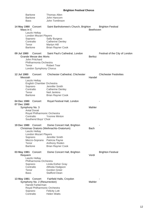|                                  | <b>Baritone</b><br><b>Baritone</b><br><b>Bass</b>                                                                       | <b>Thomas Allen</b><br>John Hancorn<br>John Tomlinson                                                                                                     |                |                                |
|----------------------------------|-------------------------------------------------------------------------------------------------------------------------|-----------------------------------------------------------------------------------------------------------------------------------------------------------|----------------|--------------------------------|
| 14 May 1980 Concert<br>Mass in C | Laszlo Heltay<br><b>London Mozart Players</b><br>Soprano<br>Contralto<br>Tenor<br><b>Baritone</b>                       | Saint Bartholomew's Church, Brighton<br><b>Sally Burgess</b><br><b>Catherine Denley</b><br>Martyn Hill<br><b>Brian Rayner Cook</b>                        | Beethoven      | <b>Brighton Festival</b>       |
| 09 Jul 1980                      | Concert<br><b>Grande Messe des Morts</b><br>John Pritchard<br>Philharmonia Orchestra<br>Tenor<br>London Symphony Chorus | Saint Paul's Cathedral, London<br><b>Robert Tear</b>                                                                                                      | <b>Berlioz</b> | Festival of the City of London |
| 12 Jul 1980<br>Messiah           | Concert<br>Laszlo Heltay<br>English Chamber Orchestra<br>Soprano<br>Contralto<br>Tenor<br><b>Baritone</b>               | Chichester Cathedral, Chichester<br>Jennifer Smith<br><b>Catherine Denley</b><br><b>Neil Jenkins</b><br><b>Brian Rayner Cook</b>                          | Handel         | <b>Chichester Festivities</b>  |
| 04 Dec 1980<br>07 Dec 1980       | Concert<br>Symphony No. 3<br><b>Antal Dorati</b><br>Royal Philharmonic Orchestra<br>Contralto<br>Southend Boys' Choir   | Royal Festival Hall, London<br><b>Yvonne Minton</b>                                                                                                       | Mahler         |                                |
| 19 Dec 1980                      | Concert<br>Laszlo Heltay<br><b>London Mozart Players</b><br>Soprano<br>Mezzo-Soprano<br>Tenor<br><b>Baritone</b>        | Dome Concert Hall, Brighton<br>Christmas Oratorio (Weihnachts-Oratorium)<br>Jennifer Smith<br>Patricia Payne<br>Anthony Roden<br><b>Brian Rayner Cook</b> | <b>Bach</b>    |                                |
| 03 May 1981 Concert<br>Requiem   | Laszlo Heltay<br>Philharmonia Orchestra<br>Soprano<br>Contralto<br>Tenor<br><b>Bass</b>                                 | Dome Concert Hall, Brighton<br>Linda Esther Gray<br>Alfreda Hodgson<br>Gordon Greer<br><b>Stafford Dean</b>                                               | Verdi          | <b>Brighton Festival</b>       |
| 13 May 1981                      | Concert<br>Symphony No. 2 (Resurrection)<br>Harold Farberman<br>Royal Philharmonic Orchestra<br>Soprano<br>Contralto    | Fairfield Halls, Croydon<br><b>Felicity Lott</b><br><b>Helen Watts</b>                                                                                    | Mahler         |                                |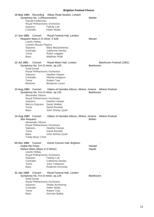|             | Symphony No. 2 (Resurrection)                            | 16 May 1981 Recording Abbey Road Studios, London         | Mahler                                 |
|-------------|----------------------------------------------------------|----------------------------------------------------------|----------------------------------------|
|             | Harold Farberman                                         |                                                          |                                        |
|             | Royal Philharmonic Orchestra<br>Soprano                  | <b>Felicity Lott</b>                                     |                                        |
|             | Contralto                                                | <b>Helen Watts</b>                                       |                                        |
|             |                                                          |                                                          |                                        |
| 17 Jun 1981 | Concert<br>Requiem Mass in D minor, K 626                | Royal Festival Hall, London                              | Mozart                                 |
|             | Laszlo Heltay                                            |                                                          |                                        |
|             | <b>London Mozart Players</b>                             |                                                          |                                        |
|             | Soprano                                                  | Mary MacSweeney                                          |                                        |
|             | Contralto                                                | <b>Catherine Denley</b>                                  |                                        |
|             | Tenor<br><b>Bass</b>                                     | Robin Leggate<br><b>Matthias Holle</b>                   |                                        |
|             |                                                          |                                                          |                                        |
| 12 Jul 1981 | Concert<br>Symphony No. 9 in D minor, op.125             | Royal Albert Hall, London                                | Beethoven Festival (1981)<br>Beethoven |
|             | <b>Antal Dorati</b>                                      |                                                          |                                        |
|             | Royal Philharmonic Orchestra                             |                                                          |                                        |
|             | Soprano                                                  | <b>Heather Harper</b>                                    |                                        |
|             | Contralto                                                | Alfreda Hodgson                                          |                                        |
|             | Tenor<br>Baritone                                        | <b>Robert Tear</b><br>Benjamin Luxon                     |                                        |
|             |                                                          |                                                          |                                        |
|             | 13 Aug 1981 Concert<br>Symphony No. 9 in D minor, op.125 | Odeon of Herodes Atticus, Athens, Greece Athens Festival | Beethoven                              |
|             | Alexander Gibson                                         |                                                          |                                        |
|             | Royal Philharmonic Orchestra                             |                                                          |                                        |
|             | Soprano<br>Mezzo-Soprano Sarah Walker                    | <b>Heather Harper</b>                                    |                                        |
|             | Tenor                                                    | David Rendall                                            |                                        |
|             | Bass                                                     | John Shirley-Quirk                                       |                                        |
|             | 14 Aug 1981 Concert<br>War Requiem                       | Odeon of Herodes Atticus, Athens, Greece Athens Festival | <b>Britten</b>                         |
|             | Alexander Gibson                                         |                                                          |                                        |
|             | Royal Philharmonic Orchestra                             |                                                          |                                        |
|             | Soprano                                                  | <b>Heather Harper</b>                                    |                                        |
|             | Tenor<br><b>Bass</b>                                     | David Rendall<br>John Shirley-Quirk                      |                                        |
|             | Trinity Boys' Choir                                      |                                                          |                                        |
|             |                                                          |                                                          |                                        |
| 05 Dec 1981 | Concert<br><b>Zadok the Priest</b>                       | Dome Concert Hall, Brighton                              | Handel                                 |
|             | Nelson Mass (Mass in D Minor)<br>Laszlo Heltay           |                                                          | Haydn                                  |
|             | Royal Philharmonic Orchestra                             |                                                          |                                        |
|             | Soprano                                                  | <b>Felicity Lott</b>                                     |                                        |
|             | Contralto                                                | <b>Catherine Denley</b>                                  |                                        |
|             | Tenor<br>Bass                                            | John Treleaven<br>Roderick Kennedy                       |                                        |
|             |                                                          |                                                          |                                        |
| 31 Jan 1982 | Concert                                                  | Royal Festival Hall, London                              |                                        |
|             | Symphony No. 9 in D minor, op.125<br>Antal Dorati        |                                                          | Beethoven                              |
|             | Royal Philharmonic Orchestra                             |                                                          |                                        |
|             | Soprano<br>Contralto                                     | Sheila Armstrong<br><b>Helen Watts</b>                   |                                        |
|             | Tenor                                                    | <b>Robert Tear</b>                                       |                                        |
|             | <b>Bass</b>                                              | Norman Bailey                                            |                                        |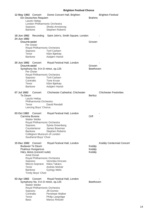|                            | 12 May 1982 Concert<br>Ein Deutsches Requiem<br>Laszlo Heltay<br>London Philharmonic Orchestra<br>Soprano<br><b>Baritone</b> | Dome Concert Hall, Brighton<br>Sheila Armstrong<br><b>Stephen Roberts</b> | <b>Brahms</b>  | <b>Brighton Festival</b>      |
|----------------------------|------------------------------------------------------------------------------------------------------------------------------|---------------------------------------------------------------------------|----------------|-------------------------------|
| 18 Jun 1982<br>24 Jun 1982 | Recording                                                                                                                    | Saint John's, Smith Square, London                                        |                |                               |
|                            | Draumkvædet<br>Per Dreier<br>Royal Philharmonic Orchestra                                                                    |                                                                           | Groven         |                               |
|                            | Soprano<br>Tenor<br><b>Baritone</b>                                                                                          | <b>Toril Carlsen</b><br>Kåre Bjørkøy<br>Asbjørn Hansli                    |                |                               |
| 20 Jun 1982                | Concert<br>Draumkvædet                                                                                                       | Royal Festival Hall, London                                               | Groven         |                               |
|                            | Symphony No. 9 in D minor, op.125<br>Per Dreier<br>Royal Philharmonic Orchestra                                              |                                                                           | Beethoven      |                               |
|                            | Soprano                                                                                                                      | <b>Toril Carlsen</b>                                                      |                |                               |
|                            | Contralto                                                                                                                    | <b>Tone Kruse</b>                                                         |                |                               |
|                            | Tenor<br><b>Baritone</b>                                                                                                     | Kåre Bjørkøy<br>Asbjørn Hansli                                            |                |                               |
|                            |                                                                                                                              |                                                                           |                |                               |
| 07 Jul 1982                | Concert<br>Te Deum<br>Laszlo Heltay                                                                                          | Chichester Cathedral, Chichester                                          | <b>Berlioz</b> | <b>Chichester Festivities</b> |
|                            | Philharmonia Orchestra                                                                                                       |                                                                           |                |                               |
|                            | Tenor                                                                                                                        | David Rendall                                                             |                |                               |
|                            | Lancing Boys' Chorus                                                                                                         |                                                                           |                |                               |
| 03 Oct 1982                | Concert<br>Carmina Burana                                                                                                    | Royal Festival Hall, London                                               | Orff           |                               |
|                            | <b>Walter Weller</b>                                                                                                         |                                                                           |                |                               |
|                            | Royal Philharmonic Orchestra<br>Soprano                                                                                      |                                                                           |                |                               |
|                            | Countertenor                                                                                                                 | Sylvia Greenberg<br>James Bowman                                          |                |                               |
|                            | <b>Baritone</b>                                                                                                              | <b>Stephen Roberts</b>                                                    |                |                               |
|                            | Collegium Musicum of London                                                                                                  |                                                                           |                |                               |
|                            | Southend Boys' Choir                                                                                                         |                                                                           |                |                               |
| 15 Dec 1982                | Concert<br><b>Budavari Te Deum</b>                                                                                           | Royal Festival Hall, London                                               | Kodály         | Kodály Centennial Concert     |
|                            | <b>Psalmus Hungaricus</b>                                                                                                    |                                                                           | Kodály         |                               |
|                            | Háry János (concert suite)                                                                                                   |                                                                           | Kodály         |                               |
|                            | <b>Antal Dorati</b>                                                                                                          |                                                                           |                |                               |
|                            | Royal Philharmonic Orchestra<br>Soprano                                                                                      | Veronika Kincses                                                          |                |                               |
|                            | Mezzo-Soprano                                                                                                                | Klára Takács                                                              |                |                               |
|                            | Tenor                                                                                                                        | András Molnár                                                             |                |                               |
|                            | <b>Baritone</b><br><b>Trinity Boys' Choir</b>                                                                                | György Melis                                                              |                |                               |
|                            |                                                                                                                              |                                                                           |                |                               |
| 03 Apr 1983                | Concert<br>Symphony No. 9 in D minor, op.125                                                                                 | Royal Festival Hall, London                                               | Beethoven      |                               |
|                            | <b>Walter Weller</b><br>Royal Philharmonic Orchestra                                                                         |                                                                           |                |                               |
|                            | Soprano                                                                                                                      | Jill Gomez                                                                |                |                               |
|                            | Contralto                                                                                                                    | Penelope Walker                                                           |                |                               |
|                            | Tenor<br><b>Bass</b>                                                                                                         | Philip Langridge<br><b>Marius Rintzler</b>                                |                |                               |
|                            |                                                                                                                              |                                                                           |                |                               |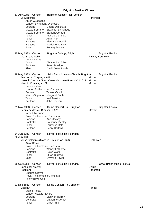| 17 Apr 1983 Concert<br>La Gioconda<br>Anton Guadagno<br>London Symphony Orchestra<br>Soprano<br>Tenor<br>Tenor<br>Baritone<br><b>Baritone</b><br>Bass               | Barbican Concert Hall, London<br>Ghena Dimitrova<br>Mezzo-Soprano Elizabeth Bainbridge<br>Mezzo-Soprano Barbara Conrad<br>Placido Domingo<br>Adam Fox<br>Piero Cappuccilli<br><b>Patrick Wheatley</b><br>Rodney Macann | Ponchielli                                                        |
|---------------------------------------------------------------------------------------------------------------------------------------------------------------------|------------------------------------------------------------------------------------------------------------------------------------------------------------------------------------------------------------------------|-------------------------------------------------------------------|
| 15 May 1983 Concert<br><b>Mozart and Salieri</b><br>Laszlo Heltay<br>Tenor<br><b>Baritone</b>                                                                       | Brighton College, Brighton<br><b>Christopher Gillett</b><br>Peter Savidge<br>David Owen Norris                                                                                                                         | <b>Brighton Festival</b><br>Rimsky-Korsakov                       |
| Piano<br>18 May 1983 Concert<br>Ave Verum Corpus, K 618<br>Mass in C minor, K 427<br>Laszlo Heltay<br>London Philharmonic Orchestra<br>Soprano<br>Tenor<br>Baritone | Saint Bartholomew's Church, Brighton<br>Masonic Cantata, "Laut Verkunde Unsre Freunde", K 623<br>Teresa Cahill<br>Mezzo-Soprano Margaret Cable<br><b>Neil Jenkins</b><br>John Hancorn                                  | <b>Brighton Festival</b><br>Mozart<br>Mozart<br>Mozart            |
| 21 May 1983 Concert<br>Requiem Mass in D minor, K 626<br>Yehudi Menuhin<br>Royal Philharmonic Orchestra<br>Soprano<br>Contralto<br>Tenor<br><b>Baritone</b>         | Dome Concert Hall, Brighton<br>Ann Mackay<br><b>Catherine Denley</b><br>Laurence Dale<br>Henry Herford                                                                                                                 | <b>Brighton Festival</b><br>Mozart                                |
| 24 Jun 1983<br>Concert<br>26 Jun 1983<br><b>Antal Dorati</b><br>Royal Philharmonic Orchestra<br>Soprano<br>Contralto<br>Tenor<br><b>Bass</b>                        | Royal Festival Hall, London<br>Missa Solemnis (Mass in D major, op. 123)<br><b>Wendy Eathorne</b><br><b>Helen Watts</b><br><b>Stuart Burrows</b><br><b>Gwynne Howell</b>                                               | Beethoven                                                         |
| 26 Oct 1983<br>Concert<br>Songs of Farewell<br>Requiem<br><b>Charles Groves</b><br>Royal Philharmonic Orchestra<br><b>Trinity Boys' Choir</b>                       | Royal Festival Hall, London                                                                                                                                                                                            | <b>Great British Music Festival</b><br><b>Delius</b><br>Patterson |
| 03 Dec 1983<br>Concert<br>Messiah<br>Laszlo Heltay<br><b>London Mozart Players</b><br>Soprano<br>Contralto<br>Tenor                                                 | Dome Concert Hall, Brighton<br><b>Eiddwen Harrhy</b><br><b>Catherine Denley</b><br>Martyn Hill                                                                                                                         | Handel                                                            |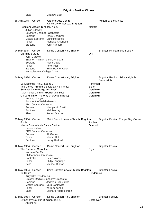| <b>Bass</b>                   | <b>Matthew Best</b>                                                     |                                      |                   |                                             |
|-------------------------------|-------------------------------------------------------------------------|--------------------------------------|-------------------|---------------------------------------------|
| 29 Jan 1984<br>Concert        | Gardner Arts Centre,                                                    | University of Sussex, Brighton       |                   | Mozart by the Minute                        |
|                               | Requiem Mass in D minor, K 626                                          |                                      | Mozart            |                                             |
| Julian Elloway                |                                                                         |                                      |                   |                                             |
| Soprano                       | Southern Chamber Orchestra<br><b>Tracy Chadwell</b>                     |                                      |                   |                                             |
|                               | Mezzo-Soprano Christine Botes                                           |                                      |                   |                                             |
| Tenor                         | Nicholas Chisholm                                                       |                                      |                   |                                             |
| Baritone                      | John Hancorn                                                            |                                      |                   |                                             |
| 04 Mar 1984 Concert           |                                                                         | Dome Concert Hall, Brighton          |                   | <b>Brighton Philharmonic Society</b>        |
| Carmina Burana<br>John Carewe |                                                                         |                                      | Orff              |                                             |
|                               | <b>Brighton Philharmonic Orchestra</b>                                  |                                      |                   |                                             |
| Soprano                       | Fiona Dobie                                                             |                                      |                   |                                             |
| Tenor<br>Baritone             | Peter Hall<br><b>Brian Rayner Cook</b>                                  |                                      |                   |                                             |
|                               | Hurstpierpoint College Choir                                            |                                      |                   |                                             |
| 04 May 1984 Concert           |                                                                         | Dome Concert Hall, Brighton          |                   | Brighton Festival: Friday Night is          |
|                               |                                                                         |                                      |                   | Music Night                                 |
|                               | La Gioconda (Act 1, Scene 1)                                            |                                      | Ponchielli        |                                             |
|                               | The Dance (From the Bavarian Highlands)<br>Summer Time (Porgy and Bess) |                                      | Elgar<br>Gershwin |                                             |
|                               | I Got Plenty o' Nuttin' (Porgy and Bess)                                |                                      | Gershwin          |                                             |
|                               | Oh Lord, I'm on my Way (Porgy and Bess)                                 |                                      | Gershwin          |                                             |
| Kenneth Alwyn                 |                                                                         |                                      |                   |                                             |
|                               | Band of the Welsh Guards                                                |                                      |                   |                                             |
| Soprano                       | <b>BBC Concert Orchestra</b><br>Marilyn Hill Smith                      |                                      |                   |                                             |
| Baritone                      | <b>Niall Murray</b>                                                     |                                      |                   |                                             |
| Piano                         | <b>Robert Docker</b>                                                    |                                      |                   |                                             |
| 05 May 1984 Concert           |                                                                         | Saint Bartholomew's Church, Brighton |                   | <b>Brighton Festival Europe Day Concert</b> |
| Gloria                        |                                                                         |                                      | Poulenc           |                                             |
|                               | Messe Solenelle de Sainte Cecille                                       |                                      | Gounod            |                                             |
| Laszlo Heltay                 | <b>BBC Concert Orchestra</b>                                            |                                      |                   |                                             |
| Soprano                       | Jill Gomez                                                              |                                      |                   |                                             |
| Tenor                         | Martyn Hill                                                             |                                      |                   |                                             |
| <b>Baritone</b>               | <b>Henry Herford</b>                                                    |                                      |                   |                                             |
| 12 May 1984 Concert           |                                                                         | Dome Concert Hall, Brighton          |                   | <b>Brighton Festival</b>                    |
| The Dream of Gerontius        |                                                                         |                                      | Elgar             |                                             |
| Norman Del Mar                |                                                                         |                                      |                   |                                             |
|                               | Philharmonia Orchestra<br><b>Helen Watts</b>                            |                                      |                   |                                             |
| Contralto<br>Tenor            | <b>Philip Langridge</b>                                                 |                                      |                   |                                             |
| <b>Bass</b>                   | Michael Rippon                                                          |                                      |                   |                                             |
| 16 May 1984 Concert           |                                                                         | Saint Bartholomew's Church, Brighton |                   | <b>Brighton Festival</b>                    |
| Te Deum                       |                                                                         |                                      | Penderecki        |                                             |
|                               | Krzysztof Penderecki                                                    |                                      |                   |                                             |
|                               | Crakow Radio Symphony Orchestra                                         |                                      |                   |                                             |
| Soprano                       | Jadwiga Gadulanka<br>Mezzo-Soprano Vera Baniewicz                       |                                      |                   |                                             |
| Tenor                         | William Kendall                                                         |                                      |                   |                                             |
| <b>Bass</b>                   | Leonard Andrzej Mróz                                                    |                                      |                   |                                             |
| 17 May 1984 Concert           |                                                                         | Dome Concert Hall, Brighton          |                   | <b>Brighton Festival</b>                    |
|                               | Symphony No. 9 in D minor, op.125                                       |                                      | Beethoven         |                                             |
| Antoni Wit                    |                                                                         |                                      |                   |                                             |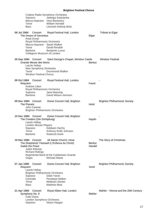|             | Soprano<br>Mezzo-Soprano Vera Baniewicz<br>Tenor<br><b>Bass</b>                                                                                                                   | Crakow Radio Symphony Orchestra<br>Jadwiga Gadulanka<br>William Kendall<br>Leonard Andrzej Mróz                                              |                          |                                      |
|-------------|-----------------------------------------------------------------------------------------------------------------------------------------------------------------------------------|----------------------------------------------------------------------------------------------------------------------------------------------|--------------------------|--------------------------------------|
| 08 Jul 1984 | Concert<br>The Dream of Gerontius<br><b>Antal Dorati</b><br>Royal Philharmonic Orchestra<br>Mezzo-Soprano Sarah Walker<br>Tenor<br><b>Baritone</b><br>Collegium Musicum of London | Royal Festival Hall, London<br>David Rendall<br>Benjamin Luxon                                                                               | Elgar                    | Tribute to Elgar                     |
|             | 29 Sep 1984 Concert<br>Grande Messe des Morts<br>Laszlo Heltay<br>New Symphony Orchestra<br>Tenor<br><b>Windsor Festival Chorus</b>                                               | Saint George's Chapel, Windsor Castle<br><b>Drummond Walker</b>                                                                              | Berlioz                  | <b>Windsor Festival</b>              |
| 09 Oct 1984 | Concert<br>Requiem<br><b>Andrew Litton</b><br>Royal Philharmonic Orchestra<br>Soprano<br><b>Baritone</b>                                                                          | Royal Festival Hall, London<br>Jane Manning<br>David Wilson-Johnson                                                                          | Fauré                    |                                      |
|             | 09 Dec 1984 Concert<br>The Planets<br>John Carewe<br><b>Brighton Philharmonic Orchestra</b>                                                                                       | Dome Concert Hall, Brighton                                                                                                                  | Holst                    | <b>Brighton Philharmonic Society</b> |
|             | 15 Dec 1984 Concert<br>The Creation (Die Schöpfung)<br>Laszlo Heltay<br><b>London Mozart Players</b><br>Soprano<br>Tenor<br><b>Baritone</b>                                       | Dome Concert Hall, Brighton<br><b>Eiddwen Harrhy</b><br>Anthony Rolfe Johnson<br><b>Roderick Earle</b>                                       | Haydn                    |                                      |
|             | 19 Dec 1984 Concert<br>Zadok the Priest<br>Julian Elloway<br><b>Richard Ridings</b><br>Organ                                                                                      | All Saints Church, Hove<br>The Shepherds' Farewell (L'Enfance du Christ)<br>Regimental Band of the Coldstream Guards<br><b>Michael Maine</b> | <b>Berlioz</b><br>Handel | The Story of Christmas               |
| 27 Jan 1985 | Concert<br>Requiem<br>Laszlo Heltay<br><b>Brighton Philharmonic Orchestra</b><br>Soprano<br>Contralto<br>Tenor<br>Bass                                                            | Dome Concert Hall, Brighton<br>Gilah Yaron<br>Penelope Walker<br><b>Maldwyn Davies</b><br><b>Matthew Best</b>                                | Verdi                    | <b>Brighton Philharmonic Society</b> |
| 21 Apr 1985 | Concert<br>Symphony No. 8<br><b>Colin Davis</b><br>London Symphony Orchestra<br>Soprano                                                                                           | Royal Albert Hall, London<br>Alison Hargan                                                                                                   | Mahler                   | Mahler - Vienna and the 20th Century |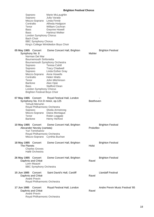Soprano Marie McLaughlin Soprano Julia Varady Mezzo-Soprano Linda Finnie Contralto Alfreda Hodgson Tenor William Cochran Bass Gwynne Howell Bass Hartmut Welker London Symphony Chorus Bach Choir BBC Symphony Chorus King's College Wimbledon Boys Choir 05 May 1985 Concert Dome Concert Hall, Brighton **Brighton Festival** Symphony No. 8 Mahler Norman Del Mar Bournemouth Sinfonietta Bournemouth Symphony Orchestra Soprano Teresa Cahill Soprano Tracy Chadwell Soprano Linda Esther Gray Mezzo-Soprano Anne Howells Contralto Helen Watts Tenor John Mitchinson Baritone Alan Opie Bass Stafford Dean London Symphony Chorus Brighton Festival Boys Choir 07 May 1985 Concert Royal Festival Hall, London Symphony No. 9 in D minor, op.125 Yehudi Menuhin Royal Philharmonic Orchestra Soprano Sheila Armstrong Mezzo-Soprano Diana Montague Tenor Robin Leggate Baritone Henry Herford **10 May 1985** Concert Dome Concert Hall, Brighton **Brighton Festival** Alexander Nevsky (cantata) Prokofiev Yuri Temirkanov Royal Philharmonic Orchestra Mezzo-Soprano Cynthia Buchan **18 May 1985** Concert Dome Concert Hall, Brighton Brighton Festival The Planets **Holst** Charles Groves Hallé Orchestra **26 May 1985** Concert Dome Concert Hall, Brighton **Brighton Festival** Daphnis and Chloë Ravel Lorin Maazel BBC Symphony Orchestra **15 Jun 1985** Concert Saint David's Hall, Cardiff **Landaff Festival** Daphnis and Chloë Ravel André Previn Royal Philharmonic Orchestra 17 Jun 1985 Concert Royal Festival Hall, London Andre Previn Music Festival '85 Daphnis and Chloë Ravel André Previn Royal Philharmonic Orchestra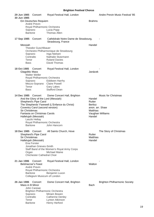| 29 Jun 1985<br>30 Jun 1985 | Concert                                                               | Royal Festival Hall, London                                        |                                   | Andre Previn Music Festival '85      |
|----------------------------|-----------------------------------------------------------------------|--------------------------------------------------------------------|-----------------------------------|--------------------------------------|
|                            | Ein Deutsches Requiem<br>André Previn<br>Royal Philharmonic Orchestra |                                                                    | <b>Brahms</b>                     |                                      |
|                            | Soprano<br><b>Baritone</b>                                            | Lucia Popp<br><b>Thomas Allen</b>                                  |                                   |                                      |
| 17 Sep 1985 Concert        |                                                                       | Cathédrale Notre Dame de Strasbourg,<br>Strasbourg, France         |                                   |                                      |
| Messiah                    |                                                                       |                                                                    | Handel                            |                                      |
|                            | <b>Theodor Guschlbauer</b>                                            | Orchestre Philharmonique de Strasbourg                             |                                   |                                      |
|                            | Soprano                                                               | Inga Nielsen                                                       |                                   |                                      |
|                            | Contralto                                                             | Nathalie Stutzmann                                                 |                                   |                                      |
|                            | Tenor                                                                 | <b>Ryland Davies</b>                                               |                                   |                                      |
| Bass                       |                                                                       | David Thomas                                                       |                                   |                                      |
| 18 Oct 1985                | Concert<br><b>Glagolitic Mass</b><br><b>Walter Weller</b>             | Royal Festival Hall, London                                        | Janácek                           |                                      |
|                            | Royal Philharmonic Orchestra                                          |                                                                    |                                   |                                      |
|                            | Soprano                                                               | <b>Eiddwen Harrhy</b>                                              |                                   |                                      |
|                            | Tenor                                                                 | Mezzo-Soprano Claire Powell<br><b>Gary Lakes</b>                   |                                   |                                      |
| <b>Bass</b>                |                                                                       | <b>Stafford Dean</b>                                               |                                   |                                      |
| 14 Dec 1985 Concert        |                                                                       | Dome Concert Hall, Brighton<br>And the Glory of the Lord (Messiah) | Handel                            | <b>Music for Christmas</b>           |
|                            | Shepherd's Pipe Carol                                                 |                                                                    | Rutter                            |                                      |
|                            | Coventry Carol (second version)                                       | The Shepherds' Farewell (L'Enfance du Christ)                      | <b>Berlioz</b><br>anon. arr. Shaw |                                      |
|                            | Sir Christèmas                                                        |                                                                    | Matthias                          |                                      |
|                            | Fantasia on Christmas Carols                                          |                                                                    |                                   | Vaughan Williams                     |
|                            | Hallelujah (Messiah)                                                  |                                                                    | Handel                            |                                      |
|                            | Laszlo Heltay<br>Royal Philharmonic Orchestra                         |                                                                    |                                   |                                      |
|                            | <b>Baritone</b>                                                       | John Hancorn                                                       |                                   |                                      |
| 18 Dec 1985 Concert        |                                                                       | All Saints Church, Hove                                            |                                   | The Story of Christmas               |
|                            | Shepherd's Pipe Carol                                                 |                                                                    | Rutter                            |                                      |
|                            | Sir Christèmas                                                        |                                                                    | Matthias                          |                                      |
|                            | Hallelujah (Messiah)                                                  |                                                                    | Handel                            |                                      |
|                            | Ena Forster<br>Jonathan Grieves-Smith                                 |                                                                    |                                   |                                      |
|                            |                                                                       | Staff Band of the Women's Royal Army Corps                         |                                   |                                      |
|                            | Organ                                                                 | <b>Michael Maine</b>                                               |                                   |                                      |
|                            | Chichester Cathedral Choir                                            |                                                                    |                                   |                                      |
| 21 Jan 1986                | Concert<br><b>Belshazzar's Feast</b><br>André Previn                  | Royal Festival Hall, London                                        | Walton                            |                                      |
|                            | Royal Philharmonic Orchestra                                          |                                                                    |                                   |                                      |
|                            | <b>Baritone</b>                                                       | Benjamin Luxon                                                     |                                   |                                      |
|                            | Collegium Musicum of London                                           |                                                                    |                                   |                                      |
| 26 Jan 1986                | Concert<br>Mass in B Minor                                            | Dome Concert Hall, Brighton                                        | Bach                              | <b>Brighton Philharmonic Society</b> |
|                            | John Carewe                                                           | <b>Brighton Philharmonic Orchestra</b>                             |                                   |                                      |
|                            | Soprano                                                               | Miriam Bowen                                                       |                                   |                                      |
|                            | Contralto                                                             | <b>Catherine Denley</b>                                            |                                   |                                      |
|                            | Tenor                                                                 | Lynton Atkinson                                                    |                                   |                                      |
|                            | <b>Baritone</b>                                                       | <b>Henry Herford</b>                                               |                                   |                                      |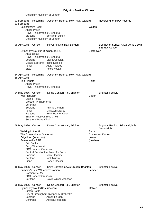Collegium Musicum of London

| 02 Feb 1986<br>03 Feb 1986 | Recording                                                   | Assembly Rooms, Town Hall, Watford           |                | Recording for RPO Records                                        |
|----------------------------|-------------------------------------------------------------|----------------------------------------------|----------------|------------------------------------------------------------------|
|                            | <b>Belshazzar's Feast</b>                                   |                                              | Walton         |                                                                  |
|                            | André Previn                                                |                                              |                |                                                                  |
|                            | Royal Philharmonic Orchestra<br><b>Baritone</b>             |                                              |                |                                                                  |
|                            | Collegium Musicum of London                                 | Benjamin Luxon                               |                |                                                                  |
| 09 Apr 1986                | Concert                                                     | Royal Festival Hall, London                  |                | Beethoven Series: Antal Dorati's 80th<br><b>Birthday Concert</b> |
|                            | Symphony No. 9 in D minor, op.125<br><b>Antal Dorati</b>    |                                              | Beethoven      |                                                                  |
|                            | Royal Philharmonic Orchestra                                |                                              |                |                                                                  |
|                            | Soprano                                                     | Etelka Csavlek                               |                |                                                                  |
|                            |                                                             | Mezzo-Soprano Ildikó Komlósi                 |                |                                                                  |
| <b>Bass</b>                | Tenor                                                       | Attila Fueloep<br>Kolos Kováts               |                |                                                                  |
|                            |                                                             |                                              |                |                                                                  |
| 14 Apr 1986<br>15 Apr 1986 |                                                             | Recording Assembly Rooms, Town Hall, Watford |                |                                                                  |
| The Planets                |                                                             |                                              | Holst          |                                                                  |
|                            | André Previn                                                |                                              |                |                                                                  |
|                            | Royal Philharmonic Orchestra                                |                                              |                |                                                                  |
| 04 May 1986 Concert        |                                                             | Dome Concert Hall, Brighton                  |                | <b>Brighton Festival</b>                                         |
| War Requiem                |                                                             |                                              | <b>Britten</b> |                                                                  |
|                            | Laszlo Heltay<br>Dresden Philharmonic                       |                                              |                |                                                                  |
|                            | Serenata                                                    |                                              |                |                                                                  |
|                            | Soprano                                                     | Phyllis Cannan                               |                |                                                                  |
|                            | Tenor                                                       | <b>Maldwyn Davies</b>                        |                |                                                                  |
|                            | <b>Baritone</b>                                             | <b>Brian Rayner Cook</b>                     |                |                                                                  |
|                            | <b>Brighton Festival Boys Choir</b><br>Southend Boys' Choir |                                              |                |                                                                  |
|                            |                                                             |                                              |                |                                                                  |
| 09 May 1986 Concert        |                                                             | Dome Concert Hall, Brighton                  |                | Brighton Festival: Friday Night is<br>Music Night                |
|                            | Walking in the Air                                          |                                              | <b>Blake</b>   |                                                                  |
|                            | The Green Hills of Somerset<br>Brigadoon (selection)        |                                              | Loewe          | Coates arr. Docker                                               |
|                            | Salute to the RAF                                           |                                              | (medley)       |                                                                  |
|                            | Eric Banks                                                  |                                              |                |                                                                  |
|                            | <b>Barry Wordsworth</b>                                     |                                              |                |                                                                  |
|                            | <b>BBC Concert Orchestra</b>                                | Central Band of the Royal Air Force          |                |                                                                  |
|                            | Soprano                                                     | Mary Hegarty                                 |                |                                                                  |
|                            | <b>Baritone</b>                                             | <b>Niall Murray</b>                          |                |                                                                  |
|                            | Piano                                                       | <b>Robert Docker</b>                         |                |                                                                  |
|                            | 10 May 1986 Concert<br>Summer's Last Will and Testament     | Saint Bartholomew's Church, Brighton         | Lambert        | <b>Brighton Festival</b>                                         |
|                            | Norman Del Mar                                              |                                              |                |                                                                  |
|                            | <b>BBC Concert Orchestra</b>                                |                                              |                |                                                                  |
|                            | <b>Baritone</b>                                             | David Wilson-Johnson                         |                |                                                                  |
| 25 May 1986 Concert        |                                                             | Dome Concert Hall, Brighton                  |                | <b>Brighton Festival</b>                                         |
|                            | Symphony No. 2 (Resurrection)                               |                                              | Mahler         |                                                                  |
|                            | Simon Rattle                                                | City of Birmingham Symphony Orchestra        |                |                                                                  |
|                            | Soprano                                                     | Alison Hargan                                |                |                                                                  |
|                            | Contralto                                                   | Alfreda Hodgson                              |                |                                                                  |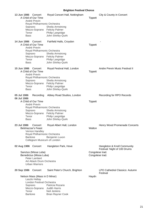| 13 Jun 1986<br>Concert<br>A Child of Our Time<br>André Previn<br>Royal Philharmonic Orchestra<br>Soprano<br>Mezzo-Soprano Felicity Palmer<br>Tenor<br><b>Bass</b>                  | Royal Concert Hall, Nottingham<br>Sheila Armstrong<br>Philip Langridge<br>John Shirley-Quirk | <b>Tippett</b>  | City & County in Concert                                                       |
|------------------------------------------------------------------------------------------------------------------------------------------------------------------------------------|----------------------------------------------------------------------------------------------|-----------------|--------------------------------------------------------------------------------|
| 14 Jun 1986 Concert<br>A Child of Our Time<br>André Previn<br>Royal Philharmonic Orchestra<br>Soprano<br>Mezzo-Soprano Felicity Palmer<br>Tenor<br><b>Bass</b>                     | Fairfield Halls, Croydon<br>Sheila Armstrong<br>Philip Langridge<br>John Shirley-Quirk       | <b>Tippett</b>  |                                                                                |
| 15 Jun 1986<br>Concert<br>A Child of Our Time<br>André Previn<br>Royal Philharmonic Orchestra<br>Soprano<br>Mezzo-Soprano Felicity Palmer<br>Tenor<br><b>Bass</b>                  | Royal Festival Hall, London<br>Sheila Armstrong<br>Philip Langridge<br>John Shirley-Quirk    | <b>Tippett</b>  | Andre Previn Music Festival II                                                 |
| 05 Jul 1986<br>Recording<br>06 Jul 1986<br>A Child of Our Time<br>André Previn<br>Royal Philharmonic Orchestra<br>Soprano<br>Mezzo-Soprano Felicity Palmer<br>Tenor<br><b>Bass</b> | Abbey Road Studios, London<br>Sheila Armstrong<br>Philip Langridge<br>John Shirley-Quirk     | <b>Tippett</b>  | Recording for RPO Records                                                      |
| 23 Jul 1986<br>Concert<br><b>Belshazzar's Feast</b><br>Vernon Handley<br>Royal Philharmonic Orchestra<br><b>Baritone</b><br>Collegium Musicum of London                            | Royal Albert Hall, London<br>Benjamin Luxon                                                  | Walton          | Henry Wood Promenade Concerts                                                  |
| 02 Aug 1986 Concert<br>Sanctus (Missa Luba)<br>Benedictus (Missa Luba)<br>Peter Lambert<br>Art Attack Drum Orchestra<br><b>Urban Warriors</b>                                      | Hangleton Park, Hove                                                                         | Congolese trad. | Hangleton & Knoll Community<br>Festival: Night of 100 Drums<br>Congolese trad. |
| 20 Sep 1986 Concert                                                                                                                                                                | Saint Peter's Church, Brighton                                                               |                 | LPO Cathedral Classics: Autumn<br>Festival                                     |
| Nelson Mass (Mass in D Minor)<br>Laszlo Heltay<br><b>London Festival Orchestra</b><br>Soprano<br>Mezzo-Soprano<br>Tenor<br><b>Baritone</b>                                         | Patricia Rozario<br><b>Judith Harris</b><br>Neil Jenkins<br><b>Brian Rayner Cook</b>         | Haydn           |                                                                                |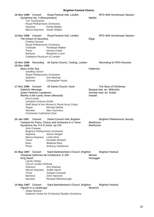| 16 Nov 1986 Concert<br>Soprano                                           | Symphony No. 2 (Resurrection)<br>Yuri Temirkanov                                                  | Royal Festival Hall, London<br>Royal Philharmonic Orchestra<br>Karita Mattila<br>Mezzo-Soprano Sarah Walker                                                                                                                                                     | Mahler                        | RPO 40th Anniversary Season                                                       |
|--------------------------------------------------------------------------|---------------------------------------------------------------------------------------------------|-----------------------------------------------------------------------------------------------------------------------------------------------------------------------------------------------------------------------------------------------------------------|-------------------------------|-----------------------------------------------------------------------------------|
| 14 Dec 1986 Concert<br>Contralto<br>Tenor<br><b>Baritone</b>             | The Dream of Gerontius<br><b>Charles Groves</b>                                                   | Royal Festival Hall, London<br>Royal Philharmonic Orchestra<br>Penelope Walker<br>Dennis O'Neil<br>Benjamin Luxon<br>Collegium Musicum of London                                                                                                                | Elgar                         | RPO 40th Anniversary Season                                                       |
| 15 Dec 1986<br>16 Dec 1986                                               | Recording                                                                                         | All Saints Church, Tooting, London                                                                                                                                                                                                                              |                               | <b>Recording for RPO Records</b>                                                  |
| Mass of the Sea                                                          | <b>Geoffrey Simon</b>                                                                             |                                                                                                                                                                                                                                                                 | Patterson                     |                                                                                   |
|                                                                          |                                                                                                   | Royal Philharmonic Orchestra                                                                                                                                                                                                                                    |                               |                                                                                   |
| Soprano<br><b>Baritone</b>                                               |                                                                                                   | Ann Mackay<br>Christopher Keyte                                                                                                                                                                                                                                 |                               |                                                                                   |
|                                                                          |                                                                                                   |                                                                                                                                                                                                                                                                 |                               |                                                                                   |
| 17 Dec 1986<br>Gabriel's Message<br>Ena Forster<br>Organ<br>Narrator     | Concert<br>Quem Pastores Laudavere<br>Jonathan Grieves-Smith<br><b>Chichester Cathedral Choir</b> | All Saints Church, Hove<br>Worthy is the Lamb; Amen (Messiah)<br>Staff Band of the Women's Royal Army Corps<br><b>Michael Maine</b><br>Alec Guinness                                                                                                            | Handel                        | The Story of Christmas<br>Basque trad. arr. Willcocks<br>German trad. arr. Rutter |
| 25 Jan 1987<br>Soprano<br>Tenor<br><b>Bass</b><br>Piano                  | Concert<br>John Carewe<br>Mezzo-Soprano                                                           | Dome Concert Hall, Brighton<br>Fantasia for Piano, Chorus and Orchestra in C minor<br>Symphony No. 9 in D minor, op.125<br><b>Brighton Philharmonic Orchestra</b><br>Alison Hargan<br>Linda Hirst<br>Kenneth Woolam<br><b>Matthew Best</b><br>Anthony Goldstone | <b>Beethoven</b><br>Beethoven | <b>Brighton Philharmonic Society</b>                                              |
|                                                                          |                                                                                                   |                                                                                                                                                                                                                                                                 |                               |                                                                                   |
| 01 May 1987 Concert<br>King David<br>Soprano<br>Tenor<br><b>Baritone</b> | Laszlo Heltay<br>City of London Sinfonia<br>Mezzo-Soprano                                         | Saint Bartholomew's Church, Brighton<br>Vesperae Solennes de Confessore, K 339<br>Ann Mackay<br><b>Judith Harris</b><br>Joseph Cornwell<br>John Hancorn                                                                                                         | Mozart<br>Honegger            | <b>Brighton Festival</b>                                                          |
| Narrator                                                                 |                                                                                                   | Richard Attenborough                                                                                                                                                                                                                                            |                               |                                                                                   |
| 14 May 1987 Concert                                                      | Figures in a Landscape<br>Diego Masson                                                            | Saint Bartholomew's Church, Brighton<br>National Centre for Orchestral Studies Orchestra                                                                                                                                                                        | Woolrich                      | <b>Brighton Festival</b>                                                          |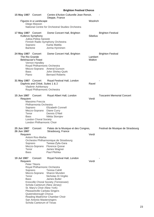| 15 May 1987 Concert                     |                                                                                                                                                                                                                                                             | Centre d'Action Culturelle Jean Renoir,<br>Dieppe, France                                                                                                                                             |                   |                                   |
|-----------------------------------------|-------------------------------------------------------------------------------------------------------------------------------------------------------------------------------------------------------------------------------------------------------------|-------------------------------------------------------------------------------------------------------------------------------------------------------------------------------------------------------|-------------------|-----------------------------------|
|                                         | Figures in a Landscape<br>Diego Masson                                                                                                                                                                                                                      | National Centre for Orchestral Studies Orchestra                                                                                                                                                      | Woolrich          |                                   |
| 17 May 1987 Concert                     | Kullervo Symphony<br>Jukka-Pekka Saraste<br>Soprano<br><b>Baritone</b>                                                                                                                                                                                      | Dome Concert Hall, Brighton<br>Finnish Radio Symphony Orchestra<br>Karita Mattila<br>Jorma Hynninen                                                                                                   | <b>Sibelius</b>   | <b>Brighton Festival</b>          |
| 24 May 1987 Concert<br>Bass<br>Piano    | The Rio Grande<br><b>Belshazzar's Feast</b><br>Vernon Handley<br>Royal Philharmonic Orchestra                                                                                                                                                               | Dome Concert Hall, Brighton<br>Mezzo-Soprano Ameral Gunson<br>John Shirley-Quirk<br><b>Bernard Roberts</b>                                                                                            | Lambert<br>Walton | <b>Brighton Festival</b>          |
|                                         | Daphnis and Chloë, Suites 1 & 2<br>Vladimir Ashkenazy<br>Royal Philharmonic Orchestra                                                                                                                                                                       | 31 May 1987 Concert Royal Festival Hall, London                                                                                                                                                       | Ravel             |                                   |
| 15 Jun 1987<br>Requiem<br>Bass          | Concert<br>Massimo Freccia<br>Philharmonia Orchestra<br>Soprano<br>Mezzo-Soprano Diane Curry<br>Tenor<br><b>London Choral Society</b><br>London Philharmonic Choir                                                                                          | Royal Albert Hall, London<br><b>Elizabeth Connell</b><br>Dennis O'Neil<br>Nikita Storojev                                                                                                             | Verdi             | <b>Toscanini Memorial Concert</b> |
| 26 Jun 1987                             | 25 Jun 1987 Concert                                                                                                                                                                                                                                         | Palais de la Musique et des Congres,<br>Strasbourg, France                                                                                                                                            |                   | Festival de Musique de Strasbourg |
| Requiem<br>Tenor<br><b>Bass</b>         | Antoni Ros-Marba<br>Soprano<br>Mezzo-Soprano                                                                                                                                                                                                                | Orchestre Philharmonique de Strasbourg<br>Teresa Żylis-Gara<br><b>Florence Quivar</b><br>James Wagner<br>Paul Plishka                                                                                 | Verdi             |                                   |
| 19 Jul 1987<br>Requiem<br>Tenor<br>Bass | Concert<br><b>Peter Tiboris</b><br>Royal Philharmonic Orchestra<br>Soprano<br>Schola Cantorum (New Jersey)<br>St. Mary's Choir (New York)<br>Pleasantville Cantata Singers<br>Queensborough Chorus<br>San Antonio Mastersingers<br>Schola Cantorum of Texas | Royal Festival Hall, London<br><b>Teresa Cahill</b><br>Mezzo-Soprano Sharon Munden<br>Nicholas Di Virgilio<br>James Butler<br>Knoxville Choral Society (Tennessee)<br>Reading Madrichor Chamber Choir | Verdi             |                                   |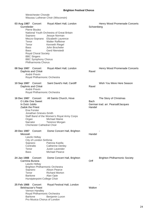#### Westchester Chorale Wausau Lutheran Choir (Wisconsin)

| 03 Aug 1987 Concert<br>Gurrelieder<br>Pierre Boulez<br>Soprano<br>Tenor<br>Tenor<br><b>Bass</b><br>Bass<br><b>Royal Choral Society</b><br><b>BBC Singers</b><br><b>BBC Symphony Chorus</b><br>Philharmonia Chorus | Royal Albert Hall, London<br>National Youth Orchestra of Great Britain<br>Jessye Norman<br>Mezzo-Soprano Elizabeth Laurence<br><b>Walter Raffeiner</b><br>Kenneth Riegel<br>John Brocheler<br><b>Gerd Nienstedt</b> | Schoenberg     | Henry Wood Promenade Concerts        |
|-------------------------------------------------------------------------------------------------------------------------------------------------------------------------------------------------------------------|---------------------------------------------------------------------------------------------------------------------------------------------------------------------------------------------------------------------|----------------|--------------------------------------|
| 08 Sep 1987 Concert<br>Daphnis and Chloë<br>André Previn<br>Royal Philharmonic Orchestra                                                                                                                          | Royal Albert Hall, London                                                                                                                                                                                           | Ravel          | Henry Wood Promenade Concerts        |
| 10 Sep 1987 Concert<br>Daphnis and Chloë<br>André Previn<br>Royal Philharmonic Orchestra                                                                                                                          | Saint David's Hall, Cardiff                                                                                                                                                                                         | Ravel          | Wish You Were Here Season            |
| 16 Dec 1987 Concert                                                                                                                                                                                               | All Saints Church, Hove                                                                                                                                                                                             |                | The Story of Christmas               |
| O Little One Sweet<br>In Dulci Jubilo<br>Zadok the Priest<br>Ena Forster<br>Jonathan Grieves-Smith<br>Organ<br>Narrator<br><b>Chichester Cathedral Choir</b>                                                      | Staff Band of the Women's Royal Army Corps<br><b>Michael Maine</b><br><b>Terence Morgan</b>                                                                                                                         | Bach<br>Handel | German trad. arr. Pearsall/Jacques   |
| 20 Dec 1987<br>Concert<br>Messiah<br>Laszlo Heltay                                                                                                                                                                | Dome Concert Hall, Brighton                                                                                                                                                                                         | Handel         |                                      |
| City of London Sinfonia<br>Soprano<br>Contralto<br>Tenor<br><b>Bass</b>                                                                                                                                           | Patrizia Kwella<br><b>Catherine Denley</b><br>Justin Lavender<br><b>Michael Pearce</b>                                                                                                                              |                |                                      |
| 24 Jan 1988<br>Concert<br>Carmina Burana<br>Laszlo Heltay<br>Soprano<br>Tenor<br><b>Baritone</b><br>Hurstpierpoint College Choir                                                                                  | Dome Concert Hall, Brighton<br><b>Brighton Philharmonic Orchestra</b><br><b>Alison Pearce</b><br><b>Richard Morton</b><br>Alan Opie                                                                                 | Orff           | <b>Brighton Philharmonic Society</b> |
| 25 Feb 1988<br>Concert<br><b>Belshazzar's Feast</b><br>Vernon Handley<br>Royal Philharmonic Orchestra<br><b>Baritone</b><br>Pro Musica Chorus of London                                                           | Royal Festival Hall, London<br>Benjamin Luxon                                                                                                                                                                       | Walton         |                                      |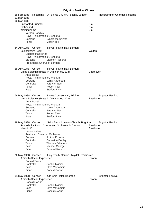| 29 Feb 1988<br>01 Mar 1988<br>02 Mar 1988<br>Fatherland<br>Walsinghame | <b>Enchanted Summer</b><br>Vernon Handley<br>Royal Philharmonic Orchestra<br>Soprano<br>Tenor                                           | Recording All Saints Church, Tooting, London<br>Lynore McWhirter<br>Martyn Hill                                                                                                                               | Bax<br>Bax<br>Bax      | <b>Recording for Chandos Records</b> |
|------------------------------------------------------------------------|-----------------------------------------------------------------------------------------------------------------------------------------|---------------------------------------------------------------------------------------------------------------------------------------------------------------------------------------------------------------|------------------------|--------------------------------------|
| 14 Apr 1988 Concert                                                    | <b>Belshazzar's Feast</b><br><b>Charles Mackerras</b><br>Royal Philharmonic Orchestra<br><b>Baritone</b><br>Pro Musica Chorus of London | Royal Festival Hall, London<br><b>Stephen Roberts</b>                                                                                                                                                         | Walton                 |                                      |
| 29 Apr 1988 Concert<br>Tenor<br>Bass                                   | <b>Antal Dorati</b><br>Royal Philharmonic Orchestra<br>Soprano<br>Contralto                                                             | Royal Festival Hall, London<br>Missa Solemnis (Mass in D major, op. 123)<br>Lorna Anderson<br>Jard van Nes<br><b>Robert Tear</b><br><b>Stafford Dean</b>                                                      | Beethoven              |                                      |
| 06 May 1988 Concert<br>Tenor<br><b>Bass</b>                            | <b>Antal Dorati</b><br>Royal Philharmonic Orchestra<br>Soprano<br>Contralto                                                             | Dome Concert Hall, Brighton<br>Missa Solemnis (Mass in D major, op. 123)<br>Lorna Anderson<br>Jard van Nes<br><b>Robert Tear</b><br><b>Stafford Dean</b>                                                      | Beethoven              | <b>Brighton Festival</b>             |
| 18 May 1988 Concert<br>Mass in C<br>Tenor<br>Bass<br>Piano             | Laszlo Heltay<br>Australian Chamber Orchestra<br>Soprano<br>Contralto                                                                   | Saint Bartholomew's Church, Brighton<br>Fantasia for Piano, Chorus and Orchestra in C minor<br>Jo Ann Pickens<br><b>Catherine Denley</b><br><b>Thomas Edmonds</b><br>Michael George<br><b>Bernard Roberts</b> | Beethoven<br>Beethoven | <b>Brighton Festival</b>             |
| 20 May 1988 Concert<br><b>Bass</b><br>Piano                            | A South African Experience<br>Donald Swann<br>Contralto                                                                                 | Holy Trinity Church, Twydall, Rochester<br>Sophie Mgcina<br><b>Clive McCombie</b><br>Donald Swann                                                                                                             | Swann                  |                                      |
| 24 May 1988 Concert<br><b>Bass</b><br>Piano                            | A South African Experience<br>Donald Swann<br>Contralto                                                                                 | Old Ship Hotel, Brighton<br>Sophie Mgcina<br><b>Clive McCombie</b><br>Donald Swann                                                                                                                            | Swann                  | <b>Brighton Festival</b>             |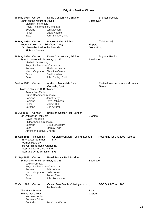**28 May 1988** Concert Dome Concert Hall, Brighton **Brighton Festival** Christ on the Mount of Olives **Beethoven** Vladimir Ashkenazy Royal Philharmonic Orchestra<br>Soprano Lyn Dawsor Soprano Lyn Dawson<br>Tenor David Kueble David Kuebler Bass John Shirley-Quirk **29 May 1988** Concert Madeira Drive, Brighton Telethon '88<br>
Nobody Knows (A Child of Our Time) Tippett Telethon S Nobody Knows (A Child of Our Time) I Do Like to be Beside the Seaside Contract Contract Clover-Kind Siobhan Denning **29 May 1988** Concert Dome Concert Hall, Brighton **Brighton Festival** Symphony No. 9 in D minor, op.125 Beethoven Vladimir Ashkenazy Royal Philharmonic Orchestra<br>Soprano Sheila Arms Sheila Armstrong Mezzo-Soprano Christine Cairns Tenor David Kuebler Bass John Shirley-Quirk 24 Jun 1988 Concert Auditorio Manuel de Falla, Festival Internacional de Musica y Granada, Spain **Danza** Mass in C minor, K 427Mozart Antoni Ros-Marba Dutch Chamber Orchestra Soprano Janet Perry Soprano Faye Robinson Tenor Martyn Hill Baritone Luis Alvarez **19 Jul 1988** Concert Barbican Concert Hall, London - Ein Deutsches Requiem **Brahms** David Randolph Philharmonia Orchestra Soprano Olivia Blackburn<br>Bass Stanley Irwin Stanley Irwin American Festival Chorus **15 Sep 1988** Recording All Saints Church, Tooting, London Recording for Chandos Records Enchanted Summer Bax Vernon Handley Royal Philharmonic Orchestra Soprano Lynore McWhirter Soprano Anne Williams-King 21 Sep 1988 Concert Royal Festival Hall, London Symphony No. 9 in D minor, op.125 Beethoven Louis Fremaux Royal Philharmonic Orchestra Soprano Edith Wiens Mezzo-Soprano Della Jones Tenor Robert Tear Bass John Tomlinson 07 Oct 1988 Concert Casino Den Bosch, s'Hertogenbosch, BFC Dutch Tour 1988 **Netherlands** The Music Makers **Elgar**<br>Belshazzar's Feast **Elgar** New York 1999 Belshazzar's Feast Norman Del Mar Brabants Orkest Contralto Penelope Walker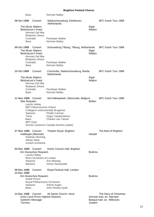| <b>Bass</b>                                                                                                                                                               | Norman Bailey                                                                                                                                       |                 |                                                                                    |
|---------------------------------------------------------------------------------------------------------------------------------------------------------------------------|-----------------------------------------------------------------------------------------------------------------------------------------------------|-----------------|------------------------------------------------------------------------------------|
| 08 Oct 1988<br>Concert<br>The Music Makers<br>Belshazzar's Feast<br>Norman Del Mar<br><b>Brabants Orkest</b><br>Contralto                                                 | Stadsschouwburg, Eindhoven,<br><b>Netherlands</b><br>Penelope Walker                                                                                | Elgar<br>Walton | BFC Dutch Tour 1988                                                                |
| Bass                                                                                                                                                                      | Norman Bailey                                                                                                                                       |                 |                                                                                    |
| 09 Oct 1988<br>Concert<br><b>The Music Makers</b><br><b>Belshazzar's Feast</b><br>Norman Del Mar<br><b>Brabants Orkest</b><br>Contralto                                   | Schouwburg Tilburg, Tilburg, Netherlands<br>Penelope Walker                                                                                         | Elgar<br>Walton | BFC Dutch Tour 1988                                                                |
| Bass                                                                                                                                                                      | Norman Bailey                                                                                                                                       |                 |                                                                                    |
| 10 Oct 1988<br>Concert                                                                                                                                                    | Concordia, Stadsschouwburg, Breda,<br><b>Netherlands</b>                                                                                            |                 | BFC Dutch Tour 1988                                                                |
| The Music Makers<br><b>Belshazzar's Feast</b><br>Norman Del Mar<br><b>Brabants Orkest</b><br>Contralto<br>Bass                                                            | Penelope Walker<br>Norman Bailey                                                                                                                    | Elgar<br>Walton |                                                                                    |
| 11 Nov 1988 Concert<br>War Requiem<br>Laszlo Heltay<br><b>BRT Filharmonisch Orkest</b><br>Collegium Instrumentale Brugense<br>Soprano<br>Tenor<br>Bass<br><b>BRT Koor</b> | Sint-Niklaaskerk, Diksmuide, Belgium<br>Phyllis Cannan<br>Zeger Vandersteene<br><b>Charles van Tassel</b><br>Schola Cantorum Cantate Domino (Aalst) | <b>Britten</b>  | BFC Dutch Tour 1988                                                                |
| 27 Nov 1988 Concert<br>Hallelujah (Messiah)<br>Siobhan Denning<br><b>Adrian Stark</b><br>scratch orchestra                                                                | Theatre Royal, Brighton                                                                                                                             | Handel          | The Best of Brighton                                                               |
| 03 Dec 1988 Concert<br>Ein Deutsches Requiem<br>Laszlo Heltay<br>Wren Orchestra of London<br>Soprano<br>Baritone                                                          | Dome Concert Hall, Brighton<br>Ann Mackay<br>Simon Keenlyside                                                                                       | <b>Brahms</b>   |                                                                                    |
| 09 Dec 1988<br>Concert                                                                                                                                                    | Royal Festival Hall, London                                                                                                                         |                 |                                                                                    |
| 12 Dec 1988                                                                                                                                                               |                                                                                                                                                     |                 |                                                                                    |
| Ein Deutsches Requiem<br>André Previn<br>Royal Philharmonic Orchestra<br>Soprano<br><b>Bass</b>                                                                           | Arlene Auger<br>John Shirley-Quirk                                                                                                                  | <b>Brahms</b>   |                                                                                    |
| 14 Dec 1988 Concert<br>Echo Carol (From Highest Heaven)<br>Gabriel's Message<br><b>Torches</b>                                                                            | All Saints Church, Hove                                                                                                                             | Joubert         | The Story of Christmas<br>German trad. arr. Barnard<br>Basque trad. arr. Willcocks |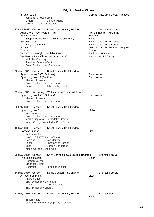In Dulci Jubilo German trad. arr. Pearsall/Jacques Jonathan Grieves-Smith Organ Michael Maine Chichester Cathedral Choir

| 17 Dec 1988 Concert<br>Angels We Have Heard on High<br>Sir Christèmas<br><b>Sussex Carol</b><br>The Holly and the Ivy<br>In Dulci Jubilo<br>Torches<br>White Christmas (from Holiday Inn)<br>Nicholas Cleobury<br>Jonathan Grieves-Smith | Dome Concert Hall, Brighton<br>The Shepherds' Farewell (L'Enfance du Christ)<br>We Need a Little Christmas (from Mame)<br>Royal Philharmonic Orchestra | Matthias<br>Berlioz<br>Joubert | <b>Music for Christmas</b><br>French trad. arr. McCarthy<br>English trad. arr. Willcocks<br>English trad. arr. Gardner<br>German trad. arr. Pearsall/Jacques<br>Berlin arr. McCarthy<br>Herman arr. McCarthy |
|------------------------------------------------------------------------------------------------------------------------------------------------------------------------------------------------------------------------------------------|--------------------------------------------------------------------------------------------------------------------------------------------------------|--------------------------------|--------------------------------------------------------------------------------------------------------------------------------------------------------------------------------------------------------------|
| 22 Jan 1989<br>Concert<br>Symphony No. 2 (To October)<br>Symphony No. 13 (Babi Yar)<br>Vladimir Ashkenazy<br>Bass                                                                                                                        | Royal Festival Hall, London<br>Royal Philharmonic Orchestra<br>John Shirley-Quirk                                                                      | Shostakovich<br>Shostakovich   |                                                                                                                                                                                                              |
| 25 Jan 1989<br>Symphony No. 2 (To October)<br>Vladimir Ashkenazy                                                                                                                                                                         | Recording Walthamstow Town Hall, London<br>Royal Philharmonic Orchestra                                                                                | Shostakovich                   |                                                                                                                                                                                                              |
| 26 Feb 1989 Concert<br>Symphony No. 3<br>Yuri Simonov                                                                                                                                                                                    | Royal Festival Hall, London<br>Royal Philharmonic Orchestra<br>Mezzo-Soprano Bernadette Greevy<br>King's College Wimbledon Boys Choir                  | Mahler                         |                                                                                                                                                                                                              |
| 19 Mar 1989 Concert<br>Carmina Burana<br><b>Walter Weller</b><br>Soprano<br>Tenor<br><b>Bass</b><br>King's College School Choir                                                                                                          | Royal Festival Hall, London<br>Royal Philharmonic Orchestra<br>Nan Christie<br>Christopher Robson<br>Gordon Sanderson                                  | Orff                           |                                                                                                                                                                                                              |
| 08 May 1989 Concert<br><b>The Music Makers</b><br>Norman Del Mar<br><b>Brabants Orkest</b><br>Contralto                                                                                                                                  | Saint Bartholomew's Church, Brighton<br>Penelope Walker                                                                                                | Elgar                          | <b>Brighton Festival</b>                                                                                                                                                                                     |
| 14 May 1989 Concert<br>A Faust Symphony<br>Andras Ligeti<br><b>BBC Symphony Orchestra</b><br>Tenor<br><b>BBC Symphony Chorus</b>                                                                                                         | Dome Concert Hall, Brighton<br>Laurence Dale                                                                                                           | Liszt                          | <b>Brighton Festival</b>                                                                                                                                                                                     |
| 27 May 1989 Concert<br>Lelio<br><b>Simon Rattle</b>                                                                                                                                                                                      | Dome Concert Hall, Brighton<br>City of Birmingham Symphony Orchestra                                                                                   | <b>Berlioz</b>                 | <b>Brighton Festival</b>                                                                                                                                                                                     |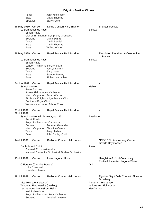| Tenor<br><b>Bass</b><br>Speaker                                                                                                                                                        | John Mitchinson<br>David Thomas<br><b>Barry Foster</b>                                                                                                                                          |                                                                        |
|----------------------------------------------------------------------------------------------------------------------------------------------------------------------------------------|-------------------------------------------------------------------------------------------------------------------------------------------------------------------------------------------------|------------------------------------------------------------------------|
| 28 May 1989 Concert<br>La Damnation de Faust<br>Simon Rattle<br>Soprano<br>Tenor<br>Bass<br>Bass                                                                                       | Dome Concert Hall, Brighton<br>City of Birmingham Symphony Orchestra<br>Maria Ewing<br>David Rendall<br>David Thomas<br><b>Willard White</b>                                                    | <b>Brighton Festival</b><br><b>Berlioz</b>                             |
| 30 May 1989 Concert                                                                                                                                                                    | Royal Festival Hall, London                                                                                                                                                                     | <b>Revolution Revisited: A Celebration</b><br>of France                |
| La Damnation de Faust<br><b>Simon Rattle</b><br>Soprano<br>Tenor<br>Bass<br>Bass                                                                                                       | London Philharmonic Orchestra<br>Jessye Norman<br><b>Gary Lakes</b><br>Samuel Ramey<br>Richard van Allan                                                                                        | <b>Berlioz</b>                                                         |
| 04 Jun 1989 Concert<br>Symphony No. 3<br>Frank Shipway                                                                                                                                 | Royal Festival Hall, London<br>Forest Philharmonic Orchestra<br>Mezzo-Soprano Sarah Walker<br>St. Paul's Knightsbridge Festival Choir<br>Southend Boys' Choir<br>Westminster Under School Choir | Mahler                                                                 |
| 01 Jul 1989<br>02 Jul 1989<br>André Previn<br>Soprano                                                                                                                                  | Concert<br>Royal Festival Hall, London<br>Symphony No. 9 in D minor, op.125<br>Royal Philharmonic Orchestra<br>Roberta Alexander                                                                | Beethoven                                                              |
| Tenor<br><b>Bass</b>                                                                                                                                                                   | Mezzo-Soprano Christine Cairns<br>Jerry Hadley<br>John Shirley-Quirk                                                                                                                            |                                                                        |
| 14 Jul 1989<br>Daphnis and Chloë                                                                                                                                                       | Barbican Concert Hall, London<br>Concert<br>Gennadi Rozhdestvensky<br>National Centre for Orchestral Studies Orchestra                                                                          | NCOS 10th Anniversary Concert:<br><b>Bastille Day Concert</b><br>Ravel |
| 15 Jul 1989                                                                                                                                                                            | Hove Lagoon, Hove<br>Concert                                                                                                                                                                    | Hangleton & Knoll Community<br>Festival: Heineken Lagoon Show          |
| O Fortuna (Carmina Burana)<br>Luke Cresswell<br>scratch orchestra                                                                                                                      |                                                                                                                                                                                                 | Orff                                                                   |
| 18 Jul 1989                                                                                                                                                                            | Barbican Concert Hall, London<br>Concert                                                                                                                                                        | Fight for Sight Gala Concert: Blues to<br><b>Broadway</b>              |
| Kiss Me Kate (selection)<br>Tribute to Fred Astaire (medley)<br>Let the Sunshine in (from Hair)<br>Neil Richardson<br>Royal Philharmonic Pops Orchestra<br>Annabel Leventon<br>Soprano |                                                                                                                                                                                                 | Porter arr. Richardson<br>various arr. Richardson<br>MacDermot         |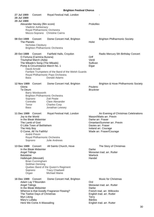| 27 Jul 1989<br>28 Jul 1989<br>29 Jul 1989                                             | Concert                                                                                                           | Royal Festival Hall, London                                                                                                                                            |                                               |                                                                                                                                                                                               |
|---------------------------------------------------------------------------------------|-------------------------------------------------------------------------------------------------------------------|------------------------------------------------------------------------------------------------------------------------------------------------------------------------|-----------------------------------------------|-----------------------------------------------------------------------------------------------------------------------------------------------------------------------------------------------|
|                                                                                       | Alexander Nevsky (film score)<br>Vladimir Ashkenazy                                                               | Royal Philharmonic Orchestra<br>Mezzo-Soprano Christine Cairns                                                                                                         | Prokofiev                                     |                                                                                                                                                                                               |
| 08 Oct 1989<br>The Planets                                                            | Concert<br>Nicholas Cleobury                                                                                      | Dome Concert Hall, Brighton<br><b>Brighton Philharmonic Orchestra</b>                                                                                                  | Holst                                         | <b>Brighton Philharmonic Society</b>                                                                                                                                                          |
| 20 Oct 1989<br><b>Bass</b>                                                            | Concert<br>O Fortuna (Carmina Burana)<br>Triumphal March (Aida)<br>The Mikado's Song (The Mikado)<br>David Arnold | Fairfield Halls, Croydon<br>Pomp & Circumstance March No. 1<br>Fanfare Trumpeters of the Band of the Welsh Guards<br>Royal Philharmonic Pops Orchestra<br>Donald Adams | Orff<br>Verdi<br>Sullivan<br>Elgar            | Radio Mercury 5th Birthday Concert                                                                                                                                                            |
| <b>12 Nov 1989</b><br>Gloria<br>Te Deum<br>Soprano<br>Contralto<br>Tenor<br>Bass      | Concert<br>Barry Wordsworth                                                                                       | Dome Concert Hall, Brighton<br><b>Brighton Philharmonic Orchestra</b><br>Zoë Peate<br><b>Clare Alexander</b><br><b>Charles Corp</b><br>Jonathan Lewsey                 | Poulenc<br><b>Bruckner</b>                    | Brighton & Hove Philharmonic Society                                                                                                                                                          |
| 11 Dec 1989 Concert<br>Joy to the World<br>The Lamb of God<br>The Holy Boy<br>Soprano | In the Bleak Midwinter<br>O Little Town of Bethlehem<br>O Come, All Ye Faithful<br>André Previn                   | Royal Festival Hall, London<br>Royal Philharmonic Orchestra<br><b>Julie Andrews</b>                                                                                    |                                               | An Evening of Christmas Celebrations<br>Mason/Watts arr. Previn<br>Darke arr. Fraser<br>Omartian/Summer arr. Previn<br>Davies arr. Fraser<br>Ireland arr. Courage<br>Wade arr. Fraser/Courage |
| 13 Dec 1989 Concert<br>Angel Tidings<br><b>Balulalow</b><br>Soprano<br>Organ          | In the Bleak Midwinter<br>Hallelujah (Messiah)<br><b>Brian Cunningham</b><br>Siobhan Denning                      | All Saints Church, Hove<br>Quebec Band of the Queen's Regiment<br><b>Tracy Chadwell</b><br>Michael Maine                                                               | Darke<br>Warlock<br>Handel                    | The Story of Christmas<br>Moravian trad. arr. Rutter                                                                                                                                          |
| 16 Dec 1989 Concert<br><b>Angel Tidings</b><br>Myn Liking<br>Mary's Lullaby           | Adam Lay Y'Bounden<br>In the Bleak Midwinter<br>The Twelve Days of Christmas<br>Here We Come A-Wassailing         | Dome Concert Hall, Brighton<br>Whence is that Goodly Fragrance Flowing?                                                                                                | Ord<br>Darke<br><b>Terry</b><br><b>Bárdos</b> | <b>Music for Christmas</b><br>Moravian trad. arr. Rutter<br>French trad. arr. Willcocks<br>English trad. arr. Rutter<br>English trad. arr. Rutter                                             |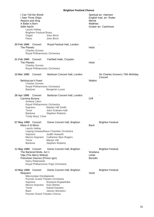| I Can Tell the World<br>I Saw Three Ships<br>Rejoice and Sing<br>A Babe is Born<br><b>Stille Nacht</b><br>Laszlo Heltay<br><b>Brighton Festival Brass</b><br>Organ<br>Piano | John Birch<br>John Birch                                                                                                                               | Merritt<br>Matthias                | Spiritual arr. Hairston<br>English trad. arr. Rutter<br>Grüber arr. Cashmore |
|-----------------------------------------------------------------------------------------------------------------------------------------------------------------------------|--------------------------------------------------------------------------------------------------------------------------------------------------------|------------------------------------|------------------------------------------------------------------------------|
| 20 Feb 1990<br>Concert<br>The Planets<br><b>Charles Groves</b><br>Royal Philharmonic Orchestra                                                                              | Royal Festival Hall, London                                                                                                                            | <b>Holst</b>                       |                                                                              |
| 21 Feb 1990<br>Concert<br>The Planets<br><b>Charles Groves</b><br>Royal Philharmonic Orchestra                                                                              | Fairfield Halls, Croydon                                                                                                                               | Holst                              |                                                                              |
| 10 Mar 1990<br>Concert<br><b>Belshazzar's Feast</b><br><b>Charles Groves</b><br>Royal Philharmonic Orchestra<br><b>Baritone</b>                                             | Barbican Concert Hall, London<br>Benjamin Luxon                                                                                                        | Walton                             | Sir Charles Groves's 75th Birthday<br>Concert                                |
| 28 Apr 1990 Concert<br>Carmina Burana<br><b>Andrew Litton</b><br>Royal Philharmonic Orchestra<br>Soprano<br>Tenor<br><b>Baritone</b><br><b>Trinity Boys' Choir</b>          | Barbican Concert Hall, London<br>Marilyn Hill Smith<br>John Graham-Hall<br><b>Stephen Roberts</b>                                                      | Orff                               |                                                                              |
| 07 May 1990 Concert<br>Mass in B Minor<br>Laszlo Heltay<br>Soprano<br>Mezzo-Soprano<br>Tenor<br><b>Baritone</b>                                                             | Dome Concert Hall, Brighton<br>Leipzig Gewandhaus Chamber Orchestra<br>Judith Howarth<br>Catherine Wyn-Rogers<br>Martyn Hill<br><b>Stephen Roberts</b> | Bach                               | <b>Brighton Festival</b>                                                     |
| 11 May 1990 Concert<br>The Bartered Bride, Act 1<br>Vilja (The Merry Widow)<br>Polovtsian Dances (Prince Igor)<br>Harry Rabinowitz                                          | Dome Concert Hall, Brighton<br>Royal Philharmonic Pops Orchestra                                                                                       | Smetana<br>Lehár<br><b>Borodin</b> | <b>Brighton Festival</b>                                                     |
| 13 May 1990 Concert<br>Requiem<br>Mieczyslaw Dondajewski<br>Soprano<br>Mezzo-Soprano Ewa Werka<br>Tenor<br><b>Bass</b><br>Poznan Grand Theatre Chorus                       | Dome Concert Hall, Brighton<br>Poznan Grand Theatre Orchestra<br>Krystyna Kujawińska<br>Kaludi Kaludov<br>Janusz Borowicz                              | Verdi                              | <b>Brighton Festival</b>                                                     |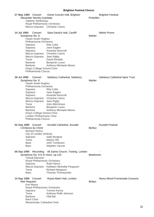|                                                                                                                                                                                                                                                                                               | DHYHIUH FESHVAI UHUHUS                                                                                                                                                                         |                                                  |  |
|-----------------------------------------------------------------------------------------------------------------------------------------------------------------------------------------------------------------------------------------------------------------------------------------------|------------------------------------------------------------------------------------------------------------------------------------------------------------------------------------------------|--------------------------------------------------|--|
| 27 May 1990 Concert<br>Alexander Nevsky (cantata)<br>Vladimir Ashkenazy<br>Royal Philharmonic Orchestra                                                                                                                                                                                       | Dome Concert Hall, Brighton<br>Mezzo-Soprano Christine Cairns                                                                                                                                  | <b>Brighton Festival</b><br>Prokofiev            |  |
| 14 Jul 1990<br>Concert<br>Symphony No. 8<br><b>Owain Arwel Hughes</b><br>Philharmonia Orchestra<br>Soprano<br>Soprano<br>Soprano<br>Mezzo-Soprano<br>Mezzo-Soprano<br>Tenor<br><b>Baritone</b><br><b>Baritone</b><br>King's College School Choir<br>Philharmonia Chorus                       | Saint David's Hall, Cardiff<br><b>Rita Cullis</b><br>Jane Eaglen<br>Amanda Roocroft<br><b>Christine Cairns</b><br>Jean Rigby<br>David Rendall<br>Benjamin Luxon<br>Anthony Michaels-Moore      | <b>Welsh Proms</b><br>Mahler                     |  |
| 28 Jul 1990<br>Concert<br>Symphony No. 8<br>Owain Arwel Hughes<br>Philharmonia Orchestra<br>Soprano<br>Soprano<br>Soprano<br>Mezzo-Soprano<br>Mezzo-Soprano<br>Tenor<br><b>Baritone</b><br><b>Baritone</b><br>King's College School Choir<br>London Philharmonic Choir<br>Philharmonia Chorus | Salisbury Cathedral, Salisbury<br><b>Rita Cullis</b><br>Jane Eaglen<br>Amanda Roocroft<br><b>Christine Cairns</b><br>Jean Rigby<br>John Mitchinson<br>Benjamin Luxon<br>Anthony Michaels-Moore | <b>Salisbury Cathedral Spire Trust</b><br>Mahler |  |
| 02 Sep 1990<br>Concert<br>L'Enfance du Christ<br><b>Richard Hickox</b><br>City of London Sinfonia<br>Soprano<br>Tenor<br><b>Bass</b><br>Bass                                                                                                                                                  | Arundel Cathedral, Arundel<br><b>Sally Burgess</b><br>Martyn Hill<br>John Tomlinson<br>Stephen Varcoe                                                                                          | <b>Arundel Festival</b><br><b>Berlioz</b>        |  |
| 06 Sep 1990<br>Recording<br>Symphony No. 9 in D minor, op.125<br>Yehudi Menuhin<br>Royal Philharmonic Orchestra<br>Soprano<br>Mezzo-Soprano<br>Tenor<br><b>Bass</b>                                                                                                                           | All Saints Church, Tooting, London<br><b>Ruth Falcon</b><br>Kathleen McKellar-Ferguson<br>Richard Margison<br><b>Thomas Thomaschke</b>                                                         | <b>Beethoven</b>                                 |  |
| 14 Sep 1990 Concert<br>War Requiem<br><b>Kurt Masur</b><br>Royal Philharmonic Orchestra<br>Soprano<br>Tenor<br><b>Baritone</b><br><b>Bach Choir</b><br>Westminster Cathedral Choir                                                                                                            | Royal Albert Hall, London<br>Yvonne Kenny<br>Anthony Rolfe Johnson<br>Olaf Bar                                                                                                                 | Henry Wood Promenade Concerts<br><b>Britten</b>  |  |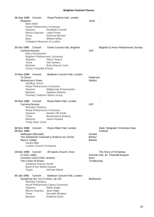26 Sep 1990 Concert Royal Festival Hall, London Requiem Verdi Mark Elder Royal Philharmonic Orchestra<br>Soprano Blizabeth Co Elizabeth Connell Mezzo-Soprano Linda Finnie Tenor Edmund Barham Bass Willard White Collegium Musicum of London **20 Oct 1990** Concert Dome Concert Hall, Brighton **Brighton & Hove Philharmonic Society** Carmina Burana Orff Barry Wordsworth Brighton Philharmonic Orchestra Soprano Alison Pearce Tenor Neil Jenkins Baritone Brian Rayner Cook Christ's Hospital School 14 Nov 1990 Concert Barbican Concert Hall, London Te Deum<br>
Belshazzar's Feast<br>
Patterson Nelson and Malton Belshazzar's Feast Geoffrey Simon Royal Philharmonic Orchestra<br>Soprano Malgorzata Malgorzata Armanowska Baritone Stephen Roberts Finchley Children's Music Group 25 Nov 1990 Concert Royal Albert Hall, London Carmina Burana Orff Nicholas Cleobury Royal Philharmonic Orchestra Soprano Marilyn Hill Smith Tenor Bonaventura Bottone Baritone Jason Howard Trinity Boys' Choir **08 Dec 1990** Concert Royal Albert Hall, London **Daily Telegraph Christmas Gala 09 Dec 1990** Festival Hallelujah (Messiah) Handel<br>The Shepherds' Farewell (L'Enfance du Christ) Handel Berlioz The Shepherds' Farewell (L'Enfance du Christ) Berlioz<br>Mary's Lullaby Bardos Mary's Lullaby James Blair London Concert Orchestra 19 Dec 1990 Concert All Saints Church, Hove The Story of Christmas In Dulci Jubilo German trad. arr. Pearsall/Jacques Coventry Carol (1591 version) anon. The Crown of Roses The Crown of Roses The Crown of Roses The Tchaikovsky Jonathan Grieves-Smith Band of the Welsh Guards Organ Michael Maine **05 Jan 1991** Concert Barbican Concert Hall, London - Symphony No. 9 in D minor, op.125 Beethoven Nicholas Cleobury Royal Philharmonic Opera Orchestra Soprano Marie Angel Mezzo-Soprano Jean Rigby Tenor Kenneth Woolam Baritone Roderick Earle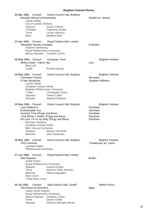|             | 30 Mar 1991 Concert<br>Messiah (Mozart orchestration)<br>Laszlo Heltay<br>City of London Sinfonia<br>Soprano<br>Contralto<br>Tenor<br><b>Bass</b>                                                                                                 | Dome Concert Hall, Brighton<br>Susan Chilcott<br><b>Catherine Denley</b><br>Lynton Atkinson<br><b>Matthew Best</b> |                                                          | Handel arr. Mozart                                 |
|-------------|---------------------------------------------------------------------------------------------------------------------------------------------------------------------------------------------------------------------------------------------------|--------------------------------------------------------------------------------------------------------------------|----------------------------------------------------------|----------------------------------------------------|
| 23 Apr 1991 | Concert<br>Alexander Nevsky (cantata)<br>Vladimir Ashkenazy<br>Royal Philharmonic Orchestra<br>Mezzo-Soprano Christine Cairns                                                                                                                     | Royal Festival Hall, London                                                                                        | Prokofiev                                                |                                                    |
|             | 03 May 1991 Concert<br>Mother Earth - Father Sky<br><b>Bing Lyle</b><br>Guitar                                                                                                                                                                    | Kingsway, Hove<br><b>Richard Spong</b>                                                                             | Lyle                                                     | <b>Brighton Festival</b>                           |
|             | 16 May 1991 Concert<br><b>Chichester Psalms</b><br>A Sea Symphony<br>Laszlo Heltay<br>Jonathan Grieves-Smith<br>Brighton Philharmonic Orchestra<br>Treble<br>Soprano<br><b>Baritone</b>                                                           | Dome Concert Hall, Brighton<br>Christopher Jones<br><b>Teresa Cahill</b><br><b>Stephen Roberts</b>                 | <b>Bernstein</b>                                         | <b>Brighton Festival</b><br>Vaughan Williams       |
|             | 25 May 1991 Concert<br>Love Walked In<br>Embraceable You<br>Summer Time (Porgy and Bess)<br>I Got Plenty o' Nuttin' (Porgy and Bess)<br>Nicholas Cleobury<br>Jonathan Grieves-Smith<br><b>BBC Concert Orchestra</b><br>Soprano<br><b>Baritone</b> | Dome Concert Hall, Brighton<br>Oh Lord, I'm on my Way (Porgy and Bess)<br>Marilyn Hill Smith<br>John Cashmore      | Gershwin<br>Gershwin<br>Gershwin<br>Gershwin<br>Gershwin | <b>Brighton Festival</b>                           |
|             | 26 May 1991 Concert<br>1812 Overture<br><b>Leonard Slatkin</b><br>Philharmonia Orchestra                                                                                                                                                          | Dome Concert Hall, Brighton                                                                                        |                                                          | <b>Brighton Festival</b><br>Tchaikovsky arr. Davis |
| 27 Jun 1991 | Concert<br>War Requiem<br>André Previn<br>Royal Philharmonic Orchestra<br>Soprano<br>Tenor<br>Baritone<br><b>Bach Choir</b><br>Trinity Boys' Choir                                                                                                | Royal Festival Hall, London<br>Andrea Gruber<br>Anthony Rolfe Johnson<br>Håkan Hagegård                            | <b>Britten</b>                                           |                                                    |
| 20 Jul 1991 | Concert<br>The Dream of Gerontius<br><b>Owain Arwel Hughes</b><br>Royal Philharmonic Orchestra<br>Mezzo-Soprano Christine Cairns<br>Tenor<br><b>Baritone</b>                                                                                      | Saint David's Hall, Cardiff<br>Dennis O'Neil<br>Anthony Michaels-Moore                                             | Elgar                                                    | <b>Welsh Proms</b>                                 |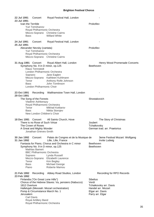| 22 Jul 1991<br>23 Jul 1991<br>Ivan the Terrible                 | Concert<br>Yuri Temirkanov                                                                                              | Royal Festival Hall, London                                                                                                                                                                                                                                     | Prokofiev                                                        |                                                        |
|-----------------------------------------------------------------|-------------------------------------------------------------------------------------------------------------------------|-----------------------------------------------------------------------------------------------------------------------------------------------------------------------------------------------------------------------------------------------------------------|------------------------------------------------------------------|--------------------------------------------------------|
| <b>Bass</b>                                                     | Royal Philharmonic Orchestra                                                                                            | Mezzo-Soprano Christine Cairns<br><b>Willard White</b>                                                                                                                                                                                                          |                                                                  |                                                        |
| 24 Jul 1991<br>25 Jul 1991                                      | Concert                                                                                                                 | Royal Festival Hall, London                                                                                                                                                                                                                                     |                                                                  |                                                        |
|                                                                 | Alexander Nevsky (cantata)<br>Yuri Temirkanov<br>Royal Philharmonic Orchestra                                           | Mezzo-Soprano Christine Cairns                                                                                                                                                                                                                                  | Prokofiev                                                        |                                                        |
| 31 Aug 1991 Concert<br>Soprano<br>Tenor<br><b>Bass</b>          | <b>Klaus Tennstedt</b><br>London Philharmonic Choir                                                                     | Royal Albert Hall, London<br>Symphony No. 9 in D minor, op.125<br>London Philharmonic Orchestra<br>Jane Eaglen<br>Mezzo-Soprano Kathleen Kuhlmann<br>Anthony Rolfe Johnson<br>John Tomlinson                                                                    | Beethoven                                                        | Henry Wood Promenade Concerts                          |
| 23 Oct 1991<br>29 Oct 1991                                      |                                                                                                                         | Recording Walthamstow Town Hall, London                                                                                                                                                                                                                         |                                                                  |                                                        |
| Tenor<br>Bass                                                   | The Song of the Forests<br>Vladimir Ashkenazy<br>Royal Philharmonic Orchestra<br>New London Children's Choir            | <b>Mikhail Kotliarov</b><br>Nikita Storojev                                                                                                                                                                                                                     | Shostakovich                                                     |                                                        |
| 18 Dec 1991                                                     | Concert<br>There is no Rose of Such Virtue<br>The Crown of Roses<br>A Great and Mighty Wonder<br>Jonathan Grieves-Smith | All Saints Church, Hove                                                                                                                                                                                                                                         | Joubert<br>Tchaikovsky                                           | The Story of Christmas<br>German trad. arr. Praetorius |
| 30 Jan 1992<br>31 Jan 1992<br>Soprano<br>Tenor<br>Bass<br>Piano | Concert<br><b>Mathias Bamert</b><br><b>BBC Philharmonic Orchestra</b>                                                   | Palais de Congres et de la Musique de<br>Lille, Lille, France<br>Fantasia for Piano, Chorus and Orchestra in C minor<br>Symphony No. 9 in D minor, op.125<br>Lynda Russell<br>Mezzo-Soprano Elizabeth Laurence<br>Kim Begley<br>Michael George<br>Roberte Mamou | <b>Beethoven</b><br>Beethoven                                    | 3eme Festival Mozart: Wolfgang<br>Invite Ludwig        |
| 21 Feb 1992<br>23 Feb 1992                                      | Recording                                                                                                               | Abbey Road Studios, London                                                                                                                                                                                                                                      |                                                                  | Recording for RPO Records                              |
| 1812 Overture<br>Jerusalem<br><b>Carl Davis</b>                 | Finlandia ("On Great Lone Hills")<br>Royal Artillery Band<br>Royal Philharmonic Orchestra                               | Chorus of the Hebrew Slaves: Va, pensiero (Nabucco)<br>Hallelujah (Messiah: Mozart orchestration)<br>Pomp & Circumstance March No. 1                                                                                                                            | <b>Sibelius</b><br>Verdi<br>Elgar arr. Davis<br>Parry arr. Elgar | Tchaikovsky arr. Davis<br>Handel arr. Mozart           |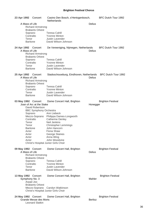| 23 Apr 1992                                                                                                          | Concert                                                                                       | Casino Den Bosch, s'Hertogenbosch,<br>Netherlands                                                                                                                                                                                                                             |                | BFC Dutch Tour 1992      |
|----------------------------------------------------------------------------------------------------------------------|-----------------------------------------------------------------------------------------------|-------------------------------------------------------------------------------------------------------------------------------------------------------------------------------------------------------------------------------------------------------------------------------|----------------|--------------------------|
| A Mass of Life                                                                                                       | <b>Richard Armstrong</b><br><b>Brabants Orkest</b>                                            |                                                                                                                                                                                                                                                                               | <b>Delius</b>  |                          |
| Soprano<br>Contralto<br>Tenor<br>Baritone                                                                            |                                                                                               | <b>Teresa Cahill</b><br><b>Yvonne Minton</b><br><b>Justin Lavender</b><br>David Wilson-Johnson                                                                                                                                                                                |                |                          |
| 24 Apr 1992 Concert<br>A Mass of Life                                                                                | <b>Richard Armstrong</b><br><b>Brabants Orkest</b>                                            | De Vereeniging, Nijmegen, Netherlands                                                                                                                                                                                                                                         | Delius         | BFC Dutch Tour 1992      |
| Soprano<br>Tenor<br>Baritone                                                                                         | Contralto                                                                                     | <b>Teresa Cahill</b><br><b>Yvonne Minton</b><br><b>Justin Lavender</b><br>David Wilson-Johnson                                                                                                                                                                                |                |                          |
| 25 Apr 1992 Concert<br>A Mass of Life                                                                                | <b>Richard Armstrong</b>                                                                      | Stadsschouwburg, Eindhoven, Netherlands BFC Dutch Tour 1992                                                                                                                                                                                                                   | <b>Delius</b>  |                          |
| Soprano<br>Tenor                                                                                                     | <b>Brabants Orkest</b><br>Contralto<br>Baritone                                               | <b>Teresa Cahill</b><br><b>Yvonne Minton</b><br><b>Justin Lavender</b><br>David Wilson-Johnson                                                                                                                                                                                |                |                          |
| 03 May 1992 Concert<br>Soprano<br>Contralto<br>Tenor<br>Tenor<br><b>Baritone</b><br>Actor<br>Actor<br>Actor<br>Actor | Joan of Arc at the Stake<br>David Robertson<br><b>BBC Symphony Orchestra</b><br>Mezzo-Soprano | Dome Concert Hall, Brighton<br>Ann Liebeck<br>Philippa Dames-Longworth<br><b>Catherine Denley</b><br><b>Neil Jenkins</b><br><b>Christopher Lemmings</b><br>John Hancorn<br>Fiona Shaw<br>George Staines<br>Anna Wing<br>John Woodvine<br>Christ's Hospital Junior Girls Choir | Honegger       | <b>Brighton Festival</b> |
| 09 May 1992 Concert<br>A Mass of Life<br>Soprano<br>Contralto<br>Tenor<br>Baritone                                   | <b>Richard Armstrong</b><br><b>Brabants Orkest</b>                                            | Dome Concert Hall, Brighton<br>Teresa Cahill<br><b>Yvonne Minton</b><br><b>Justin Lavender</b><br>David Wilson-Johnson                                                                                                                                                        | <b>Delius</b>  | <b>Brighton Festival</b> |
| 13 May 1992 Concert<br>Symphony No. 3                                                                                | Arpad Joo<br><b>Brabants Orkest</b><br>Mezzo-Soprano                                          | Dome Concert Hall, Brighton<br>Carolyn Watkinson<br>Christ's Hospital Junior Girls Choir                                                                                                                                                                                      | Mahler         | <b>Brighton Festival</b> |
| 24 May 1992 Concert                                                                                                  | Grande Messe des Morts<br><b>Leonard Slatkin</b>                                              | Dome Concert Hall, Brighton                                                                                                                                                                                                                                                   | <b>Berlioz</b> | <b>Brighton Festival</b> |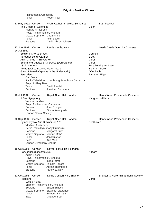| Philharmonia Orchestra<br>Tenor                                                                                                                                                                                      | <b>Robert Tear</b>                                                                                                                                                                      |                                                                                                                         |
|----------------------------------------------------------------------------------------------------------------------------------------------------------------------------------------------------------------------|-----------------------------------------------------------------------------------------------------------------------------------------------------------------------------------------|-------------------------------------------------------------------------------------------------------------------------|
| 27 May 1992 Concert<br>The Dream of Gerontius<br><b>Richard Armstrong</b><br>Royal Philharmonic Orchestra<br>Mezzo-Soprano Linda Finnie<br>Tenor<br>Baritone                                                         | Wells Cathedral, Wells, Somerset<br><b>Keith Lewis</b><br>David Wilson-Johnson                                                                                                          | <b>Bath Festival</b><br>Elgar                                                                                           |
| 27 Jun 1992 Concert<br>04 Jul 1992                                                                                                                                                                                   | Leeds Castle, Kent                                                                                                                                                                      | Leeds Castle Open Air Concerts                                                                                          |
| Soldiers' Chorus (Faust)<br>Toreador Song (Carmen)<br>Anvil Chorus (Il Trovatore)<br>1812 Overture<br>Pomp & Circumstance March No. 1<br>Jerusalem<br><b>Carl Davis</b><br>Royal Artillery Band<br>Tenor<br>Baritone | Scena and Duetto: E lui! Desso (Don Carlos)<br>Galop Infernal (Orpheus in the Underworld)<br>Radio-Television Luxembourg Symphony Orchestra<br>David Rendall<br><b>Jonathan Summers</b> | Gounod<br><b>Bizet</b><br>Verdi<br>Verdi<br>Tchaikovsky arr. Davis<br>Elgar arr. Davis<br>Offenbach<br>Parry arr. Elgar |
| 18 Jul 1992<br>Concert<br>A Sea Symphony<br>Vernon Handley<br>Royal Philharmonic Orchestra<br>Soprano<br><b>Baritone</b><br><b>London Choral Society</b>                                                             | Royal Albert Hall, London<br>Joan Rodgers<br>Simon Keenlyside                                                                                                                           | Henry Wood Promenade Concerts<br>Vaughan Williams                                                                       |
| 06 Sep 1992 Concert<br>Symphony No. 9 in D minor, op.125<br>Vladimir Ashkenazy<br>Soprano<br>Mezzo-Soprano<br>Tenor<br><b>Bass</b><br>London Symphony Chorus                                                         | Royal Albert Hall, London<br>Berlin Radio Symphony Orchestra<br><b>Margaret Price</b><br>Martine Mahé<br>Jan Blinkhof<br>Kurt Moll                                                      | Henry Wood Promenade Concerts<br>Beethoven                                                                              |
| 15 Oct 1992<br>Concert<br>Háry János (concert suite)<br>Adám Fischer<br>Royal Philharmonic Orchestra<br>Soprano<br>Mezzo-Soprano<br>Tenor<br><b>Baritone</b>                                                         | Royal Festival Hall, London<br>Ingrid Attrot<br><b>Tamara Takács</b><br>Adrian Thompson<br>Károly Szilágyi                                                                              | Kodály                                                                                                                  |
| 31 Oct 1992<br>Concert<br>Requiem<br>Laszlo Heltay<br><b>Brighton Philharmonic Orchestra</b><br>Soprano<br>Mezzo-Soprano<br>Tenor<br><b>Bass</b>                                                                     | Dome Concert Hall, Brighton<br>Susan Bullock<br><b>Elizabeth Laurence</b><br><b>Edmund Barham</b><br><b>Matthew Best</b>                                                                | Brighton & Hove Philharmonic Society<br>Verdi                                                                           |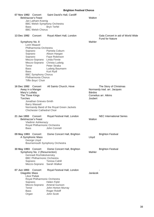|                | 07 Nov 1992 Concert<br><b>Belshazzar's Feast</b><br>Jan Latham-Koenig<br><b>Bass</b><br><b>BBC Welsh Chorus</b>                                                                                                                                            | Saint David's Hall, Cardiff<br><b>BBC Welsh Symphony Orchestra</b><br><b>Bryn Terfel</b>                                             | Walton                   |                                                                                |
|----------------|------------------------------------------------------------------------------------------------------------------------------------------------------------------------------------------------------------------------------------------------------------|--------------------------------------------------------------------------------------------------------------------------------------|--------------------------|--------------------------------------------------------------------------------|
| 13 Dec 1992    | Concert                                                                                                                                                                                                                                                    | Royal Albert Hall, London                                                                                                            |                          | Gala Concert in aid of World Wide<br><b>Fund for Nature</b>                    |
|                | Symphony No. 8<br>Lorin Maazel<br>Philharmonia Orchestra<br>Soprano<br>Soprano<br>Soprano<br>Mezzo-Soprano Linda Finnie<br>Mezzo-Soprano<br>Tenor<br><b>Bass</b><br><b>Bass</b><br><b>BBC Symphony Chorus</b><br>Philharmonia Chorus<br>Tiffin Boys' Choir | Pamela Coburn<br>Alison Hargan<br>Faye Robinson<br>Christa Ludwig<br>Peter Straka<br>Ludwig Baumann<br>Kurt Rydl                     | Mahler                   |                                                                                |
| <b>Torches</b> | 16 Dec 1992 Concert<br>Away in a Manger<br>Mary's Lullaby<br>The Three Kings<br>Jonathan Grieves-Smith<br><b>Barry Wassell</b><br><b>Chichester Cathedral Choir</b>                                                                                        | All Saints Church, Hove<br>Normandy Band of the Royal Green Jackets                                                                  | <b>Bárdos</b><br>Joubert | The Story of Christmas<br>Normandy trad. arr. Jacques<br>Cornelius arr. Atkins |
| 21 Jan 1993    | Concert<br><b>Belshazzar's Feast</b><br>Vladimir Ashkenazy<br>Royal Philharmonic Orchestra<br><b>Bass</b>                                                                                                                                                  | Royal Festival Hall, London<br>John Connell                                                                                          | Walton                   | <b>NEC International Series</b>                                                |
|                | 09 May 1993 Concert<br>A Symphonic Mass<br>George Lloyd                                                                                                                                                                                                    | Dome Concert Hall, Brighton<br>Bournemouth Symphony Orchestra                                                                        | Lloyd                    | <b>Brighton Festival</b>                                                       |
|                | 30 May 1993 Concert<br>Symphony No. 2 (Resurrection)<br>Gennadi Rozhdestvensky<br><b>BBC Philharmonic Orchestra</b><br>Soprano<br>Mezzo-Soprano Sarah Walker                                                                                               | Dome Concert Hall, Brighton<br><b>Teresa Cahill</b>                                                                                  | Mahler                   | <b>Brighton Festival</b>                                                       |
| 07 Jun 1993    | Concert<br><b>Glagolitic Mass</b><br>Libor Pešek<br>Royal Philharmonic Orchestra<br>Soprano<br>Tenor<br><b>Bass</b><br>Organ                                                                                                                               | Royal Festival Hall, London<br><b>Helen Field</b><br>Mezzo-Soprano Ameral Gunson<br>John Horton Murray<br>Roger Roloff<br>John Scott | Janácek                  |                                                                                |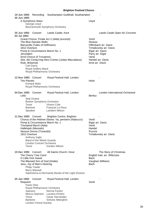| 19 Jun 1993<br>20 Jun 1993                                          | Recording<br>A Symphonic Mass<br>George Lloyd                                                                                                       | Southampton Guildhall, Southampton<br>Bournemouth Symphony Orchestra                                                                        | Lloyd                                                                                                                                                              |
|---------------------------------------------------------------------|-----------------------------------------------------------------------------------------------------------------------------------------------------|---------------------------------------------------------------------------------------------------------------------------------------------|--------------------------------------------------------------------------------------------------------------------------------------------------------------------|
| 25 Jun 1993<br>03 Jul 1993                                          | Concert                                                                                                                                             | Leeds Castle, Kent                                                                                                                          | Leeds Castle Open Air Concerts                                                                                                                                     |
| 1812 Overture<br>Jerusalem<br>Rule, Britannia!<br><b>Carl Davis</b> | The Blue Danube Waltz<br>Barcarolle (Tales of Hoffmann)<br>Anvil Chorus (Il Trovatore)<br>Royal Artillery Band<br>Royal Philharmonic Orchestra      | Grand Chorus, Finale Act 2 (Aida) (excerpt)<br>Pomp & Circumstance March No. 1<br>See, the Conqu'ring Hero Comes (Judas Maccabeus)          | Verdi<br><b>Strauss</b><br>Offenbach arr. Davis<br>Tchaikovsky arr. Davis<br>Elgar arr. Davis<br>Parry arr. Elgar<br>Verdi<br>Handel arr. Davis<br>Arne arr. Davis |
| 12 Nov 1993 Concert<br>The Planets                                  | <b>Enrique Batiz</b><br>Royal Philharmonic Orchestra                                                                                                | Royal Festival Hall, London                                                                                                                 | Holst                                                                                                                                                              |
| 04 Dec 1993 Concert<br>Lelio<br>Tenor<br><b>Baritone</b><br>Speaker | Seiji Ozawa<br>Boston Symphony Orchestra                                                                                                            | Royal Festival Hall, London<br>Vinson Cole<br>François Le Roux<br><b>Lambert Wilson</b>                                                     | London International Orchestral<br><b>Berlioz</b>                                                                                                                  |
| 11 Dec 1993 Concert<br>1812 Overture<br>Tenor                       | Triumphal March (Aida)<br>Hallelujah (Messiah)<br>Nessun Dorma (Turandot)<br>Anthony Inglis<br>Band of the Welsh Guards<br>London Concert Orchestra | <b>Brighton Centre, Brighton</b><br>Chorus of the Hebrew Slaves: Va, pensiero (Nabucco)<br>Pomp & Circumstance March No. 1<br>Gordon Wilson | Verdi<br>Elgar arr. Davis<br>Verdi<br>Handel<br>Puccini<br>Tchaikovsky arr. Davis                                                                                  |
| 15 Dec 1993<br>O Little One Sweet                                   | Concert<br>The Cherry Tree Carol<br>The Blessed Son of God (Hodie)<br>Jesu, Joy of Man's Desiring<br><b>Philip Towler</b><br><b>Barry Wassell</b>   | All Saints Church, Hove<br>Salamanca & Normandy Bands of the Light Division                                                                 | The Story of Christmas<br>English trad. arr. Willcocks<br>Bach<br>Vaughan Williams<br>Bach                                                                         |
| 25 Jan 1994<br>Requiem<br>Soprano<br>Tenor<br><b>Baritone</b>       | Concert<br>Paolo Olmi<br>Royal Philharmonic Orchestra<br>Mezzo-Soprano<br><b>London Choral Society</b>                                              | Royal Festival Hall, London<br>Norma Fantini<br>Luciana d'Intino<br>César Hernández<br>Simone Alberghini                                    | Verdi                                                                                                                                                              |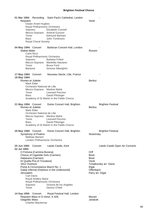**01 Mar 1994** Recording Saint Paul's Cathedral, London - Requiem Verdi Owain Arwel Hughes Royal Philharmonic Orchestra<br>Soprano Elizabeth Co Elizabeth Connell Mezzo-Soprano Ameral Gunson Tenor Edmund Barham Bass John Tomlinson Royal Choral Society 04 May 1994 Concert Barbican Concert Hall, London Stabat Mater **National Stabat Mater Rossini** Carlo Rizzi Royal Philharmonic Orchestra Soprano Barbara Frittoli Mezzo-Soprano Markella Hatziano Tenor Bruce Ford Baritone Simone Alberghini 17 May 1994 Concert Nouveau Siecle, Lille, France **18 May 1994** Romeo et Juliette **Berlioz** Mark Elder Orchestre National de Lille Mezzo-Soprano Martine Mahé Tenor Leonard Pezzino Bass David Pittsinger Academy of St Martin in the Fields Chorus 21 May 1994 Concert Dome Concert Hall, Brighton **Brighton Festival** Romeo et Juliette Berlioz Mark Elder Orchestre National de Lille Mezzo-Soprano Martine Mahé Tenor Leonard Pezzino Bass David Pittsinger Academy of St Martin in the Fields Chorus 29 May 1994 Concert Dome Concert Hall, Brighton **Brighton Festival** Symphony of Psalms Symphony of Psalms Mathias Bamert London Philharmonic Orchestra **25 Jun 1994** Concert Leeds Castle, Kent Leeds Castle Open Air Concerts **02 Jul 1994** O Fortuna (Carmina Burana) **Orff** Chorus of Cigarette Girls (Carmen) Bizet Habanera (Carmen) Bizet Di Quella Pira (Il Trovatore) Verdi 1812 Overture Tchaikovsky arr. Davis Pomp & Circumstance March No. 1 Elgar Galop Infernal (Orpheus in the Underworld) Cffenbach Jerusalem Parry arr. Elgar Carl Davis Royal Artillery Band Royal Philharmonic Orchestra Soprano Victoria de los Angeles<br>Tenor Dennis O'Neil Dennis O'Neil 14 Sep 1994 Concert Royal Festival Hall, London Requiem Mass in D minor, K 626 Mozart Glagolitic Mass Janácek

Charles Mackerras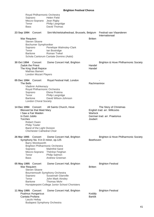|             | Royal Philharmonic Orchestra<br>Soprano<br>Mezzo-Soprano<br>Tenor<br><b>Bass</b>                                                                                                                                       | <b>Helen Field</b><br>Jean Rigby<br>Philip Langridge<br>David Thomas                                                                                                              |                    |                                                                                        |
|-------------|------------------------------------------------------------------------------------------------------------------------------------------------------------------------------------------------------------------------|-----------------------------------------------------------------------------------------------------------------------------------------------------------------------------------|--------------------|----------------------------------------------------------------------------------------|
| 23 Sep 1994 | Concert                                                                                                                                                                                                                | Sint-Michielskathedraal, Brussels, Belgium Festival van Vlaanderen                                                                                                                |                    | Internationaal                                                                         |
|             | War Requiem<br><b>Steven Sloane</b><br>Bochumer Symphoniker<br>Soprano<br>Tenor<br><b>Baritone</b>                                                                                                                     | Penelope Walmsley-Clark<br>lan Bostridge<br><b>Roman Trekel</b><br>Schola Cantorum Cantate Domino (Aalst)                                                                         | <b>Britten</b>     |                                                                                        |
| 30 Oct 1994 | Concert<br><b>Zadok the Priest</b><br>The King Shall Rejoice<br><b>Mathias Bamert</b><br><b>London Mozart Players</b>                                                                                                  | Dome Concert Hall, Brighton                                                                                                                                                       | Handel<br>Handel   | Brighton & Hove Philharmonic Society                                                   |
|             | 05 Dec 1994 Concert<br>The Bells<br>Vladimir Ashkenazy<br>Royal Philharmonic Orchestra<br>Soprano<br>Tenor<br><b>Baritone</b><br><b>London Choral Society</b>                                                          | Royal Festival Hall, London<br>Elena Prokina<br>Philip Langridge<br>David Wilson-Johnson                                                                                          | Rachmaninov        |                                                                                        |
|             | 14 Dec 1994 Concert<br>Blessed be that Maid Mary<br>I Saw a Fair Maiden<br>In Dulci Jubilo<br><b>Torches</b><br>Robert Owen<br><b>Philip Towler</b><br>Band of the Light Division<br><b>Chichester Cathedral Choir</b> | All Saints Church, Hove                                                                                                                                                           | Warlock<br>Joubert | The Story of Christmas<br>English trad. arr. Willcocks<br>German trad. arr. Praetorius |
| 26 Mar 1995 | Concert<br>Symphony No. 9 in D minor, op.125<br>Barry Wordsworth<br><b>Brighton Philharmonic Orchestra</b><br>Soprano<br>Mezzo-Soprano<br>Tenor<br><b>Bass</b>                                                         | Dome Concert Hall, Brighton<br><b>Malmfrid Sand</b><br>Thérèse Feighan<br>Philip Salmon<br>Andrew Greenan                                                                         | Beethoven          | Brighton & Hove Philharmonic Society                                                   |
|             | 05 May 1995 Concert<br>War Requiem<br><b>Steven Sloane</b><br>Soprano<br>Tenor<br><b>Baritone</b>                                                                                                                      | Dome Concert Hall, Brighton<br>Bournemouth Symphony Orchestra<br>Susannah Glanville<br>John Mark Ainsley<br><b>Thomas Mohr</b><br>Hurstpierpoint College Junior School Choristers | <b>Britten</b>     | <b>Brighton Festival</b>                                                               |
|             | 11 May 1995 Concert<br><b>Psalmus Hungaricus</b><br>Cantata Profana<br>Laszlo Heltay<br><b>Budapest Symphony Orchestra</b>                                                                                             | Dome Concert Hall, Brighton                                                                                                                                                       | Kodály<br>Bartók   | <b>Brighton Festival</b>                                                               |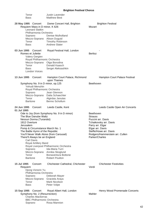| Tenor<br><b>Bass</b>                                                                                                                                                                                                                                                                                                                                 | <b>Justin Lavender</b><br><b>Matthew Best</b>                                                                                                                                      |                                                                                                                                                                                                    |
|------------------------------------------------------------------------------------------------------------------------------------------------------------------------------------------------------------------------------------------------------------------------------------------------------------------------------------------------------|------------------------------------------------------------------------------------------------------------------------------------------------------------------------------------|----------------------------------------------------------------------------------------------------------------------------------------------------------------------------------------------------|
| 28 May 1995 Concert<br>Requiem Mass in D minor, K 626<br><b>Leonard Slatkin</b><br>Philharmonia Orchestra<br>Soprano<br>Mezzo-Soprano Alison Duguid<br>Tenor<br><b>Bass</b>                                                                                                                                                                          | Dome Concert Hall, Brighton<br>Denise Mulholland<br><b>Timothy Robinson</b><br><b>Andrew Slater</b>                                                                                | <b>Brighton Festival</b><br>Mozart                                                                                                                                                                 |
| 03 Jun 1995<br>Concert<br>Romeo et Juliette<br><b>Valery Gergiev</b><br>Royal Philharmonic Orchestra<br>Mezzo-Soprano<br>Tenor<br><b>Bass</b><br><b>London Voices</b>                                                                                                                                                                                | Royal Festival Hall, London<br>Olga Borodina<br>Donald Kaasch<br>Sergei Aleksashkin                                                                                                | <b>Berlioz</b>                                                                                                                                                                                     |
| 13 Jun 1995<br>Concert                                                                                                                                                                                                                                                                                                                               | Hampton Court Palace, Richmond<br>upon Thames                                                                                                                                      | Hampton Court Palace Festival                                                                                                                                                                      |
| Symphony No. 9 in D minor, op.125<br>Yehudi Menuhin<br>Royal Philharmonic Orchestra<br>Soprano<br>Tenor<br><b>Baritone</b>                                                                                                                                                                                                                           | Jean Glennon<br>Mezzo-Soprano Dalia Schaechter<br>Algirdas Janutas<br><b>Benno Schollum</b>                                                                                        | Beethoven                                                                                                                                                                                          |
| 24 Jun 1995<br>Concert                                                                                                                                                                                                                                                                                                                               | Leeds Castle, Kent                                                                                                                                                                 | Leeds Castle Open Air Concerts                                                                                                                                                                     |
| 01 Jul 1995<br>The Blue Danube Waltz<br>Nessun Dorma (Turandot)<br>1812 Overture<br>Jerusalem<br>Pomp & Circumstance March No. 1<br>The Battle Hymn of the Republic<br>You'll Never Walk Alone (from Carousel)<br>There'll Always be an England<br><b>Carl Davis</b><br>Royal Artillery Band<br>Soprano<br>Mezzo-Soprano<br>Tenor<br><b>Baritone</b> | Ode to Joy (from Symphony No. 9 in D minor)<br>Royal Liverpool Philharmonic Orchestra<br>Ida-Maria Turri<br>Annika Skoglund<br><b>Bonaventura Bottone</b><br><b>Robert Poulton</b> | Beethoven<br><b>Strauss</b><br>Puccini arr. Davis<br>Tchaikovsky arr. Davis<br>Parry arr. Elgar<br>Elgar arr. Davis<br>Steffe/Howe arr. Davis<br>Rodgers/Hammerstein arr. Cullen<br>Parker/Charles |
| 15 Jul 1995<br>Concert<br>Requiem<br>Djong Victorin Yu<br>Philharmonia Orchestra<br>Soprano<br>Mezzo-Soprano<br>Tenor<br><b>Bass</b>                                                                                                                                                                                                                 | Chichester Cathedral, Chichester<br>Deborah Mayer<br>Graciela Araya<br>Mark Nicolson<br>Peter Volpe                                                                                | <b>Chichester Festivities</b><br>Verdi                                                                                                                                                             |
| 15 Sep 1995<br>Concert<br>Symphony No. 2 (Resurrection)<br><b>Charles Mackerras</b><br><b>BBC Philharmonic Orchestra</b><br>Soprano                                                                                                                                                                                                                  | Royal Albert Hall, London<br>Rosa Mannion                                                                                                                                          | Henry Wood Promenade Concerts<br>Mahler                                                                                                                                                            |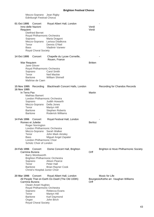| Mezzo-Soprano Jean Rigby<br><b>Edinburgh Festival Chorus</b>                                                                                                                                                    |                                                                                                                                              |                |                                                         |
|-----------------------------------------------------------------------------------------------------------------------------------------------------------------------------------------------------------------|----------------------------------------------------------------------------------------------------------------------------------------------|----------------|---------------------------------------------------------|
| 01 Oct 1995<br>Concert<br>Inno delle Nazioni<br>Requiem<br><b>Dietfried Bernet</b><br>Royal Philharmonic Orchestra<br>Soprano<br>Tenor<br><b>Bass</b><br><b>Royal Choral Society</b>                            | Royal Albert Hall, London<br>Maria Dragoni<br>Mezzo-Soprano Larissa Diadkova<br>Dennis O'Neil<br>Vladimir Vaneev                             | Verdi<br>Verdi |                                                         |
| 14 Oct 1995<br>Concert                                                                                                                                                                                          | Chapelle du Lycee Corneille,<br>Rouen, France                                                                                                |                |                                                         |
| War Requiem<br>Jane Glover<br>Royal Philharmonic Orchestra<br>Soprano<br>Tenor<br><b>Baritone</b><br>Maîtrise de Caen                                                                                           | <b>Carol Smith</b><br><b>Neil Mackie</b><br><b>William Shimell</b>                                                                           | <b>Britten</b> |                                                         |
| <b>15 Nov 1995</b><br>Recording<br>16 Nov 1995<br>In Terra Pax<br><b>Mathias Bamert</b><br>London Philharmonic Orchestra<br>Soprano<br>Mezzo-Soprano Della Jones<br>Tenor<br><b>Baritone</b><br><b>Baritone</b> | Blackheath Concert Halls, London<br>Judith Howarth<br>Martyn Hill<br><b>Stephen Roberts</b><br><b>Roderick Williams</b>                      | Martin         | Recording for Chandos Records                           |
| 14 Feb 1996<br>Concert<br>Romeo et Juliette<br>Roger Norrington<br>London Philharmonic Orchestra<br>Mezzo-Soprano<br>Tenor<br><b>Bass</b><br>London Philharmonic Choir<br>Schütz Choir of London                | Royal Festival Hall, London<br>Sarah Walker<br>John Mark Ainsley<br>Miguel Angel Zapater                                                     | <b>Berlioz</b> |                                                         |
| 24 Feb 1996<br>Concert<br>Carmina Burana<br>Barry Wordsworth<br><b>Brighton Philharmonic Orchestra</b><br>Soprano<br>Tenor<br><b>Baritone</b><br>Christ's Hospital Junior Choir                                 | Dome Concert Hall, Brighton<br><b>Alison Pearce</b><br>Peter Hall<br><b>Brian Rayner Cook</b>                                                | Orff           | Brighton & Hove Philharmonic Society                    |
| 20 Mar 1996<br>Concert<br>Carmina Burana<br><b>Owain Arwel Hughes</b><br>Royal Philharmonic Orchestra<br>Soprano<br>Tenor<br><b>Baritone</b><br>Organ                                                           | Royal Albert Hall, London<br>All People That on Earth Do Dwell (The Old 100th)<br>Rebecca Evans<br>Martyn Hill<br>Karl Daymond<br>John Birch | Orff           | Music for Life<br>Bourgeois/Kethe arr. Vaughan Williams |

Royal Choral Society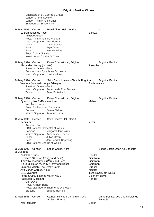Choristers of St. George's Chapel London Choral Society London Philharmonic Choir St. George's School Choir

| 26 Mar 1996<br>Concert<br>La Damnation de Faust<br>Philippe Auguin<br>Royal Philharmonic Orchestra<br>Mezzo-Soprano Ann Murray<br>Tenor<br><b>Bass</b><br><b>Bass</b><br><b>Royal Choral Society</b><br>New London Children's Choir                                                                                                                                                                        | Royal Albert Hall, London<br>David Rendall<br><b>Bryn Terfel</b><br>Jeremy White                                             | <b>Berlioz</b>                                                                                                                                                   |
|------------------------------------------------------------------------------------------------------------------------------------------------------------------------------------------------------------------------------------------------------------------------------------------------------------------------------------------------------------------------------------------------------------|------------------------------------------------------------------------------------------------------------------------------|------------------------------------------------------------------------------------------------------------------------------------------------------------------|
| 10 May 1996 Concert<br>Alexander Nevsky (cantata)<br>Jonathan Grieves-Smith<br>Bournemouth Symphony Orchestra<br>Mezzo-Soprano Louise Winter                                                                                                                                                                                                                                                               | Dome Concert Hall, Brighton                                                                                                  | <b>Brighton Festival</b><br>Prokofiev                                                                                                                            |
| 24 May 1996 Concert<br>Vespers (Vsenoshchnoye Bdeniye)<br>Jonathan Grieves-Smith<br>Tenor                                                                                                                                                                                                                                                                                                                  | Saint Bartholomew's Church, Brighton<br>Mezzo-Soprano Rebecca de Pont Davies<br>Peter Butterfield                            | <b>Brighton Festival</b><br>Rachmaninov                                                                                                                          |
| 26 May 1996 Concert<br>Symphony No. 2 (Resurrection)<br>Yuri Temirkanov<br>Royal Philharmonic Orchestra<br>Soprano                                                                                                                                                                                                                                                                                         | Dome Concert Hall, Brighton<br><b>Susan Chilcott</b><br>Mezzo-Soprano Katarina Karnéus                                       | <b>Brighton Festival</b><br>Mahler                                                                                                                               |
| 15 Jun 1996<br>Concert<br>Requiem<br><b>Andrew Litton</b><br><b>BBC National Orchestra of Wales</b><br>Soprano<br>Tenor<br><b>Bass</b><br><b>BBC National Chorus of Wales</b>                                                                                                                                                                                                                              | Saint David's Hall, Cardiff<br>Margaret Jane Wray<br>Mezzo-Soprano Anne-Marie Owens<br>Julian Gavin<br>Jan-Hendrik Rootering | Verdi                                                                                                                                                            |
| 29 Jun 1996<br>Concert<br>06 Jul 1996<br><b>Zadok the Priest</b><br>O, I Can't Sit Down (Porgy and Bess)<br>It Ain't Necessarily So (Porgy and Bess)<br>Oh Lord, I'm on my Way (Porgy and Bess)<br>Entrance March (The Gypsy Baron)<br>Ave Verum Corpus, K 618<br>1812 Overture<br>Pomp & Circumstance March No. 1<br>Hallelujah (Messiah)<br><b>Carl Davis</b><br>Royal Artillery Band<br><b>Baritone</b> | Leeds Castle, Kent<br>Royal Liverpool Philharmonic Orchestra<br>Eugene Holmes                                                | Leeds Castle Open Air Concerts<br>Handel<br>Gershwin<br>Gershwin<br>Gershwin<br><b>Strauss</b><br>Mozart<br>Tchaikovsky arr. Davis<br>Elgar arr. Davis<br>Handel |
| 13 Sep 1996<br>Concert<br>War Requiem                                                                                                                                                                                                                                                                                                                                                                      | Cathédrale Notre Dame d'Amiens,<br>Amiens, France                                                                            | 9eme Festival des Cathédrales de<br>Picardie<br><b>Britten</b>                                                                                                   |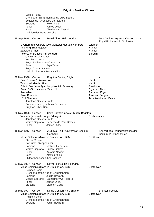Laszlo Heltay Orchestre Philharmonique du Luxembourg Solistes de l'Orchestre de Picardie Soprano Helen Field Tenor James Oxley Bass Charles van Tassel Maîtrise des Pays de Loire

| 15 Sep 1996 Concert |                                                |                                                                                                                                                                                       | Royal Albert Hall, London                                                                                                                                                                                                |                                                                                          | 50th Anniversary Gala Concert of the<br>Royal Philharmonic Orchestra |
|---------------------|------------------------------------------------|---------------------------------------------------------------------------------------------------------------------------------------------------------------------------------------|--------------------------------------------------------------------------------------------------------------------------------------------------------------------------------------------------------------------------|------------------------------------------------------------------------------------------|----------------------------------------------------------------------|
|                     | <b>Bass</b>                                    | The King Shall Rejoice<br>Zadok the Priest<br>Polovtsian Dances (Prince Igor)<br>Owain Arwel Hughes<br>Yuri Temirkanov<br>Royal Philharmonic Orchestra<br><b>Royal Choral Society</b> | Overture and Chorale (Die Meistersinger von Nürnberg)<br><b>Bryn Terfel</b><br>Malcolm Sargent Festival Choir                                                                                                            | Wagner<br>Handel<br>Handel<br><b>Borodin</b>                                             |                                                                      |
| 09 Nov 1996 Concert | Jerusalem<br>Rule, Britannia!<br>1812 Overture | Anvil Chorus (Il Trovatore)<br>Triumphal March (Aida)<br>Jonathan Grieves-Smith<br><b>Brighton Silver Band</b>                                                                        | <b>Brighton Centre, Brighton</b><br>Ode to Joy (from Symphony No. 9 in D minor)<br>Pomp & Circumstance March No. 1<br>Bournemouth Symphony Orchestra                                                                     | Verdi<br>Verdi<br>Beethoven<br>Elgar arr. Davis<br>Parry arr. Elgar<br>Arne arr. Sargent | Tchaikovsky arr. Davis                                               |
| 29 Nov 1996 Concert | Tenor                                          | Jonathan Grieves-Smith                                                                                                                                                                | Saint Bartholomew's Church, Brighton<br>Vespers (Vsenoshchnoye Bdeniye)<br>Mezzo-Soprano Rebecca de Pont Davies<br>James Oxley                                                                                           | Rachmaninov                                                                              |                                                                      |
| 15 Mar 1997 Concert | Soprano<br>Tenor<br>Bass                       | <b>Steven Sloane</b><br>Bochumer Symphoniker                                                                                                                                          | Audi-Max Ruhr-Universitat, Bochum,<br>Germany<br>Missa Solemnis (Mass in D major, op. 123)<br>Melinda Lieberman<br>Mezzo-Soprano Susan Bickley<br>Antonio Nagore<br><b>Alastair Miles</b><br>Philharmonische Chor Bochum | Beethoven                                                                                | Konzert des Freundeskreises der<br>Bochumer Symphoniker              |
| 07 May 1997 Concert | Soprano<br>Tenor<br>Baritone                   | <b>Heinrich Schiff</b>                                                                                                                                                                | Royal Festival Hall, London<br>Missa Solemnis (Mass in D major, op. 123)<br>Orchestra of the Age of Enlightenment<br>Judith Howarth<br>Mezzo-Soprano Catherine Wyn-Rogers<br>James Oxley<br>Stephen Gadd                 | Beethoven                                                                                |                                                                      |
| 08 May 1997 Concert | Soprano                                        | <b>Heinrich Schiff</b>                                                                                                                                                                | Dome Concert Hall, Brighton<br>Missa Solemnis (Mass in D major, op. 123)<br>Orchestra of the Age of Enlightenment<br>Judith Howarth                                                                                      | Beethoven                                                                                | <b>Brighton Festival</b>                                             |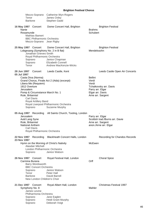| Mezzo-Soprano<br>Tenor<br><b>Baritone</b>                                                                                                                                                                                              | Catherine Wyn-Rogers<br>James Oxley<br>Stephen Gadd                                                                                  |                                                                                                                                                           |
|----------------------------------------------------------------------------------------------------------------------------------------------------------------------------------------------------------------------------------------|--------------------------------------------------------------------------------------------------------------------------------------|-----------------------------------------------------------------------------------------------------------------------------------------------------------|
| 16 May 1997 Concert<br>Nanie<br>Rosamunde<br><b>Mathias Bamert</b><br><b>BBC Philharmonic Orchestra</b><br>Mezzo-Soprano                                                                                                               | Dome Concert Hall, Brighton<br>Jean Rigby                                                                                            | <b>Brighton Festival</b><br><b>Brahms</b><br>Schubert                                                                                                     |
| 25 May 1997 Concert<br>Lobgesang (Symphony No. 2 in B flat)<br>Jonathan Grieves-Smith<br>Royal Philharmonic Orchestra<br>Soprano<br>Soprano<br>Tenor                                                                                   | Dome Concert Hall, Brighton<br>Janice Chapman<br><b>Elizabeth Connell</b><br>Andrew MacKenzie-Wicks                                  | <b>Brighton Festival</b><br>Mendelssohn                                                                                                                   |
| <b>28 Jun 1997</b><br>Concert<br>05 Jul 1997<br>Casta Diva (Norma)<br>Libera Me (Requiem)<br>1812 Overture<br>Jerusalem<br>Pomp & Circumstance March No. 1<br>Rule, Britannia!<br><b>Carl Davis</b><br>Royal Artillery Band<br>Soprano | Leeds Castle, Kent<br>Grand Chorus, Finale Act 2 (Aida) (excerpt)<br>Royal Liverpool Philharmonic Orchestra<br><b>Suzanne Murphy</b> | Leeds Castle Open Air Concerts<br><b>Bellini</b><br>Verdi<br>Verdi<br>Tchaikovsky arr. Davis<br>Parry arr. Elgar<br>Elgar arr. Davis<br>Arne arr. Sargent |
| 05 Aug 1997 Recording<br>Jerusalem<br>Auld Lang Syne<br>Rule, Britannia!<br><b>National Anthem</b><br><b>Carl Davis</b><br>Royal Philharmonic Orchestra                                                                                | All Saints Church, Tooting, London                                                                                                   | Parry arr. Elgar<br>Scottish trad./Burns arr. Davie<br>Arne arr. Sargent<br>anon./Arne arr. Elgar                                                         |
| 22 Nov 1997<br>Recording<br>23 Nov 1997                                                                                                                                                                                                | Blackheath Concert Halls, London                                                                                                     | Recording for Chandos Records                                                                                                                             |
| Hymn on the Morning of Christ's Nativity<br>Alasdair Mitchell<br>London Philharmonic Orchestra<br>Soprano                                                                                                                              | Janice Watson                                                                                                                        | McEwen                                                                                                                                                    |
| 26 Nov 1997 Concert<br>Carmina Burana<br>Barry Wordsworth<br><b>BBC Concert Orchestra</b><br>Soprano<br>Tenor<br><b>Baritone</b><br>New London Children's Choir                                                                        | Royal Festival Hall, London<br>Janice Watson<br>Peter Hall<br>David Barrell                                                          | <b>Choral Spice</b><br>Orff                                                                                                                               |
| 21 Dec 1997<br>Concert<br>Symphony No. 8<br>James Levine<br>Philharmonia Orchestra<br>Soprano<br>Soprano<br>Soprano                                                                                                                    | Royal Albert Hall, London<br>Jane Eaglen<br><b>Heidi Grant Murphy</b><br>Deborah Voigt                                               | <b>Christmas Festival 1997</b><br>Mahler                                                                                                                  |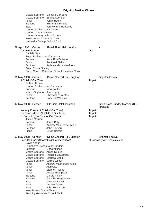|                                              | Mezzo-Soprano Michelle DeYoung<br>Mezzo-Soprano Birgitta Svendén |                |                                             |
|----------------------------------------------|------------------------------------------------------------------|----------------|---------------------------------------------|
| Tenor<br><b>Baritone</b>                     | Johan Botha<br>Eike Wilm Schulte                                 |                |                                             |
| <b>Bass</b>                                  | Jan-Hendrik Rootering                                            |                |                                             |
| London Philharmonia Chorus                   |                                                                  |                |                                             |
| <b>London Choral Society</b>                 |                                                                  |                |                                             |
| London Oratory School Schola                 |                                                                  |                |                                             |
| New London Children's Choir                  |                                                                  |                |                                             |
| University College School Choir              |                                                                  |                |                                             |
| 30 Apr 1998 Concert<br>Carmina Burana        | Royal Albert Hall, London                                        | Orff           |                                             |
| Daniele Gatti                                |                                                                  |                |                                             |
| Royal Philharmonic Orchestra                 |                                                                  |                |                                             |
| Soprano                                      | Anna Rita Taliento                                               |                |                                             |
| Tenor                                        | <b>Rockwell Blake</b>                                            |                |                                             |
| <b>Baritone</b>                              | Anthony Michaels-Moore                                           |                |                                             |
| <b>Royal Choral Society</b>                  |                                                                  |                |                                             |
|                                              | Christ Church Cathedral School Chamber Choir                     |                |                                             |
| 09 May 1998 Concert                          | Dome Concert Hall, Brighton                                      |                | <b>Brighton Festival</b>                    |
| A Child of Our Time<br><b>Richard Hickox</b> |                                                                  | <b>Tippett</b> |                                             |
| London Philharmonic Orchestra                |                                                                  |                |                                             |
| Soprano                                      | Nina Rautio                                                      |                |                                             |
| Mezzo-Soprano Jean Rigby                     |                                                                  |                |                                             |
| Tenor                                        | <b>Christopher Ventris</b>                                       |                |                                             |
| Baritone                                     | <b>Roderick Williams</b>                                         |                |                                             |
| 17 May 1998 Concert                          | Old Ship Hotel, Brighton                                         |                | Brian Kay's Sunday Morning (BBC<br>Radio 3) |
| Nobody Knows (A Child of Our Time)           |                                                                  | <b>Tippett</b> |                                             |
| Go Down, Moses (A Child of Our Time)         |                                                                  | <b>Tippett</b> |                                             |
| O, By and By (A Child of Our Time)           |                                                                  | <b>Tippett</b> |                                             |
| James Morgan                                 |                                                                  |                |                                             |
| Soprano                                      | Janna Baty                                                       |                |                                             |
| Tenor                                        | Andrew MacKenzie-Wicks                                           |                |                                             |
|                                              |                                                                  |                |                                             |
| <b>Baritone</b>                              | John Hancorn                                                     |                |                                             |
| Piano                                        | Sylvia Holford                                                   |                |                                             |
| 21 May 1998 Concert                          | Dome Concert Hall, Brighton                                      |                | <b>Brighton Festival</b>                    |
|                                              | Boris Godunov (Shostakovich orchestration)                       |                | Mussorgsky arr. Shostakovich                |
| David Angus                                  |                                                                  |                |                                             |
| Symphony Orchestra of Flanders               |                                                                  |                |                                             |
| Soprano                                      | Linda Kitchen                                                    |                |                                             |
| Mezzo-Soprano                                | Alison Duguid                                                    |                |                                             |
|                                              | Mezzo-Soprano Frances McCafferty                                 |                |                                             |
| Mezzo-Soprano                                | <b>Clarissa Meek</b>                                             |                |                                             |
| Mezzo-Soprano<br>Tenor                       | <b>Louise Winter</b>                                             |                |                                             |
| Tenor                                        | Andrew MacKenzie-Wicks<br>Alan Oke                               |                |                                             |
| Tenor                                        | Stephen Rooke                                                    |                |                                             |
| Tenor                                        | Adrian Thompson                                                  |                |                                             |
| <b>Baritone</b>                              | <b>Gerald Finley</b>                                             |                |                                             |
| <b>Baritone</b>                              | <b>Glenville Hargreaves</b>                                      |                |                                             |
| <b>Bass</b>                                  | <b>Gwynne Howell</b>                                             |                |                                             |
| <b>Bass</b>                                  | <b>Andrew Slater</b>                                             |                |                                             |
| <b>Bass</b><br>New Sussex Opera Chorus       | John Tomlinson                                                   |                |                                             |

Steyning Grammar School Choir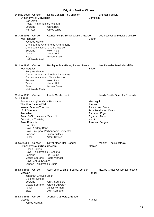| 24 May 1998 Concert<br>Symphony No. 3 (Kaddish)<br><b>Carl Davis</b><br>Royal Philharmonic Orchestra<br>Soprano<br>Narrator                                                                                                                                                                                  | Dome Concert Hall, Brighton<br>Janna Baty<br>James Wilby                                                                         | <b>Bernstein</b>                                                                                                       | <b>Brighton Festival</b>                                 |
|--------------------------------------------------------------------------------------------------------------------------------------------------------------------------------------------------------------------------------------------------------------------------------------------------------------|----------------------------------------------------------------------------------------------------------------------------------|------------------------------------------------------------------------------------------------------------------------|----------------------------------------------------------|
| 25 Jun 1998 Concert<br>War Requiem<br>Jacques Mercier<br>Orchestre National d'Ile de France<br>Soprano<br>Tenor<br>Bass<br>Maîtrise de Paris                                                                                                                                                                 | Cathédrale St. Benigne, Dijon, France<br>Orchestre de Chambre de Champagne<br>Helen Field<br>Martyn Hill<br><b>Andrew Slater</b> | <b>Britten</b>                                                                                                         | 20e Festival de Musique de Dijon                         |
| 26 Jun 1998 Concert<br>War Requiem<br>Jacques Mercier<br>Orchestre National d'Ile de France<br>Soprano<br><b>Tenor</b><br>Bass<br>Maîtrise de Paris                                                                                                                                                          | Basilique Saint-Remi, Reims, France<br>Orchestre de Chambre de Champagne<br>Helen Field<br>Martyn Hill<br><b>Andrew Slater</b>   | <b>Britten</b>                                                                                                         | Les Flaneries Musicales d'Ete                            |
| 27 Jun 1998 Concert<br>04 Jul 1998<br>Easter Hymn (Cavalleria Rusticana)<br>The Blue Danube Waltz<br>Nessun Dorma (Turandot)<br>1812 Overture<br>Jerusalem<br>Pomp & Circumstance March No. 1<br>Brindisi (La Traviata)<br>Rule, Britannia!<br><b>Carl Davis</b><br>Royal Artillery Band<br>Soprano<br>Tenor | Leeds Castle, Kent<br>Royal Liverpool Philharmonic Orchestra<br><b>Susan Bullock</b><br><b>Arthur Davies</b>                     | Mascagni<br><b>Strauss</b><br>Puccini arr. Davis<br>Parry arr. Elgar<br>Elgar arr. Davis<br>Verdi<br>Arne arr. Sargent | Leeds Castle Open Air Concerts<br>Tchaikovsky arr. Davis |
| 05 Oct 1998<br>Concert<br>Symphony No. 2 (Resurrection)<br>Gilbert Kaplan<br>Royal Philharmonic Orchestra<br>Soprano<br>Mezzo-Soprano Nadja Michael<br><b>Royal Choral Society</b><br>London Philharmonic Choir                                                                                              | Royal Albert Hall, London<br>Pia Freund                                                                                          | Mahler                                                                                                                 | Mahler - The Spectacle                                   |
| 18 Dec 1998<br>Concert<br>Messiah<br>Jonathan Grieves-Smith<br><b>Guildhall Strings</b><br>Soprano<br>Mezzo-Soprano<br>Tenor<br><b>Bass</b>                                                                                                                                                                  | Saint John's, Smith Square, London<br>Jenny Saunders<br>Joanne Edworthy<br>Daniel Norman<br>Colin Campbell                       | Handel                                                                                                                 | <b>Hazard Chase Christmas Festival</b>                   |
| 19 Dec 1998<br>Concert<br>Messiah<br>James Morgan                                                                                                                                                                                                                                                            | Arundel Cathedral, Arundel                                                                                                       | Handel                                                                                                                 |                                                          |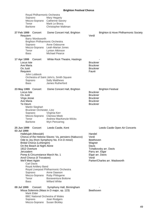| Royal Philharmonic Orchestra<br>Soprano<br>Mezzo-Soprano<br>Tenor                                                                                                                                                                                                                                                                    | Mary Hegarty<br><b>Catherine Savory</b><br>Mark Le Brocq                                                                                                                                                                                                                |                                                                                                                                                                                               |
|--------------------------------------------------------------------------------------------------------------------------------------------------------------------------------------------------------------------------------------------------------------------------------------------------------------------------------------|-------------------------------------------------------------------------------------------------------------------------------------------------------------------------------------------------------------------------------------------------------------------------|-----------------------------------------------------------------------------------------------------------------------------------------------------------------------------------------------|
| <b>Baritone</b><br>27 Feb 1999<br>Concert<br>Requiem<br>Barry Wordsworth<br>Brighton Philharmonic Orchestra<br>Soprano<br>Tenor<br><b>Bass</b>                                                                                                                                                                                       | Christopher Maltman<br>Dome Concert Hall, Brighton<br>Anne Osbourne<br>Mezzo-Soprano Leah-Marian Jones<br>Lynton Atkinson<br><b>Michael Pearce</b>                                                                                                                      | Brighton & Hove Philharmonic Society<br>Verdi                                                                                                                                                 |
| 17 Apr 1999<br>Concert<br>Locus Iste<br>Ave Maria<br>Os Justi<br>Requiem<br>John Lubbock<br>Soprano<br><b>Bass</b>                                                                                                                                                                                                                   | White Rock Theatre, Hastings<br>Orchestra of Saint John's, Smith Square<br><b>Sally Matthews</b><br>James Rutherford                                                                                                                                                    | <b>Bruckner</b><br><b>Bruckner</b><br><b>Bruckner</b><br>Fauré                                                                                                                                |
| 23 May 1999 Concert<br>Locus Iste<br>Os Justi<br>Virga Jesse<br>Ave Maria<br>Te Deum<br><b>Martin Sieghart</b><br>Bruckner Orchester, Linz<br>Soprano<br>Mezzo-Soprano<br>Tenor<br><b>Baritone</b>                                                                                                                                   | Dome Concert Hall, Brighton<br>Virginia Kerr<br>Clarissa Meek<br>Andrew MacKenzie-Wicks<br>Wyn Pencarreg                                                                                                                                                                | <b>Brighton Festival</b><br><b>Bruckner</b><br><b>Bruckner</b><br><b>Bruckner</b><br><b>Bruckner</b><br><b>Bruckner</b>                                                                       |
| 25 Jun 1999<br>Concert<br>03 Jul 1999<br>Hallelujah (Messiah)<br><b>Bridal Chorus (Lohengrin)</b><br>On the Beach at Night Alone<br>1812 Overture<br>Jerusalem<br>Pomp & Circumstance March No. 1<br>Anvil Chorus (Il Trovatore)<br>We'll Meet Again<br><b>Carl Davis</b><br>Royal Artillery Band<br>Soprano<br>Tenor<br><b>Bass</b> | Leeds Castle, Kent<br>Chorus of the Hebrew Slaves: Va, pensiero (Nabucco)<br>Ode to Joy (from Symphony No. 9 in D minor)<br>Royal Liverpool Philharmonic Orchestra<br>Anne Dawson<br>Mezzo-Soprano Ruby Philogene<br><b>Bonaventura Bottone</b><br><b>Willard White</b> | Leeds Castle Open Air Concerts<br>Handel<br>Verdi<br>Beethoven<br>Wagner<br>Davis<br>Tchaikovsky arr. Davis<br>Parry arr. Elgar<br>Elgar arr. Davis<br>Verdi<br>Parker/Charles arr. Wadsworth |
| 09 Jul 1999<br>Concert<br>Mark Elder<br><b>BBC National Orchestra of Wales</b><br>Soprano<br>Mezzo-Soprano Susan Bickley                                                                                                                                                                                                             | Symphony Hall, Birmingham<br>Missa Solemnis (Mass in D major, op. 123)<br>Joan Rodgers                                                                                                                                                                                  | Beethoven                                                                                                                                                                                     |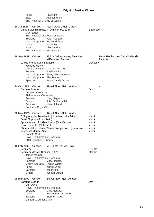| Tenor<br><b>Bass</b><br><b>BBC National Chorus of Wales</b>                                                                                                                                        | Paul Nilon<br><b>Alastair Miles</b>                                                                                                                                                   |                                                    |
|----------------------------------------------------------------------------------------------------------------------------------------------------------------------------------------------------|---------------------------------------------------------------------------------------------------------------------------------------------------------------------------------------|----------------------------------------------------|
| 10 Jul 1999<br>Concert<br>Mark Elder<br>Soprano<br>Mezzo-Soprano Susan Bickley<br>Tenor<br><b>Bass</b><br><b>BBC National Chorus of Wales</b>                                                      | Saint David's Hall, Cardiff<br>Missa Solemnis (Mass in D major, op. 123)<br><b>BBC National Orchestra of Wales</b><br>Joan Rodgers<br>Paul Nilon<br><b>Alastair Miles</b>             | Beethoven                                          |
| 18 Sep 1999 Concert                                                                                                                                                                                | Eglise Saint-Nicolas, Saint Leu<br>d'Esserent, France                                                                                                                                 | 9eme Festival des Cathédrales de<br>Picardie       |
| Le Martyre de Saint Sébastien<br>Jacques Mercier<br>Soprano<br>Mezzo-Soprano Elsa Maurus<br>Speaker                                                                                                | Orchestre National d'Ile de France<br>Gaële Le Roi<br>Mezzo-Soprano Françoise Martinaud<br>Jean-Claude Drouot                                                                         | Debussy                                            |
| 24 Oct 1999<br>Concert<br>Carmina Burana<br><b>Andrew Greenwood</b><br>Philharmonia Orchestra<br>Soprano<br>Tenor<br><b>Baritone</b><br>Southend Boys' Choir                                       | Royal Albert Hall, London<br>Mary Hegarty<br>John Graham-Hall<br><b>Mark Holland</b>                                                                                                  | Orff                                               |
| 30 Nov 1999 Concert<br>Patria Oppressa! (Macbeth)<br>Gli arredi festivi (Nabucco)<br>Triumphal March (Aida)<br>Daniele Gatti<br>Royal Philharmonic Orchestra<br><b>BBC Symphony Chorus</b>         | Royal Albert Hall, London<br>O Signore, dal Tetto Natio (I Lombardi alla Primo<br>Spuntato ecco il di d'esultanza (Don Carlos)<br>Chorus of the Hebrew Slaves: Va, pensiero (Nabucco) | Verdi<br>Verdi<br>Verdi<br>Verdi<br>Verdi<br>Verdi |
| 18 Feb 2000<br>Concert<br>Requiem<br>Requiem Mass in D minor, K 626<br>James Morgan<br>Royal Philharmonic Orchestra<br>Soprano<br>Mezzo-Soprano Louise Winter<br>Tenor<br><b>Baritone</b><br>Organ | All Saints Church, Hove<br>Mary Hegarty<br>James Oxley<br>Jozef Koc<br>Joseph Cullen                                                                                                  | Duruflé<br>Mozart                                  |
| 09 Mar 2000<br>Concert<br>Carmina Burana<br><b>Carl Davis</b><br>Royal Philharmonic Orchestra<br>Soprano<br>Tenor<br><b>Baritone</b><br>Cantamus Junior Choir                                      | Royal Albert Hall, London<br>Mary Hegarty<br>Bonaventura Bottone<br>Stephen Gadd                                                                                                      | Orff                                               |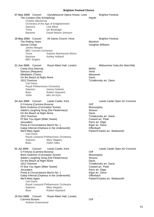| 07 May 2000 Concert<br>The Creation (Die Schöpfung)<br><b>Charles Mackerras</b><br>Soprano<br>Tenor                                                                                                                                                                                                                                        | Glyndebourne Opera House, Lews<br>Orchestra of the Age of Enlightenment<br>Lisa Milne<br>lan Bostridge                                          | <b>Brighton Festival</b><br>Haydn                                                                                                                                                                                   |
|--------------------------------------------------------------------------------------------------------------------------------------------------------------------------------------------------------------------------------------------------------------------------------------------------------------------------------------------|-------------------------------------------------------------------------------------------------------------------------------------------------|---------------------------------------------------------------------------------------------------------------------------------------------------------------------------------------------------------------------|
| <b>Baritone</b>                                                                                                                                                                                                                                                                                                                            | David Wilson-Johnson                                                                                                                            |                                                                                                                                                                                                                     |
| 18 May 2000 Concert<br>The Rolling Years<br>Sancta Civitas<br>James Morgan<br><b>BBC Concert Orchestra</b><br>Tenor<br><b>Baritone</b><br><b>BBC Singers</b>                                                                                                                                                                               | All Saints Church, Hove<br>Andrew MacKenzie-Wicks<br><b>Ashley Holland</b>                                                                      | <b>Brighton Festival</b><br>Woolrich<br>Vaughan Williams                                                                                                                                                            |
| 21 Jun 2000<br>Concert<br>Casta Diva (Norma)<br>Sanctus (Requiem)<br>Méditation (Thaïs)<br>On the Beach at Night Alone<br>1812 Overture<br><b>Carl Davis</b><br>Royal Philharmonic Orchestra<br>Soprano<br>Bass<br>Violin                                                                                                                  | Royal Albert Hall, London<br>Inessa Galante<br>Robert Hayward<br>Min-Jin Kym                                                                    | Midsummer Gala (for Warchild)<br><b>Bellini</b><br>Verdi<br>Massenet<br>Davis<br>Tchaikovsky arr. Davis                                                                                                             |
| 24 Jun 2000<br>Concert<br>O Fortuna (Carmina Burana)<br>Boris Gudonov (Coronation Scene)<br>Adele's Laughing Song (Die Fledermaus)<br>On the Beach at Night Alone<br>1812 Overture<br>I'll See You Again (Bitter Sweet)<br>Jerusalem<br>Pomp & Circumstance March No. 1<br>We'll Meet Again<br><b>Carl Davis</b><br>Soprano<br><b>Bass</b> | Leeds Castle, Kent<br>Galop Infernal (Orpheus in the Underworld)<br>Royal Liverpool Philharmonic Orchestra<br>Mary Hegarty<br><b>Gidon Saks</b> | Leeds Castle Open Air Concerts<br>Orff<br>Mussorgsky<br><b>Strauss</b><br>Davis<br>Tchaikovsky arr. Davis<br>Coward arr. Peak<br>Parry arr. Elgar<br>Elgar arr. Davis<br>Offenbach<br>Parker/Charles arr. Wadsworth |
| 01 Jul 2000<br>Concert<br>O Fortuna (Carmina Burana)<br>Boris Gudonov (Coronation Scene)<br>Adele's Laughing Song (Die Fledermaus)<br>On the Beach at Night Alone<br>1812 Overture<br>I'll See You Again (Bitter Sweet)<br>Jerusalem<br>Pomp & Circumstance March No. 1<br>We'll Meet Again<br><b>Carl Davis</b><br>Soprano<br><b>Bass</b> | Leeds Castle, Kent<br>Galop Infernal (Orpheus in the Underworld)<br>Royal Liverpool Philharmonic Orchestra<br>Mary Hegarty<br>Robert Hayward    | Leeds Castle Open Air Concerts<br>Orff<br>Mussorgsky<br><b>Strauss</b><br>Davis<br>Tchaikovsky arr. Davis<br>Coward arr. Peak<br>Parry arr. Elgar<br>Elgar arr. Davis<br>Offenbach<br>Parker/Charles arr. Wadsworth |
| 15 Oct 2000<br>Concert<br>Carmina Burana                                                                                                                                                                                                                                                                                                   | Royal Albert Hall, London                                                                                                                       | Orff                                                                                                                                                                                                                |

Andrew Greenwood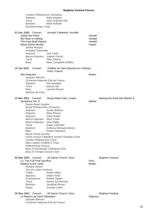|             | London Philharmonic Orchestra                         |                                              |                |                                |
|-------------|-------------------------------------------------------|----------------------------------------------|----------------|--------------------------------|
|             | Soprano                                               | Mary Hegarty                                 |                |                                |
|             | Tenor                                                 | John Graham-Hall                             |                |                                |
|             | <b>Baritone</b>                                       | Mark Holland                                 |                |                                |
|             | Southend Boys' Choir                                  |                                              |                |                                |
| 01 Dec 2000 | Concert                                               | Arundel Cathedral, Arundel                   |                |                                |
|             | Zadok the Priest                                      |                                              | Handel         |                                |
|             |                                                       |                                              | Handel         |                                |
|             | My Heart is Inditing                                  |                                              |                |                                |
|             | The King Shall Rejoice<br>Missa Sancti Nicolai        |                                              | Handel         |                                |
|             |                                                       |                                              | Haydn          |                                |
|             | James Morgan<br><b>Arcadian Ensemble</b>              |                                              |                |                                |
|             |                                                       | Una Carlin                                   |                |                                |
|             | Soprano                                               | Juliette Pochin                              |                |                                |
|             | Mezzo-Soprano                                         |                                              |                |                                |
|             | Tenor                                                 | Allan Adams                                  |                |                                |
|             | <b>Bass</b>                                           | Mark Campbell-Griffiths                      |                |                                |
| 19 Jan 2001 | Concert                                               | Théâtre de Saint-Quentin-en-Yvelines,        |                |                                |
|             |                                                       | Paris, France                                |                |                                |
|             | War Requiem                                           |                                              | <b>Britten</b> |                                |
|             | Jacques Mercier<br>Orchestre National d'Ile de France |                                              |                |                                |
|             |                                                       |                                              |                |                                |
|             | Soprano<br>Tenor                                      | Rié Hamada                                   |                |                                |
|             | <b>Bass</b>                                           | Martyn Hill<br>Laurent Nauori                |                |                                |
|             | Maîtrise de Paris                                     |                                              |                |                                |
|             |                                                       |                                              |                |                                |
| 15 Mar 2001 | Concert                                               | Royal Albert Hall, London                    |                | Raising the Roof with Mahler 8 |
|             | Symphony No. 8                                        |                                              | Mahler         |                                |
|             | <b>Owain Arwel Hughes</b>                             |                                              |                |                                |
|             | Royal Philharmonic Orchestra                          |                                              |                |                                |
|             | Soprano                                               | Susan Bullock                                |                |                                |
|             | Soprano                                               | Mary Plazas                                  |                |                                |
|             | Soprano                                               | <b>Clare Rutter</b>                          |                |                                |
|             | Mezzo-Soprano                                         | Alice Coote                                  |                |                                |
|             | Mezzo-Soprano                                         | Jean Rigby                                   |                |                                |
|             | Tenor                                                 | <b>Justin Lavender</b>                       |                |                                |
|             | <b>Baritone</b>                                       | Anthony Michaels-Moore                       |                |                                |
|             | <b>Bass</b>                                           | Robert Hayward                               |                |                                |
|             | <b>Royal Choral Society</b>                           |                                              |                |                                |
|             |                                                       | Christ Church Cathedral School Chamber Choir |                |                                |
|             | London Philharmonic Choir                             |                                              |                |                                |
|             | New London Children's Choir                           |                                              |                |                                |
|             | Philharmonia Chorus                                   |                                              |                |                                |
|             | Boys of Temple Church Choir                           | Boys of Southwark Cathedral Choir            |                |                                |
|             |                                                       |                                              |                |                                |
|             | 05 May 2001 Concert                                   | All Saints Church, Hove                      |                | <b>Brighton Festival</b>       |
|             | Lo, The Full Final Sacrifice                          |                                              | Finzi          |                                |
|             | Rejoice in the Lamb                                   |                                              | <b>Britten</b> |                                |
|             | <b>Richard Hickox</b>                                 |                                              |                |                                |
|             | City of London Sinfonia                               |                                              |                |                                |
|             | Treble                                                | <b>Robert Miles</b>                          |                |                                |
|             | Soprano                                               | Gillian Keith                                |                |                                |
|             | Countertenor                                          | Robert Ogden                                 |                |                                |
|             | Tenor                                                 | <b>Daniel Auchincloss</b>                    |                |                                |
|             | Baritone                                              | Jonathan Brown                               |                |                                |
|             | Organ                                                 | Joseph Cullen                                |                |                                |
|             | 26 May 2001 Concert                                   | All Saints Church, Hove                      |                | <b>Brighton Festival</b>       |
|             | Le Martyre de Saint Sébastien                         |                                              | Debussy        |                                |
|             | Jacques Mercier                                       |                                              |                |                                |
|             | Orchestre National d'Ile de France                    |                                              |                |                                |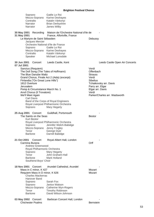| Contralto<br>Katalin Várkonyi<br><b>Brian Derbyshire</b><br>Narrator<br>James Wilby<br>Narrator<br>Maison de l'Orchestre National d'Ile de<br>30 May 2001<br>Recording<br>31 May 2001<br>France, Alfortville, France<br>Le Martyre de Saint Sébastien<br>Debussy<br>Jacques Mercier<br>Orchestre National d'Ile de France<br>Soprano<br>Gaële Le Roi<br>Mezzo-Soprano Karine Deshayes<br>Contralto<br>Katalin Várkonyi<br>Speaker<br>Michael Lonsdale<br>30 Jun 2001<br>Concert<br>Leeds Castle, Kent<br>Leeds Castle Open Air Concerts<br>07 Jul 2001<br>Sanctus (Requiem)<br>Verdi<br>The Doll Song (The Tales of Hoffmann)<br>Offenbach<br>The Blue Danube Waltz<br><b>Strauss</b><br>Grand Chorus, Finale Act 2 (Aida) (excerpt)<br>Verdi<br>Finlandia ("On Great Lone Hills")<br><b>Sibelius</b><br>1812 Overture<br>Tchaikovsky arr. Davis<br>Parry arr. Elgar<br>Jerusalem<br>Elgar arr. Davis<br>Pomp & Circumstance March No. 1<br>Anvil Chorus (Il Trovatore)<br>Verdi<br>We'll Meet Again<br>Parker/Charles arr. Wadsworth<br><b>Carl Davis</b><br>Band of the Corps of Royal Engineers<br>Royal Liverpool Philharmonic Orchestra<br>Soprano<br>Mary Hegarty<br>25 Aug 2001 Concert<br>Guildhall, Portsmouth<br>The Saints on the Seas<br><b>Bestor</b><br><b>Kurt Bestor</b><br>Royal Liverpool Philharmonic Orchestra<br>Soprano<br>Jennifer Welch-Babidge<br>Mezzo-Soprano Jenny Frogley<br>Tenor<br>George Dyer<br><b>Baritone</b><br>Darrell Babidge<br>21 Oct 2001<br>Royal Albert Hall, London<br>Concert<br>Orff<br>Carmina Burana<br>Andrew Greenwood<br>Royal Philharmonic Orchestra<br>Soprano<br>Mary Hegarty<br>Tenor<br>John Graham-Hall<br><b>Baritone</b><br><b>Mark Holland</b><br>Southend Boys' Choir<br>18 Nov 2001<br>Concert<br>Arundel Cathedral, Arundel<br>Mass in C minor, K 427<br>Mozart<br>Requiem Mass in D minor, K 626<br>Mozart<br><b>Charles Mackerras</b><br>Hanover Band<br>Sarah Fox<br>Soprano<br>Soprano<br>Janice Watson<br>Mezzo-Soprano<br>Catherine Wyn-Rogers<br>Tenor<br><b>Timothy Robinson</b><br>David Wilson-Johnson<br><b>Baritone</b><br>03 May 2002 Concert<br>Barbican Concert Hall, London<br><b>Chichester Psalms</b><br><b>Bernstein</b> | Soprano       | Gaële Le Roi           |  |
|-------------------------------------------------------------------------------------------------------------------------------------------------------------------------------------------------------------------------------------------------------------------------------------------------------------------------------------------------------------------------------------------------------------------------------------------------------------------------------------------------------------------------------------------------------------------------------------------------------------------------------------------------------------------------------------------------------------------------------------------------------------------------------------------------------------------------------------------------------------------------------------------------------------------------------------------------------------------------------------------------------------------------------------------------------------------------------------------------------------------------------------------------------------------------------------------------------------------------------------------------------------------------------------------------------------------------------------------------------------------------------------------------------------------------------------------------------------------------------------------------------------------------------------------------------------------------------------------------------------------------------------------------------------------------------------------------------------------------------------------------------------------------------------------------------------------------------------------------------------------------------------------------------------------------------------------------------------------------------------------------------------------------------------------------------------------------------------------------------------------------------------------------------------------------------------------------------------|---------------|------------------------|--|
|                                                                                                                                                                                                                                                                                                                                                                                                                                                                                                                                                                                                                                                                                                                                                                                                                                                                                                                                                                                                                                                                                                                                                                                                                                                                                                                                                                                                                                                                                                                                                                                                                                                                                                                                                                                                                                                                                                                                                                                                                                                                                                                                                                                                             | Mezzo-Soprano | <b>Karine Deshayes</b> |  |
|                                                                                                                                                                                                                                                                                                                                                                                                                                                                                                                                                                                                                                                                                                                                                                                                                                                                                                                                                                                                                                                                                                                                                                                                                                                                                                                                                                                                                                                                                                                                                                                                                                                                                                                                                                                                                                                                                                                                                                                                                                                                                                                                                                                                             |               |                        |  |
|                                                                                                                                                                                                                                                                                                                                                                                                                                                                                                                                                                                                                                                                                                                                                                                                                                                                                                                                                                                                                                                                                                                                                                                                                                                                                                                                                                                                                                                                                                                                                                                                                                                                                                                                                                                                                                                                                                                                                                                                                                                                                                                                                                                                             |               |                        |  |
|                                                                                                                                                                                                                                                                                                                                                                                                                                                                                                                                                                                                                                                                                                                                                                                                                                                                                                                                                                                                                                                                                                                                                                                                                                                                                                                                                                                                                                                                                                                                                                                                                                                                                                                                                                                                                                                                                                                                                                                                                                                                                                                                                                                                             |               |                        |  |
|                                                                                                                                                                                                                                                                                                                                                                                                                                                                                                                                                                                                                                                                                                                                                                                                                                                                                                                                                                                                                                                                                                                                                                                                                                                                                                                                                                                                                                                                                                                                                                                                                                                                                                                                                                                                                                                                                                                                                                                                                                                                                                                                                                                                             |               |                        |  |
|                                                                                                                                                                                                                                                                                                                                                                                                                                                                                                                                                                                                                                                                                                                                                                                                                                                                                                                                                                                                                                                                                                                                                                                                                                                                                                                                                                                                                                                                                                                                                                                                                                                                                                                                                                                                                                                                                                                                                                                                                                                                                                                                                                                                             |               |                        |  |
|                                                                                                                                                                                                                                                                                                                                                                                                                                                                                                                                                                                                                                                                                                                                                                                                                                                                                                                                                                                                                                                                                                                                                                                                                                                                                                                                                                                                                                                                                                                                                                                                                                                                                                                                                                                                                                                                                                                                                                                                                                                                                                                                                                                                             |               |                        |  |
|                                                                                                                                                                                                                                                                                                                                                                                                                                                                                                                                                                                                                                                                                                                                                                                                                                                                                                                                                                                                                                                                                                                                                                                                                                                                                                                                                                                                                                                                                                                                                                                                                                                                                                                                                                                                                                                                                                                                                                                                                                                                                                                                                                                                             |               |                        |  |
|                                                                                                                                                                                                                                                                                                                                                                                                                                                                                                                                                                                                                                                                                                                                                                                                                                                                                                                                                                                                                                                                                                                                                                                                                                                                                                                                                                                                                                                                                                                                                                                                                                                                                                                                                                                                                                                                                                                                                                                                                                                                                                                                                                                                             |               |                        |  |
|                                                                                                                                                                                                                                                                                                                                                                                                                                                                                                                                                                                                                                                                                                                                                                                                                                                                                                                                                                                                                                                                                                                                                                                                                                                                                                                                                                                                                                                                                                                                                                                                                                                                                                                                                                                                                                                                                                                                                                                                                                                                                                                                                                                                             |               |                        |  |
|                                                                                                                                                                                                                                                                                                                                                                                                                                                                                                                                                                                                                                                                                                                                                                                                                                                                                                                                                                                                                                                                                                                                                                                                                                                                                                                                                                                                                                                                                                                                                                                                                                                                                                                                                                                                                                                                                                                                                                                                                                                                                                                                                                                                             |               |                        |  |
|                                                                                                                                                                                                                                                                                                                                                                                                                                                                                                                                                                                                                                                                                                                                                                                                                                                                                                                                                                                                                                                                                                                                                                                                                                                                                                                                                                                                                                                                                                                                                                                                                                                                                                                                                                                                                                                                                                                                                                                                                                                                                                                                                                                                             |               |                        |  |
|                                                                                                                                                                                                                                                                                                                                                                                                                                                                                                                                                                                                                                                                                                                                                                                                                                                                                                                                                                                                                                                                                                                                                                                                                                                                                                                                                                                                                                                                                                                                                                                                                                                                                                                                                                                                                                                                                                                                                                                                                                                                                                                                                                                                             |               |                        |  |
|                                                                                                                                                                                                                                                                                                                                                                                                                                                                                                                                                                                                                                                                                                                                                                                                                                                                                                                                                                                                                                                                                                                                                                                                                                                                                                                                                                                                                                                                                                                                                                                                                                                                                                                                                                                                                                                                                                                                                                                                                                                                                                                                                                                                             |               |                        |  |
|                                                                                                                                                                                                                                                                                                                                                                                                                                                                                                                                                                                                                                                                                                                                                                                                                                                                                                                                                                                                                                                                                                                                                                                                                                                                                                                                                                                                                                                                                                                                                                                                                                                                                                                                                                                                                                                                                                                                                                                                                                                                                                                                                                                                             |               |                        |  |
|                                                                                                                                                                                                                                                                                                                                                                                                                                                                                                                                                                                                                                                                                                                                                                                                                                                                                                                                                                                                                                                                                                                                                                                                                                                                                                                                                                                                                                                                                                                                                                                                                                                                                                                                                                                                                                                                                                                                                                                                                                                                                                                                                                                                             |               |                        |  |
|                                                                                                                                                                                                                                                                                                                                                                                                                                                                                                                                                                                                                                                                                                                                                                                                                                                                                                                                                                                                                                                                                                                                                                                                                                                                                                                                                                                                                                                                                                                                                                                                                                                                                                                                                                                                                                                                                                                                                                                                                                                                                                                                                                                                             |               |                        |  |
|                                                                                                                                                                                                                                                                                                                                                                                                                                                                                                                                                                                                                                                                                                                                                                                                                                                                                                                                                                                                                                                                                                                                                                                                                                                                                                                                                                                                                                                                                                                                                                                                                                                                                                                                                                                                                                                                                                                                                                                                                                                                                                                                                                                                             |               |                        |  |
|                                                                                                                                                                                                                                                                                                                                                                                                                                                                                                                                                                                                                                                                                                                                                                                                                                                                                                                                                                                                                                                                                                                                                                                                                                                                                                                                                                                                                                                                                                                                                                                                                                                                                                                                                                                                                                                                                                                                                                                                                                                                                                                                                                                                             |               |                        |  |
|                                                                                                                                                                                                                                                                                                                                                                                                                                                                                                                                                                                                                                                                                                                                                                                                                                                                                                                                                                                                                                                                                                                                                                                                                                                                                                                                                                                                                                                                                                                                                                                                                                                                                                                                                                                                                                                                                                                                                                                                                                                                                                                                                                                                             |               |                        |  |
|                                                                                                                                                                                                                                                                                                                                                                                                                                                                                                                                                                                                                                                                                                                                                                                                                                                                                                                                                                                                                                                                                                                                                                                                                                                                                                                                                                                                                                                                                                                                                                                                                                                                                                                                                                                                                                                                                                                                                                                                                                                                                                                                                                                                             |               |                        |  |
|                                                                                                                                                                                                                                                                                                                                                                                                                                                                                                                                                                                                                                                                                                                                                                                                                                                                                                                                                                                                                                                                                                                                                                                                                                                                                                                                                                                                                                                                                                                                                                                                                                                                                                                                                                                                                                                                                                                                                                                                                                                                                                                                                                                                             |               |                        |  |
|                                                                                                                                                                                                                                                                                                                                                                                                                                                                                                                                                                                                                                                                                                                                                                                                                                                                                                                                                                                                                                                                                                                                                                                                                                                                                                                                                                                                                                                                                                                                                                                                                                                                                                                                                                                                                                                                                                                                                                                                                                                                                                                                                                                                             |               |                        |  |
|                                                                                                                                                                                                                                                                                                                                                                                                                                                                                                                                                                                                                                                                                                                                                                                                                                                                                                                                                                                                                                                                                                                                                                                                                                                                                                                                                                                                                                                                                                                                                                                                                                                                                                                                                                                                                                                                                                                                                                                                                                                                                                                                                                                                             |               |                        |  |
|                                                                                                                                                                                                                                                                                                                                                                                                                                                                                                                                                                                                                                                                                                                                                                                                                                                                                                                                                                                                                                                                                                                                                                                                                                                                                                                                                                                                                                                                                                                                                                                                                                                                                                                                                                                                                                                                                                                                                                                                                                                                                                                                                                                                             |               |                        |  |
|                                                                                                                                                                                                                                                                                                                                                                                                                                                                                                                                                                                                                                                                                                                                                                                                                                                                                                                                                                                                                                                                                                                                                                                                                                                                                                                                                                                                                                                                                                                                                                                                                                                                                                                                                                                                                                                                                                                                                                                                                                                                                                                                                                                                             |               |                        |  |
|                                                                                                                                                                                                                                                                                                                                                                                                                                                                                                                                                                                                                                                                                                                                                                                                                                                                                                                                                                                                                                                                                                                                                                                                                                                                                                                                                                                                                                                                                                                                                                                                                                                                                                                                                                                                                                                                                                                                                                                                                                                                                                                                                                                                             |               |                        |  |
|                                                                                                                                                                                                                                                                                                                                                                                                                                                                                                                                                                                                                                                                                                                                                                                                                                                                                                                                                                                                                                                                                                                                                                                                                                                                                                                                                                                                                                                                                                                                                                                                                                                                                                                                                                                                                                                                                                                                                                                                                                                                                                                                                                                                             |               |                        |  |
|                                                                                                                                                                                                                                                                                                                                                                                                                                                                                                                                                                                                                                                                                                                                                                                                                                                                                                                                                                                                                                                                                                                                                                                                                                                                                                                                                                                                                                                                                                                                                                                                                                                                                                                                                                                                                                                                                                                                                                                                                                                                                                                                                                                                             |               |                        |  |
|                                                                                                                                                                                                                                                                                                                                                                                                                                                                                                                                                                                                                                                                                                                                                                                                                                                                                                                                                                                                                                                                                                                                                                                                                                                                                                                                                                                                                                                                                                                                                                                                                                                                                                                                                                                                                                                                                                                                                                                                                                                                                                                                                                                                             |               |                        |  |
|                                                                                                                                                                                                                                                                                                                                                                                                                                                                                                                                                                                                                                                                                                                                                                                                                                                                                                                                                                                                                                                                                                                                                                                                                                                                                                                                                                                                                                                                                                                                                                                                                                                                                                                                                                                                                                                                                                                                                                                                                                                                                                                                                                                                             |               |                        |  |
|                                                                                                                                                                                                                                                                                                                                                                                                                                                                                                                                                                                                                                                                                                                                                                                                                                                                                                                                                                                                                                                                                                                                                                                                                                                                                                                                                                                                                                                                                                                                                                                                                                                                                                                                                                                                                                                                                                                                                                                                                                                                                                                                                                                                             |               |                        |  |
|                                                                                                                                                                                                                                                                                                                                                                                                                                                                                                                                                                                                                                                                                                                                                                                                                                                                                                                                                                                                                                                                                                                                                                                                                                                                                                                                                                                                                                                                                                                                                                                                                                                                                                                                                                                                                                                                                                                                                                                                                                                                                                                                                                                                             |               |                        |  |
|                                                                                                                                                                                                                                                                                                                                                                                                                                                                                                                                                                                                                                                                                                                                                                                                                                                                                                                                                                                                                                                                                                                                                                                                                                                                                                                                                                                                                                                                                                                                                                                                                                                                                                                                                                                                                                                                                                                                                                                                                                                                                                                                                                                                             |               |                        |  |
|                                                                                                                                                                                                                                                                                                                                                                                                                                                                                                                                                                                                                                                                                                                                                                                                                                                                                                                                                                                                                                                                                                                                                                                                                                                                                                                                                                                                                                                                                                                                                                                                                                                                                                                                                                                                                                                                                                                                                                                                                                                                                                                                                                                                             |               |                        |  |
|                                                                                                                                                                                                                                                                                                                                                                                                                                                                                                                                                                                                                                                                                                                                                                                                                                                                                                                                                                                                                                                                                                                                                                                                                                                                                                                                                                                                                                                                                                                                                                                                                                                                                                                                                                                                                                                                                                                                                                                                                                                                                                                                                                                                             |               |                        |  |
|                                                                                                                                                                                                                                                                                                                                                                                                                                                                                                                                                                                                                                                                                                                                                                                                                                                                                                                                                                                                                                                                                                                                                                                                                                                                                                                                                                                                                                                                                                                                                                                                                                                                                                                                                                                                                                                                                                                                                                                                                                                                                                                                                                                                             |               |                        |  |
|                                                                                                                                                                                                                                                                                                                                                                                                                                                                                                                                                                                                                                                                                                                                                                                                                                                                                                                                                                                                                                                                                                                                                                                                                                                                                                                                                                                                                                                                                                                                                                                                                                                                                                                                                                                                                                                                                                                                                                                                                                                                                                                                                                                                             |               |                        |  |
|                                                                                                                                                                                                                                                                                                                                                                                                                                                                                                                                                                                                                                                                                                                                                                                                                                                                                                                                                                                                                                                                                                                                                                                                                                                                                                                                                                                                                                                                                                                                                                                                                                                                                                                                                                                                                                                                                                                                                                                                                                                                                                                                                                                                             |               |                        |  |
|                                                                                                                                                                                                                                                                                                                                                                                                                                                                                                                                                                                                                                                                                                                                                                                                                                                                                                                                                                                                                                                                                                                                                                                                                                                                                                                                                                                                                                                                                                                                                                                                                                                                                                                                                                                                                                                                                                                                                                                                                                                                                                                                                                                                             |               |                        |  |
|                                                                                                                                                                                                                                                                                                                                                                                                                                                                                                                                                                                                                                                                                                                                                                                                                                                                                                                                                                                                                                                                                                                                                                                                                                                                                                                                                                                                                                                                                                                                                                                                                                                                                                                                                                                                                                                                                                                                                                                                                                                                                                                                                                                                             |               |                        |  |
|                                                                                                                                                                                                                                                                                                                                                                                                                                                                                                                                                                                                                                                                                                                                                                                                                                                                                                                                                                                                                                                                                                                                                                                                                                                                                                                                                                                                                                                                                                                                                                                                                                                                                                                                                                                                                                                                                                                                                                                                                                                                                                                                                                                                             |               |                        |  |
|                                                                                                                                                                                                                                                                                                                                                                                                                                                                                                                                                                                                                                                                                                                                                                                                                                                                                                                                                                                                                                                                                                                                                                                                                                                                                                                                                                                                                                                                                                                                                                                                                                                                                                                                                                                                                                                                                                                                                                                                                                                                                                                                                                                                             |               |                        |  |
|                                                                                                                                                                                                                                                                                                                                                                                                                                                                                                                                                                                                                                                                                                                                                                                                                                                                                                                                                                                                                                                                                                                                                                                                                                                                                                                                                                                                                                                                                                                                                                                                                                                                                                                                                                                                                                                                                                                                                                                                                                                                                                                                                                                                             |               |                        |  |
|                                                                                                                                                                                                                                                                                                                                                                                                                                                                                                                                                                                                                                                                                                                                                                                                                                                                                                                                                                                                                                                                                                                                                                                                                                                                                                                                                                                                                                                                                                                                                                                                                                                                                                                                                                                                                                                                                                                                                                                                                                                                                                                                                                                                             |               |                        |  |
|                                                                                                                                                                                                                                                                                                                                                                                                                                                                                                                                                                                                                                                                                                                                                                                                                                                                                                                                                                                                                                                                                                                                                                                                                                                                                                                                                                                                                                                                                                                                                                                                                                                                                                                                                                                                                                                                                                                                                                                                                                                                                                                                                                                                             |               |                        |  |
|                                                                                                                                                                                                                                                                                                                                                                                                                                                                                                                                                                                                                                                                                                                                                                                                                                                                                                                                                                                                                                                                                                                                                                                                                                                                                                                                                                                                                                                                                                                                                                                                                                                                                                                                                                                                                                                                                                                                                                                                                                                                                                                                                                                                             |               |                        |  |
|                                                                                                                                                                                                                                                                                                                                                                                                                                                                                                                                                                                                                                                                                                                                                                                                                                                                                                                                                                                                                                                                                                                                                                                                                                                                                                                                                                                                                                                                                                                                                                                                                                                                                                                                                                                                                                                                                                                                                                                                                                                                                                                                                                                                             |               |                        |  |
|                                                                                                                                                                                                                                                                                                                                                                                                                                                                                                                                                                                                                                                                                                                                                                                                                                                                                                                                                                                                                                                                                                                                                                                                                                                                                                                                                                                                                                                                                                                                                                                                                                                                                                                                                                                                                                                                                                                                                                                                                                                                                                                                                                                                             |               |                        |  |
|                                                                                                                                                                                                                                                                                                                                                                                                                                                                                                                                                                                                                                                                                                                                                                                                                                                                                                                                                                                                                                                                                                                                                                                                                                                                                                                                                                                                                                                                                                                                                                                                                                                                                                                                                                                                                                                                                                                                                                                                                                                                                                                                                                                                             |               |                        |  |
|                                                                                                                                                                                                                                                                                                                                                                                                                                                                                                                                                                                                                                                                                                                                                                                                                                                                                                                                                                                                                                                                                                                                                                                                                                                                                                                                                                                                                                                                                                                                                                                                                                                                                                                                                                                                                                                                                                                                                                                                                                                                                                                                                                                                             |               |                        |  |
|                                                                                                                                                                                                                                                                                                                                                                                                                                                                                                                                                                                                                                                                                                                                                                                                                                                                                                                                                                                                                                                                                                                                                                                                                                                                                                                                                                                                                                                                                                                                                                                                                                                                                                                                                                                                                                                                                                                                                                                                                                                                                                                                                                                                             |               |                        |  |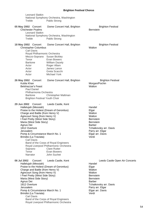| <b>Leonard Slatkin</b><br>Treble                                                                                                                                                                                                                                                                                                            | National Symphony Orchestra, Washington<br>Pablo Strong                                                                                                                                                 |                                                                                                                                                                                                           |
|---------------------------------------------------------------------------------------------------------------------------------------------------------------------------------------------------------------------------------------------------------------------------------------------------------------------------------------------|---------------------------------------------------------------------------------------------------------------------------------------------------------------------------------------------------------|-----------------------------------------------------------------------------------------------------------------------------------------------------------------------------------------------------------|
| 05 May 2002 Concert<br><b>Chichester Psalms</b><br><b>Leonard Slatkin</b><br>Treble                                                                                                                                                                                                                                                         | Dome Concert Hall, Brighton<br>National Symphony Orchestra, Washington<br>Pablo Strong                                                                                                                  | <b>Brighton Festival</b><br><b>Bernstein</b>                                                                                                                                                              |
| 18 May 2002 Concert<br><b>Christopher Columbus</b><br><b>Carl Davis</b><br>Tenor<br><b>Baritone</b><br>Actor<br>Actor<br>Actor<br>Actor                                                                                                                                                                                                     | Dome Concert Hall, Brighton<br>Royal Philharmonic Orchestra<br>Mezzo-Soprano Susan Bickley<br>Evan Bowers<br><b>William Dazely</b><br>Roger Allam<br>James Lance<br>Greta Scacchi<br>Michael York       | <b>Brighton Festival</b><br>Walton                                                                                                                                                                        |
| 26 May 2002 Concert<br>Kubla Khan<br><b>Belshazzar's Feast</b><br><b>Paul Daniel</b><br>Philharmonia Orchestra<br><b>Baritone</b>                                                                                                                                                                                                           | Dome Concert Hall, Brighton<br>Christopher Maltman<br><b>Brighton Festival Youth Choir</b>                                                                                                              | <b>Brighton Festival</b><br>Morgan/Pochin<br>Walton                                                                                                                                                       |
| 29 Jun 2002 Concert<br>Hallelujah (Messiah)<br>Charge and Battle (from Henry V)<br>Agincourt Song (from Henry V)<br>I Feel Pretty (West Side Story)<br>Maria (West Side Story)<br>Agnus Dei<br>1812 Overture<br>Jerusalem<br>Pomp & Circumstance March No. 1<br>Brindisi (La Traviata)<br><b>Carl Davis</b><br>Soprano<br>Tenor<br>Narrator | Leeds Castle, Kent<br>Praise to the Holiest (Dream of Gerontius)<br>Band of the Corps of Royal Engineers<br>Royal Liverpool Philharmonic Orchestra<br><b>Clare Rutter</b><br>Evan Bowers<br>John Suchet | Handel<br>Elgar<br>Walton<br>Walton<br><b>Bernstein</b><br><b>Bernstein</b><br><b>Barber</b><br>Tchaikovsky arr. Davis<br>Parry arr. Elgar<br>Elgar arr. Davis<br>Verdi                                   |
| 06 Jul 2002<br>Concert<br>Hallelujah (Messiah)<br>Charge and Battle (from Henry V)<br>Agincourt Song (from Henry V)<br>I Feel Pretty (West Side Story)<br>Maria (West Side Story)<br>Agnus Dei<br>1812 Overture<br>Jerusalem<br>Pomp & Circumstance March No. 1<br>Brindisi (La Traviata)<br><b>Carl Davis</b>                              | Leeds Castle, Kent<br>Praise to the Holiest (Dream of Gerontius)<br>Band of the Corps of Royal Engineers                                                                                                | Leeds Castle Open Air Concerts<br>Handel<br>Elgar<br>Walton<br>Walton<br><b>Bernstein</b><br><b>Bernstein</b><br><b>Barber</b><br>Tchaikovsky arr. Davis<br>Parry arr. Elgar<br>Elgar arr. Davis<br>Verdi |

Royal Liverpool Philharmonic Orchestra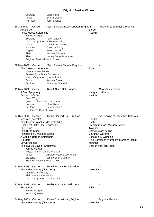|             | Soprano                                                                                   | <b>Clare Rutter</b>                  |                                            |                                          |
|-------------|-------------------------------------------------------------------------------------------|--------------------------------------|--------------------------------------------|------------------------------------------|
|             | Tenor                                                                                     | Evan Bowers                          |                                            |                                          |
|             | Narrator                                                                                  | John Suchet                          |                                            |                                          |
| 20 Jul 2002 | Concert                                                                                   | Saint Bartholomew's Church, Brighton |                                            | Music for a Summer's Evening             |
| Agnus Dei   |                                                                                           |                                      | <b>Barber</b>                              |                                          |
|             | Petite Messe Solennelle                                                                   |                                      | Rossini                                    |                                          |
|             | James Morgan                                                                              |                                      |                                            |                                          |
|             | Soprano                                                                                   | <b>Katy Tansey</b>                   |                                            |                                          |
|             | Mezzo-Soprano                                                                             | Juliette Pochin                      |                                            |                                          |
|             | Tenor                                                                                     | <b>Daniel Auchincloss</b>            |                                            |                                          |
|             | <b>Baritone</b>                                                                           | Owen Gilhooly                        |                                            |                                          |
|             | Organ<br>Piano                                                                            | Peter Jaekel<br>Andrew Massey        |                                            |                                          |
|             | Piano                                                                                     | Lesley Anne Sammons                  |                                            |                                          |
|             | <b>Brighton Festival Youth Choir</b>                                                      |                                      |                                            |                                          |
|             | 02 Nov 2002 Concert<br>The Dream of Gerontius                                             | Saint Peter's Church, Brighton       | Elgar                                      |                                          |
|             | <b>Mark Andrew James</b>                                                                  |                                      |                                            |                                          |
|             | <b>Sussex Symphony Orchestra</b>                                                          |                                      |                                            |                                          |
|             | Mezzo-Soprano Louise Armit                                                                |                                      |                                            |                                          |
|             | Tenor                                                                                     | <b>Andrew Rees</b>                   |                                            |                                          |
|             | <b>Baritone</b>                                                                           | Riccardo Simonetti                   |                                            |                                          |
|             | 19 Nov 2002 Concert<br>A Sea Symphony<br><b>Belshazzar's Feast</b><br><b>Brian Wright</b> | Royal Albert Hall, London            | Vaughan Williams<br>Walton                 | <b>Choral Celebration</b>                |
|             | Royal Philharmonic Orchestra                                                              |                                      |                                            |                                          |
|             | Soprano                                                                                   | <b>Clare Rutter</b>                  |                                            |                                          |
|             | <b>Baritone</b>                                                                           | Peter Sidhom                         |                                            |                                          |
|             | <b>Goldsmiths Choral Union</b>                                                            |                                      |                                            |                                          |
| 07 Dec 2002 | Concert                                                                                   | Dome Concert Hall, Brighton          |                                            | An Evening of Christmas Classics         |
|             | Messiah (exerpts)                                                                         |                                      | Handel                                     |                                          |
|             | Zion Hort die Wachter (Cantata 140)                                                       |                                      | Bach                                       |                                          |
|             | Quelle est Cette Odeur Agréable?                                                          |                                      |                                            | French trad. arr. Morgan/Pochin          |
| The Lamb    |                                                                                           |                                      | Tavener                                    |                                          |
|             | The Three Kings<br>Fantasia on Christmas Carols                                           |                                      | Cornelius arr. Atkins                      |                                          |
|             | A Child is Born in Bethlehem                                                              |                                      | Vaughan Williams<br>Scheidt arr. Willcocks |                                          |
| Gaudete     |                                                                                           |                                      |                                            | Piae Cantiones (from) arr. Morgan/Pochin |
|             | Sir Christèmas                                                                            |                                      | Matthias                                   |                                          |
|             | The Twelve Days of Christmas                                                              |                                      | English trad. arr. Rutter                  |                                          |
|             | James Morgan                                                                              |                                      |                                            |                                          |
|             | Royal Philharmonic Orchestra                                                              |                                      |                                            |                                          |
|             | Tenor                                                                                     | Andrew MacKenzie-Wicks               |                                            |                                          |
|             | <b>Baritone</b>                                                                           | Christopher Maltman                  |                                            |                                          |
|             | <b>Brighton Festival Youth Choir</b>                                                      |                                      |                                            |                                          |
| 11 Mar 2003 | Concert<br>Alexander Nevsky (film score)                                                  | Royal Festival Hall, London          | Prokofiev                                  |                                          |
|             | Vladimir Ashkenazy                                                                        |                                      |                                            |                                          |
|             | Philharmonia Orchestra                                                                    |                                      |                                            |                                          |
|             | Mezzo-Soprano Lilli Paasikivi                                                             |                                      |                                            |                                          |
| 22 Mar 2003 | Concert                                                                                   | Barbican Concert Hall, London        |                                            |                                          |
| Sun Rings   |                                                                                           |                                      | Riley                                      |                                          |
|             | James Morgan                                                                              |                                      |                                            |                                          |
|             | <b>Kronos Quartet</b>                                                                     |                                      |                                            |                                          |
|             | 04 May 2003 Concert                                                                       | Dome Concert Hall, Brighton          |                                            | <b>Brighton Festival</b>                 |
|             | Alexander Nevsky (film score)                                                             |                                      | Prokofiev                                  |                                          |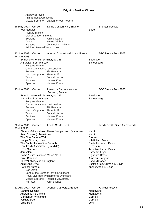Andrey Boreyko Philharmonia Orchestra Mezzo-Soprano Catherine Wyn-Rogers

| 16 May 2003 Concert<br>War Requiem | <b>Richard Hickox</b>                | Dome Concert Hall, Brighton                         | <b>Britten</b>       | <b>Brighton Festival</b>        |
|------------------------------------|--------------------------------------|-----------------------------------------------------|----------------------|---------------------------------|
|                                    | City of London Sinfonia              |                                                     |                      |                                 |
| Soprano                            |                                      | Janice Watson                                       |                      |                                 |
| Tenor                              |                                      | James Gilchrist                                     |                      |                                 |
| <b>Baritone</b>                    |                                      | Christopher Maltman                                 |                      |                                 |
|                                    | <b>Brighton Festival Youth Choir</b> |                                                     |                      |                                 |
| 13 Jun 2003<br>14 Jun 2003         | Concert                              | Arsenal Concert Hall, Metz, France                  |                      | BFC French Tour 2003            |
|                                    |                                      | Symphony No. 9 in D minor, op.125                   | <b>Beethoven</b>     |                                 |
|                                    | A Survivor from Warsaw               |                                                     | Schoenberg           |                                 |
|                                    | Jacques Mercier                      |                                                     |                      |                                 |
|                                    |                                      | Orchestre National de Lorraine                      |                      |                                 |
| Soprano                            |                                      | Rié Hamada                                          |                      |                                 |
|                                    | Mezzo-Soprano Silvie Sullé           |                                                     |                      |                                 |
| Tenor                              |                                      | Donald Litaker                                      |                      |                                 |
| <b>Baritone</b>                    |                                      | <b>Michael Kraus</b>                                |                      |                                 |
| Speaker                            |                                      | <b>Michael Kraus</b>                                |                      |                                 |
| 15 Jun 2003                        | Concert                              | Lavoir du Carreau Wendel,                           |                      | BFC French Tour 2003            |
|                                    |                                      | Forbach, France                                     |                      |                                 |
|                                    |                                      | Symphony No. 9 in D minor, op.125                   | Beethoven            |                                 |
|                                    | A Survivor from Warsaw               |                                                     | Schoenberg           |                                 |
|                                    | Jacques Mercier                      |                                                     |                      |                                 |
| Soprano                            |                                      | Orchestre National de Lorraine<br>Rié Hamada        |                      |                                 |
|                                    | Mezzo-Soprano Silvie Sullé           |                                                     |                      |                                 |
| Tenor                              |                                      | Donald Litaker                                      |                      |                                 |
| <b>Baritone</b>                    |                                      | <b>Michael Kraus</b>                                |                      |                                 |
| Speaker                            |                                      | <b>Michael Kraus</b>                                |                      |                                 |
| 28 Jun 2003<br>05 Jul 2003         | Concert                              | Leeds Castle, Kent                                  |                      | Leeds Castle Open Air Concerts  |
|                                    |                                      | Chorus of the Hebrew Slaves: Va, pensiero (Nabucco) | Verdi                |                                 |
|                                    | Anvil Chorus (Il Trovatore)          |                                                     | Verdi                |                                 |
|                                    | The Blue Danube Waltz                |                                                     | <b>Strauss</b>       |                                 |
|                                    | Happy Birthday to You                |                                                     | Hill/Hill arr. Davis |                                 |
|                                    | The Battle Hymn of the Republic      |                                                     |                      | Steffe/Howe arr. Davis          |
|                                    | I am Easily Assimilated (Candide)    |                                                     | <b>Bernstein</b>     |                                 |
| 1812 Overture<br>Jerusalem         |                                      |                                                     | Parry arr. Elgar     | Tchaikovsky arr. Davis          |
|                                    |                                      | Pomp & Circumstance March No. 1                     | Elgar arr. Davis     |                                 |
| Rule, Britannia!                   |                                      |                                                     | Arne arr. Sargent    |                                 |
|                                    | There'll Always be an England        |                                                     | Parker/Charles       |                                 |
| Auld Lang Syne                     |                                      |                                                     |                      | Scottish trad./Burns arr. Davie |
| National Anthem                    |                                      |                                                     |                      | anon./Arne arr. Elgar           |
|                                    | <b>Carl Davis</b>                    |                                                     |                      |                                 |
|                                    |                                      | Band of the Corps of Royal Engineers                |                      |                                 |
|                                    |                                      | Royal Liverpool Philharmonic Orchestra              |                      |                                 |
|                                    |                                      | Mezzo-Soprano Frances McCafferty                    |                      |                                 |
| Narrator                           |                                      | John Suchet                                         |                      |                                 |
| 31 Aug 2003 Concert                |                                      | Arundel Cathedral, Arundel                          |                      | <b>Arundel Festival</b>         |
| Cantate Domino                     |                                      |                                                     | Monteverdi           |                                 |
|                                    | <b>Adoramus Te Christe</b>           |                                                     | Monteverdi           |                                 |
|                                    | O Magnum Mysterium                   |                                                     | Gabrieli             |                                 |
| Jubilate Deo                       |                                      |                                                     | Gabrieli             |                                 |
| Crucifixus                         |                                      |                                                     | Lotti                |                                 |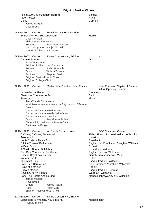| Psalm 100 (Jauchzet dem Herren)<br>Pater Noster<br>Gloria<br>James Morgan<br>Onyx Brass                                                                                                                                                                                                                                                                                                                                                                                                                                                                                       | Schütz<br>Handl<br>Gabrieli                                                                                                                                                                                                                                                                                                                                                                                                                              |
|-------------------------------------------------------------------------------------------------------------------------------------------------------------------------------------------------------------------------------------------------------------------------------------------------------------------------------------------------------------------------------------------------------------------------------------------------------------------------------------------------------------------------------------------------------------------------------|----------------------------------------------------------------------------------------------------------------------------------------------------------------------------------------------------------------------------------------------------------------------------------------------------------------------------------------------------------------------------------------------------------------------------------------------------------|
| 04 Nov 2003 Concert<br>Royal Festival Hall, London<br>Symphony No. 2 (Resurrection)<br>Gilbert Kaplan<br>Philharmonia Orchestra<br>Inger Dam-Jensen<br>Soprano<br>Mezzo-Soprano Nadja Michael<br>London Philharmonia Chorus                                                                                                                                                                                                                                                                                                                                                   | Mahler                                                                                                                                                                                                                                                                                                                                                                                                                                                   |
| 08 Nov 2003<br>Concert<br>Dome Concert Hall, Brighton<br>Carmina Burana<br><b>Barry Wordsworth</b><br>Brighton Philharmonic Orchestra<br>Judith Howarth<br>Soprano<br>Tenor<br><b>William Towers</b><br><b>Baritone</b><br>Stephen Gadd<br><b>Brighton Festival Youth Choir</b><br><b>Brighton College Choir</b>                                                                                                                                                                                                                                                              | Orff                                                                                                                                                                                                                                                                                                                                                                                                                                                     |
| 06 Dec 2003 Concert<br>Station Lille-Flandres, Lille, France<br>Le Sentier du Siecle<br>Chant des Chemins de Fer<br>Passage<br>Jean-Claude Casadesus<br>musiciens amateurs cheminots Région Nord / Pas-de-<br>Calais<br>Orchestre d'Harmonie d'Anzin<br>Orchestre d'Harmonie de Saint-Omer<br>Orchestre National de Lille<br>Tenor<br>Jean-Pierre Furlan<br>Choeur Régional Nord - Pas-de-Calais<br>Cantores de Bruges                                                                                                                                                        | Lille, European Capital of Culture<br>2004, Opening Concert<br>Casadesus<br><b>Berlioz</b><br>Moss                                                                                                                                                                                                                                                                                                                                                       |
| 12 Dec 2003 Concert<br>All Saints Church, Hove<br>O Come, O Come, Emmanuel<br>Rosamundi<br><b>Hodie Christus Natus Est</b><br>O Little Town of Bethlehem<br>In Dulci Jubilo<br>A Child is Born in Bethlehem<br>God Rest You Merry, Gentlemen<br>Once in Royal David's City<br><b>Nativity Carol</b><br>The Infant King<br>Unto Us is Born a Son<br>I Sing of a Maiden<br>I Saw a Maiden<br>O Come, All Ye Faithful<br>Hark! The Herald Angels Sing<br>James Morgan<br>Onyx Brass<br>Organ<br>James Hearn<br><b>Helen Cole</b><br>Harp<br><b>Brighton Festival Youth Choir</b> | <b>BFC Christmas Concert</b><br>15th c. French Processional arr. Willcocks<br><b>Hawkins</b><br><b>Sweelinck</b><br>English trad./Brooks arr. Vaughan Williams<br>Scheidt<br>Scheidt arr. Willcocks<br>English trad. arr. Willcocks<br>Gauntlett/Alexander arr. Mann<br>Rutter<br>Basque trad. arr. Willcocks<br>Piae Cantiones (from) arr. Willcocks<br>Hadley<br>Basque trad. arr. Pettman<br>Wade arr. Willcocks<br>Mendelssohn/Wesley arr. Willcocks |

**31 Jan 2004** Concert Dome Concert Hall, Brighton - Lobgesang (Symphony No. 2 in B flat) Mendelssohn Richard Hickox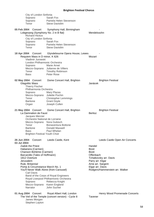| City of London Sinfonia                                                                                                                                                                                                                                                                                               |                                                                                                                                  |                                                                                                                                                                               |
|-----------------------------------------------------------------------------------------------------------------------------------------------------------------------------------------------------------------------------------------------------------------------------------------------------------------------|----------------------------------------------------------------------------------------------------------------------------------|-------------------------------------------------------------------------------------------------------------------------------------------------------------------------------|
| Soprano                                                                                                                                                                                                                                                                                                               | Sarah Fox                                                                                                                        |                                                                                                                                                                               |
| Soprano                                                                                                                                                                                                                                                                                                               | Pamela Helen Stevenson                                                                                                           |                                                                                                                                                                               |
| Tenor                                                                                                                                                                                                                                                                                                                 | <b>Steve Davislim</b>                                                                                                            |                                                                                                                                                                               |
| 05 Feb 2004<br>Concert<br>Lobgesang (Symphony No. 2 in B flat)<br><b>Richard Hickox</b><br>City of London Sinfonia                                                                                                                                                                                                    | Symphony Hall, Birmingham                                                                                                        | Mendelssohn                                                                                                                                                                   |
| Soprano                                                                                                                                                                                                                                                                                                               | Sarah Fox                                                                                                                        |                                                                                                                                                                               |
| Soprano                                                                                                                                                                                                                                                                                                               | Pamela Helen Stevenson                                                                                                           |                                                                                                                                                                               |
| Tenor                                                                                                                                                                                                                                                                                                                 | <b>Steve Davislim</b>                                                                                                            |                                                                                                                                                                               |
| 18 Apr 2004 Concert<br>Requiem Mass in D minor, K 626<br>Vladimir Jurowski                                                                                                                                                                                                                                            | Glyndebourne Opera House, Lewes                                                                                                  | Mozart                                                                                                                                                                        |
| London Philharmonic Orchestra<br>Soprano                                                                                                                                                                                                                                                                              | Marie Arnet                                                                                                                      |                                                                                                                                                                               |
| Mezzo-Soprano<br>Tenor<br><b>Bass</b>                                                                                                                                                                                                                                                                                 | Julianne de Villiers<br><b>Timothy Robinson</b><br>Peter Rose                                                                    |                                                                                                                                                                               |
| 02 May 2004 Concert<br><b>Glagolitic Mass</b>                                                                                                                                                                                                                                                                         | Dome Concert Hall, Brighton                                                                                                      | <b>Brighton Festival</b><br>Janácek                                                                                                                                           |
| <b>Thierry Fischer</b>                                                                                                                                                                                                                                                                                                |                                                                                                                                  |                                                                                                                                                                               |
| Philharmonia Orchestra<br>Soprano                                                                                                                                                                                                                                                                                     | Mary Plazas                                                                                                                      |                                                                                                                                                                               |
| Mezzo-Soprano                                                                                                                                                                                                                                                                                                         | Juliette Pochin                                                                                                                  |                                                                                                                                                                               |
| Tenor                                                                                                                                                                                                                                                                                                                 | <b>Christopher Lemmings</b>                                                                                                      |                                                                                                                                                                               |
| <b>Baritone</b>                                                                                                                                                                                                                                                                                                       | <b>Grant Doyle</b>                                                                                                               |                                                                                                                                                                               |
| Organ                                                                                                                                                                                                                                                                                                                 | Joseph Cullen                                                                                                                    |                                                                                                                                                                               |
| 21 May 2004 Concert<br>La Damnation de Faust<br>Jacques Mercier<br>Orchestre National de Lorraine<br>Mezzo-Soprano<br>Tenor<br><b>Baritone</b><br><b>Bass</b><br><b>Brighton Festival Youth Choir</b>                                                                                                                 | Dome Concert Hall, Brighton<br>Nora Gubisch<br><b>Bonaventura Bottone</b><br>Donald Maxwell<br>Paul Whelan                       | <b>Brighton Festival</b><br><b>Berlioz</b>                                                                                                                                    |
| 26 Jun 2004<br>Concert                                                                                                                                                                                                                                                                                                | Leeds Castle, Kent                                                                                                               | Leeds Castle Open Air Concerts                                                                                                                                                |
| 03 Jul 2004<br><b>Zadok the Priest</b><br>Habanera (Carmen)<br>Chanson Bohème (Carmen)<br>Barcarolle (Tales of Hoffmann)<br>1812 Overture<br>Jerusalem<br>Rule, Britannia!<br>Pomp & Circumstance March No. 1<br>You'll Never Walk Alone (from Carousel)<br><b>Carl Davis</b><br>Soprano<br>Mezzo-Soprano<br>Narrator | Band of the Corps of Royal Engineers<br>Royal Liverpool Philharmonic Orchestra<br>Rebecca Knight<br>Karen England<br>John Suchet | Handel<br><b>Bizet</b><br><b>Bizet</b><br>Offenbach<br>Tchaikovsky arr. Davis<br>Parry arr. Elgar<br>Arne arr. Sargent<br>Elgar arr. Davis<br>Rodgers/Hammerstein arr. Walker |
| 01 Aug 2004 Concert<br>James Morgan                                                                                                                                                                                                                                                                                   | Royal Albert Hall, London<br>The Veil of the Temple (concert version) - Cycle 8                                                  | Henry Wood Promenade Concerts<br><b>Tavener</b>                                                                                                                               |

Stephen Layton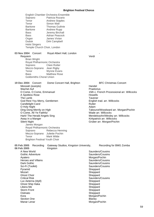English Chamber Orchestra Ensemble Soprano Patricia Rozario<br>Tenor Andrew Staples **Andrew Staples** Tenor Simon Wall Baritone Thomas Guthrie Baritone Andrew Rupp Bass Jeremy Birchall Bass **Adrian Peacock** Organ James Vivian Duduk Dirk Campbell Holst Singers Temple Church Choir, London 03 Nov 2004 Concert Royal Albert Hall, London Requiem Verdi Brian Wright Royal Philharmonic Orchestra Soprano Clare Rutter Mezzo-Soprano Jean Rigby Tenor Wynne Evans Bass Matthew Rose Goldsmiths Choral Union 19 Dec 2004 Concert Dome Concert Hall, Brighton BFC Christmas Concert Messiah (exerpts) and the state of the Handel Handel Wachet Auf<br>
O Come, O Come, Emmanuel<br>
15th c. Fre 15th c. French Processional arr. Willcocks A Spotless Rose **Howells** The Lamb<br>
God Rest You Merry, Gentlemen<br>
God Rest You Merry, Gentlemen<br>
The Lamb Taylor Charles Contract arr. Willcocks God Rest You Merry, Gentlemen Candlelight Carol Candlelight Carol Rutter O Holy Night **Adam** Ding Dong Merrily on High Tabourot/Woodward arr. Morgan/Pochin<br>C Come, All Ye Faithful The Tabourous Come Come Come in the Tabourot/Woodward arr. Morgan/Pochin O Come, All Ye Faithful Hark! The Herald Angels Sing Mendelssohn/Wesley arr. Willcocks Away in a Manger The Communication and Minister Kirkpatrick arr. Willcocks Silent Night Grüber arr. Morgan/Pochin James Morgan Royal Philharmonic Orchestra Soprano Rebecca Henning Mezzo-Soprano Juliette Pochin Tenor Mark Wilde Brighton Festival Youth Choir 05 Feb 2005 Recording Gateway Studios, Kingston University, Recording for BMG Zomba **06 Feb 2005** Kingston A New World **Saunders/Cousins** Gothic Adventure Cousins<br>
Avatero<br>
Saunders/Cousins<br>
Morgan/Pochin Morgan/Pochin<br>Saunders/Cousins Heroes and Villains Dark Gothic **Cousins** Cousins **Cousing** Saunders/Cousins Sci-Fi (Toolkit) Sci-Fi (Toolkit) Saunders/Cousins Pyramid Sheppard Mozart **Sheppard** Sheppard Ghost Choir Sheppard Critical Risk **Saunders/Cousins** Lux Aeterna (Idyll) Sheppard Ghost Ship Haka Sheppard Libera Me Sheppard Storm Front Sheppard Ostinato Sheppard Kora **Morgan/Pochin** Section One **Blaney** 

Manar Lenar Morgan/Pochin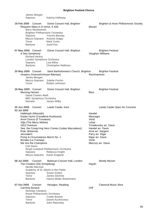| James Morgan<br>Soprano                                                                                                                                                                                                                                                                                                                                             | Katrina Holloway                                                                                                                          |                                                                                       |                                                                                                                           |
|---------------------------------------------------------------------------------------------------------------------------------------------------------------------------------------------------------------------------------------------------------------------------------------------------------------------------------------------------------------------|-------------------------------------------------------------------------------------------------------------------------------------------|---------------------------------------------------------------------------------------|---------------------------------------------------------------------------------------------------------------------------|
| 19 Feb 2005<br>Concert<br>Requiem Mass in D minor, K 626<br>Barry Wordsworth<br><b>Brighton Philharmonic Orchestra</b><br>Soprano<br>Mezzo-Soprano Antonia Sotgiu<br>Tenor<br>Baritone                                                                                                                                                                              | Dome Concert Hall, Brighton<br>Yvonne Barclay<br><b>Mark Curtis</b><br>Jozef Koc                                                          | Mozart                                                                                | Brighton & Hove Philharmonic Society                                                                                      |
| 07 May 2005 Concert<br>A Sea Symphony<br><b>Richard Hickox</b><br>London Symphony Orchestra<br>Soprano<br><b>Baritone</b>                                                                                                                                                                                                                                           | Dome Concert Hall, Brighton<br>Lisa Milne<br>Christopher Maltman                                                                          |                                                                                       | <b>Brighton Festival</b><br>Vaughan Williams                                                                              |
| 20 May 2005 Concert<br>Vespers (Vsenoshchnoye Bdeniye)<br>James Morgan<br>Mezzo-Soprano<br>Tenor                                                                                                                                                                                                                                                                    | Saint Bartholomew's Church, Brighton<br>Juliette Pochin<br>Robert Johnston                                                                | Rachmaninov                                                                           | <b>Brighton Festival</b>                                                                                                  |
| 26 May 2005 Concert<br><b>Morning Heroes</b><br><b>David Charles Abell</b><br><b>BBC Symphony Orchestra</b><br>Narrator                                                                                                                                                                                                                                             | Dome Concert Hall, Brighton<br>James Wilby                                                                                                | <b>Bliss</b>                                                                          | <b>Brighton Festival</b>                                                                                                  |
| 25 Jun 2005<br>Concert<br>02 Jul 2005<br>Hallelujah (Messiah)<br>Easter Hymn (Cavalleria Rusticana)<br>Anvil Chorus (Il Trovatore)<br>Vilja (The Merry Widow)<br>1812 Overture<br>Rule, Britannia!<br>Jerusalem<br>Pomp & Circumstance March No. 1<br>Brindisi (La Traviata)<br>We Are the Champions<br><b>Carl Davis</b><br>Soprano<br>Mezzo-Soprano Karen England | Leeds Castle, Kent<br>See, the Conqu'ring Hero Comes (Judas Maccabeus)<br>Royal Liverpool Philharmonic Orchestra<br>Rebecca Knight        | Handel<br>Mascagni<br>Verdi<br>Lehár<br>Parry arr. Elgar<br>Elgar arr. Davis<br>Verdi | Leeds Castle Open Air Concerts<br>Tchaikovsky arr. Davis<br>Handel arr. Davis.<br>Arne arr. Sargent<br>Mercury arr. Davis |
| 08 Jul 2005<br>Concert<br>The Creation (Die Schöpfung)<br><b>Neville Marriner</b><br>Soprano<br>Tenor<br><b>Baritone</b>                                                                                                                                                                                                                                            | Barbican Concert Hall, London<br>Academy of St. Martin in the Fields<br><b>Susan Gritton</b><br>James Gilchrist<br>Hanno Müller-Brachmann | Haydn                                                                                 | <b>Mostly Mozart</b>                                                                                                      |
| 07 Oct 2005<br>Concert<br>Carmina Burana<br>Nicholas Cleobury<br>Royal Philharmonic Orchestra<br>Soprano<br>Tenor                                                                                                                                                                                                                                                   | Hexagon, Reading<br><b>Yvette Bonner</b><br><b>Daniel Auchincloss</b>                                                                     | Orff                                                                                  | <b>Classical Music Alive</b>                                                                                              |

Baritone John Rawnsley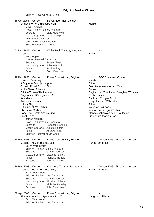Brighton Festival Youth Choir

18 Oct 2005 Concert Royal Albert Hall, London Symphony No. 2 (Resurrection) Mahler Gilbert Kaplan Royal Philharmonic Orchestra Soprano Sally Matthews Mezzo-Soprano Karen Cargill Philharmonia Chorus Crouch End Festival Chorus Southend Festival Chorus 01 Dec 2005 Concert White Rock Theatre, Hastings Messiah **Handel** Ross Pople London Festival Orchestra Soprano Susan Diwey Mezzo-Soprano Juliette Pochin Tenor Paul Badley Bass Colin Campbell 18 Dec 2005 Concert Dome Concert Hall, Brighton BFC Christmas Concert Messiah (exerpts) 1999 - Messiah (exerpts) 1999 - Mandel A Boy Was Britten 1999 - Mandel Shiften 1999 - Mandel<br>A Boy Was Born (excerpts) 1999 - Mandel 1999 - Mandel Shiften 1999 - Mandel 1999 - Mandel 1999 - Mandel 1999 -A Boy Was Born (excerpts) Once in Royal David's City **Gauntlett/Alexander arr. Mann** In the Bleak Midwinter<br>
O Little Town of Bethlehem<br>
Darke Bradisland Based on the Bradisland Bradisland Bradisland Bradisland Bradisland English trad./Brooks arr. Vaughan Williams Bogoróditse Dévo (Vespers) and a component experience Rachmaninov Ave Maria Bach arr. Morgan/Pochin Away in a Manger **Kirkpatrick and Manger** Kirkpatrick arr. Willcocks O Holy Night **Adam** O Come, All Ye Faithful Wade arr. Willcocks Christmas Medley various arr. Morgan/Pochin Hark! The Herald Angels Sing Mendelssohn/Wesley arr. Willcocks Silent Night Grüber arr. Morgan/Pochin James Morgan Royal Philharmonic Orchestra Soprano Rebecca Henning Mezzo-Soprano Juliette Pochin Tenor Andrew Rees Brighton Festival Youth Choir **18 Mar 2006** Concert Dome Concert Hall, Brighton Mozart 2006 - 250th Anniversary Messiah (Mozart orchestration) Messiah (Mozart orchestration) Handel arr. Mozart Barry Wordsworth Brighton Philharmonic Orchestra Soprano Gillian Webster Mezzo-Soprano Elizabeth Sikora Tenor **Nicholas Ransley** Baritone John Rawnsley 19 Mar 2006 Concert Congress Theatre, Eastbourne Mozart 2006 - 250th Anniversary Messiah (Mozart orchestration) Messiah (Mozart orchestration) Handel arr. Mozart Barry Wordsworth Brighton Philharmonic Orchestra Soprano Gillian Webster Mezzo-Soprano Elizabeth Sikora Tenor **Nicholas Ransley** Baritone John Rawnsley 02 Apr 2006 Concert Dome Concert Hall, Brighton Sinfonia Antartica (Symphony No. 7) Vaughan Williams Barry Wordsworth Brighton Philharmonic Orchestra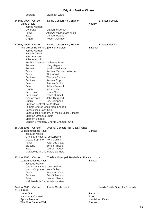| Soprano                                                      | <b>Elizabeth Watts</b>                            |                |                                |
|--------------------------------------------------------------|---------------------------------------------------|----------------|--------------------------------|
| 14 May 2006 Concert<br>Missa Brevis                          | Dome Concert Hall, Brighton                       | Kodály         | <b>Brighton Festival</b>       |
| James Morgan                                                 |                                                   |                |                                |
| Contralto<br>Tenor                                           | <b>Catherine Denley</b><br>Andrew MacKenzie-Wicks |                |                                |
| <b>Bass</b>                                                  | Michael Pearce                                    |                |                                |
| Organ                                                        | <b>Robert Quinney</b>                             |                |                                |
| 27 May 2006 Concert                                          | Dome Concert Hall, Brighton                       |                | <b>Brighton Festival</b>       |
| The Veil of the Temple (concert version)                     |                                                   | Tavener        |                                |
| James Morgan                                                 |                                                   |                |                                |
| Joseph Cullen                                                |                                                   |                |                                |
| John Hancorn<br>Juliette Pochin                              |                                                   |                |                                |
| English Chamber Orchestra Brass                              |                                                   |                |                                |
| Soprano                                                      | Mary Hegarty                                      |                |                                |
| Soprano                                                      | Katrina Holloway                                  |                |                                |
| Tenor                                                        | Andrew MacKenzie-Wicks                            |                |                                |
| Tenor                                                        | Simon Wall                                        |                |                                |
| <b>Baritone</b>                                              | <b>Thomas Guthrie</b>                             |                |                                |
| <b>Baritone</b><br><b>Bass</b>                               | Andrew Rupp                                       |                |                                |
| <b>Bass</b>                                                  | Jeremy Birchall<br><b>Adrian Peacock</b>          |                |                                |
| Organ                                                        | lan le Grice                                      |                |                                |
| Percussion                                                   | Oliver Cox                                        |                |                                |
| Percussion                                                   | Owen Gunnell                                      |                |                                |
| Tibetan horn                                                 | John Thurgood                                     |                |                                |
| Duduk                                                        | Dirk Campbell                                     |                |                                |
| <b>Brighton Festival Youth Choir</b>                         | Temple Church Choir Men, London                   |                |                                |
| East Sussex Bach Choir                                       |                                                   |                |                                |
|                                                              | East Sussex Academy of Music Vocal Consort        |                |                                |
| <b>Brighton Orpheus Choir</b>                                |                                                   |                |                                |
| <b>Brighton Singers</b>                                      |                                                   |                |                                |
|                                                              | London Symphony Chorus Chamber Choir              |                |                                |
| 16 Jun 2006 Concert                                          | Arsenal Concert Hall, Metz, France                |                |                                |
| La Damnation de Faust                                        |                                                   | <b>Berlioz</b> |                                |
| Jacques Mercier                                              |                                                   |                |                                |
| Orchestre National de Lorraine<br>Mezzo-Soprano Nora Gubisch |                                                   |                |                                |
| Tenor                                                        | Jean-Luc Viala                                    |                |                                |
| <b>Baritone</b>                                              | Benoît Arnould                                    |                |                                |
| <b>Bass</b>                                                  | Laurent Nauori                                    |                |                                |
| Maîtrise de la Cathédrale de Metz                            |                                                   |                |                                |
| 17 Jun 2006<br>Concert                                       | Théâtre Municipal, Bar-le-Duc, France             |                |                                |
| La Damnation de Faust                                        |                                                   | <b>Berlioz</b> |                                |
| Jacques Mercier                                              |                                                   |                |                                |
| Orchestre National de Lorraine                               |                                                   |                |                                |
| Mezzo-Soprano Nora Gubisch                                   |                                                   |                |                                |
| Tenor                                                        | Jean-Luc Viala                                    |                |                                |
| <b>Baritone</b>                                              | Benoît Arnould                                    |                |                                |
| <b>Bass</b><br>Maîtrise de la Cathédrale de Metz             | Laurent Nauori                                    |                |                                |
|                                                              |                                                   |                |                                |
| 24 Jun 2006<br>Concert                                       | Leeds Castle, Kent                                |                | Leeds Castle Open Air Concerts |
| 01 Jul 2006<br>I Was Glad                                    |                                                   | Parry          |                                |
| Habanera (Carmen)                                            |                                                   | <b>Bizet</b>   |                                |
| Sports Prepare!                                              |                                                   |                | Handel arr. Davis              |
| The Blue Danube Waltz                                        |                                                   | <b>Strauss</b> |                                |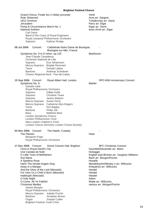Grand Chorus, Finale Act 2 (Aida) (excerpt) Verdi Rule, Britannia!<br>1812 Overture 1988 (1999) 1999 (1999) 1999 (1999) 1999 (1999) 1999 (1999) 1999 (1999) 1999 (1999) 1999 (1999)<br>Tchaikovsky arr. I Tchaikovsky arr. Davis Jerusalem **Parry arr.** Elgar Pomp & Circumstance March No. 1 Elgar arr. Davis National Anthem and anon./Arne arr. Elgar Carl Davis Band of the Corps of Royal Engineers Royal Liverpool Philharmonic Orchestra Soprano Kathryn Rudge 08 Jul 2006 Concert Cathédrale Notre Dame de Boulogne, Boulogne-sur-Mer, France Symphony No. 9 in D minor, op.125 Jean-Claude Casadesus Orchestre National de Lille Soprano Eva Johannson Mezzo-Soprano Brigitte Remmert Tenor Donald Litaker Baritone Andreas Scheibner Choeur Régional Nord - Pas-de-Calais **15 Sep 2006** Concert Royal Albert Hall, London RPO 60th Anniversary Concert Symphony No. 8 Mahler Daniele Gatti Royal Philharmonic Orchestra<br>Soprano Gillian Keith Soprano Gillian Keith<br>Soprano Christine Te **Christine Teare** Soprano Janice Watson Mezzo-Soprano Susan Parry Mezzo-Soprano Catherine Wyn-Rogers Tenor Kim Begley Baritone Philip Joll Bass Matthew Best London Symphony Chorus London Philharmonic Choir New London Children's Choir London Chorus (formerly London Choral Society) 04 Nov 2006 Concert The Hawth, Crawley The Planets **Holst** Benjamin Pope Royal Philharmonic Orchestra 17 Dec 2006 Concert Dome Concert Hall, Brighton BFC Christmas Concert Once in Royal David's City Gauntlett/Alexander arr. Mann Une Cantate de Noël en een verschiedenische Honegger O Little Town of Bethlehem English trad./Brooks arr. Vaughan Williams Ave Maria Bach arr. Morgan/Pochin A Spotless Rose **Howells** Hark! The Herald Angels Sing Mendelssohn/Wesley n arr. Willcocks Away in a Manger **Kirkpatrick arr. Willcocks** And the Glory of the Lord (Messiah) Handel For Unto Us a Child is Born (Messiah) Handel Hallelujah (Messiah) Handel O Holy Night **Adam** O Come, All Ye Faithful Wade arr. Willcocks Christmas Medley various arr. Morgan/Pochin James Morgan Royal Philharmonic Orchestra Mezzo-Soprano Juliette Pochin Baritone Jonathan Brown Organ Joseph Cullen Brighton Festival Youth Choir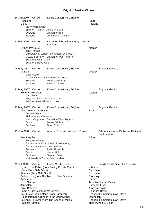| 14 Jan 2007<br>Requiem<br>Gloria                                           | Concert<br>Barry Wordsworth<br>Soprano<br>Baritone                                                                    | Dome Concert Hall, Brighton<br><b>Brighton Philharmonic Orchestra</b><br><b>Catherine Bott</b><br>Christopher Maltman                                                                                                                                     | Fauré<br>Poulenc                                                                                                                                             |                                                                                                                                                       |
|----------------------------------------------------------------------------|-----------------------------------------------------------------------------------------------------------------------|-----------------------------------------------------------------------------------------------------------------------------------------------------------------------------------------------------------------------------------------------------------|--------------------------------------------------------------------------------------------------------------------------------------------------------------|-------------------------------------------------------------------------------------------------------------------------------------------------------|
| 11 Mar 2007                                                                | Concert                                                                                                               | Dukes Hall, Royal Academy of Music,<br>London                                                                                                                                                                                                             |                                                                                                                                                              |                                                                                                                                                       |
|                                                                            | Symphony No. 3<br>John Forster<br>Southend Girls' Choir<br>Southend Boys' Choir                                       | University of London Symphony Orchestra<br>Mezzo-Soprano Catherine Wyn-Rogers                                                                                                                                                                             | Mahler                                                                                                                                                       |                                                                                                                                                       |
| 09 May 2007 Concert<br>Te Deum                                             | Libor Pešek<br>Soprano<br><b>Baritone</b>                                                                             | Dome Concert Hall, Brighton<br>Czech National Symphony Orchestra<br>Rebecca Bottone<br>Jonathan Brown                                                                                                                                                     | Dvorák                                                                                                                                                       | <b>Brighton Festival</b>                                                                                                                              |
| 21 May 2007 Concert                                                        | Henry V (film score)<br><b>Carl Davis</b><br>Royal Philharmonic Orchestra<br><b>Brighton Festival Youth Choir</b>     | Dome Concert Hall, Brighton                                                                                                                                                                                                                               | Walton                                                                                                                                                       | <b>Brighton Festival</b>                                                                                                                              |
| 27 May 2007 Concert<br>Tenor                                               | The Dream of Gerontius<br><b>Andrew Davis</b><br>Philharmonia Orchestra<br>Baritone                                   | Dome Concert Hall, Brighton<br>Mezzo-Soprano Catherine Wyn-Rogers<br>James Gilchrist<br>Peter Sidhom                                                                                                                                                      | Elgar                                                                                                                                                        | <b>Brighton Festival</b>                                                                                                                              |
|                                                                            | 15 Jun 2007 Concert                                                                                                   | Arsenal Concert Hall, Metz, France                                                                                                                                                                                                                        |                                                                                                                                                              | 30e Anniversaire Orchestre National<br>de Lorraine                                                                                                    |
| War Requiem<br>Tenor                                                       | Jacques Mercier<br>Orchestre National de Lorraine<br>Soprano<br>Baritone                                              | Orchestre de Chambre du Luxembourg<br>Judith Howarth<br>Martyn Hill<br>Stephen Genz<br>Maîtrise de la Cathédrale de Metz                                                                                                                                  | <b>Britten</b>                                                                                                                                               |                                                                                                                                                       |
| 07 Jul 2007<br>Agnus Dei<br>1812 Overture<br>Jerusalem<br>Rule, Britannia! | Concert<br>Maria (West Side Story)<br>America (West Side Story)<br>Pomp & Circumstance March No. 1<br>National Anthem | Leeds Castle, Kent<br>Hymn to the Fallen (from Saving Private Ryan)<br>Be My Love (from The Toast of New Orleans)<br>You'll Never Walk Alone (from Carousel)<br>Galop Infernal (Orpheus in the Underworld)<br>So Long, Farewell (from The Sound of Music) | Williams<br><b>Bernstein</b><br><b>Bernstein</b><br><b>Brodzsky</b><br><b>Barber</b><br>Parry arr. Elgar<br>Arne arr. Davis<br>Elgar arr. Davis<br>Offenbach | Leeds Castle Open Air Concerts<br>Tchaikovsky arr. Davis<br>Rodgers/Hammerstein arr. Davis<br>Rodgers/Hammerstein arr. Davis<br>anon./Arne arr. Elgar |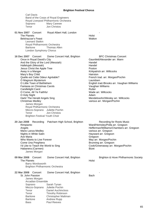Carl Davis Band of the Corps of Royal Engineers Royal Liverpool Philharmonic Orchestra Soprano Mary Carewe Tenor Jon Christos 01 Nov 2007 Concert Royal Albert Hall, London The Planets **Holst** Belshazzar's Feast Walton Leonard Slatkin Royal Philharmonic Orchestra Baritone Thomas Allen London Symphony Chorus **16 Dec 2007** Concert Dome Concert Hall, Brighton BFC Christmas Concert Once in Royal David's City **Gauntlett**/Alexander arr. Mann And the Glory of the Lord (Messiah) Handel Hallelujah (Messiah) Handel Jesus Christ the Apple Tree **Poston** Away in a Manger New York Channels Away in a Manger New York Channels Away in a Millcocks Mary's Boy Child Hairston French trad. arr. Morgan/Pochin O Magnum Mysterium **Communist Communist Communist Communist Communist Communist Communist Communist Communist Communist Communist Communist Communist Communist Communist Communist Communist Communist Communist Communist Co** O Little Town of Bethlehem **English trad./Brooks arr. Vaughan Williams**<br>
Fantasia on Christmas Carols **English trad./Brooks arr. Vaughan Williams** Fantasia on Christmas Carols Vaughan Williams Candlelight Carol O Come, All Ye Faithful Wade arr. Willcocks O Holy Night<br>
Hark! The Herald Angels Sing<br>
Hark! The Herald Angels Sing Mendelssohn/Wesley arr. Willcocks Christmas Medley various arr. Morgan/Pochin James Morgan Royal Philharmonic Orchestra Mezzo-Soprano Juliette Pochin Tenor Jon Christos Brighton Festival Youth Choir 20 Jan 2008 Recording Patcham High School, Brighton Recording for Roots Music Rimpianto Ward/Hemsley/Polla arr. Gregson Angels Hefferman/Williams/Chambers arr. Gregson Mario Lanza Medley various arr. Gregson Nights in White Satin **Hayward arr.** Gregson Ave Maria<br>
Who Wants to Live Forever<br>
Who Wants to Live Forever<br>
Contract Live Corean Art Contract May arr. Morgan/Pochin Who Wants to Live Forever<br>Come Una Preghiera Come Una Preghiera<br>
l'd Like to Teach the World to Sing<br>
Cook/Greenaway arr. N Cook/Greenaway arr. Morgan/Pochin Habanera (Carmen) Bizet James Morgan **09 Mar 2008** Concert Dome Concert Hall, Brighton **Brighton & Hove Philharmonic Society** The Planets **Holst** Barry Wordsworth Brighton Philharmonic Orchestra 22 Mar 2008 Concert Dome Concert Hall, Brighton St. John Passion **Bach** James Morgan Arcadian Ensemble Soprano Sarah Tynan Mezzo-Soprano Juliette Pochin Tenor Daniel Auchincloss Tenor Timothy Robinson Baritone Christopher Maltman Baritone Andrew Rupp Bass Paul Reeves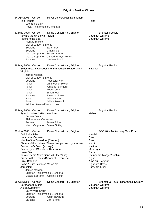| 24 Apr 2008 Concert<br>The Planets<br><b>Leonard Slatkin</b><br>Royal Philharmonic Orchestra                                                                                                                                                                                                                                                                                                                                         | Royal Concert Hall, Nottingham                                                                                                                                                                                                                        | Holst                                                                                                                                                                                                                |
|--------------------------------------------------------------------------------------------------------------------------------------------------------------------------------------------------------------------------------------------------------------------------------------------------------------------------------------------------------------------------------------------------------------------------------------|-------------------------------------------------------------------------------------------------------------------------------------------------------------------------------------------------------------------------------------------------------|----------------------------------------------------------------------------------------------------------------------------------------------------------------------------------------------------------------------|
| 11 May 2008 Concert<br>Toward the Unknown Region<br>Riders to the Sea<br><b>Richard Hickox</b><br>City of London Sinfonia<br>Soprano<br>Soprano<br><b>Baritone</b>                                                                                                                                                                                                                                                                   | Dome Concert Hall, Brighton<br>Sarah Fox<br>Gillian Keith<br>Mezzo-Soprano Susan Atherton<br>Mezzo-Soprano Catherine Wyn-Rogers<br><b>Matthew Brook</b>                                                                                               | <b>Brighton Festival</b><br>Vaughan Williams<br>Vaughan Williams                                                                                                                                                     |
| 20 May 2008 Concert<br>Virginis<br>James Morgan<br>City of London Sinfonia<br>Soprano<br>Tenor<br>Tenor<br>Tenor<br>Tenor<br>Baritone<br>Bass<br>Bass<br><b>Brighton Festival Youth Choir</b>                                                                                                                                                                                                                                        | Dome Concert Hall, Brighton<br>Sollemnitas in Conceptione Immaculate Beatae Maria<br>Rebecca Ryan<br>Christopher Bowen<br>Jonathan Bungard<br><b>Robert Johnston</b><br>Simon Wall<br>Jonathan Brown<br><b>Adrian Hutton</b><br><b>Adrian Peacock</b> | <b>Brighton Festival</b><br>Tavener                                                                                                                                                                                  |
| 25 May 2008 Concert<br>Symphony No. 2 (Resurrection)<br><b>Andrew Davis</b><br>Philharmonia Orchestra<br>Soprano<br>Mezzo-Soprano Susan Bickley                                                                                                                                                                                                                                                                                      | Dome Concert Hall, Brighton<br><b>Susan Gritton</b>                                                                                                                                                                                                   | <b>Brighton Festival</b><br>Mahler                                                                                                                                                                                   |
| Concert<br>27 Jun 2008<br><b>Zadok the Priest</b><br>Habanera (Carmen)<br>March of the Toreadors (Carmen)<br>Belshazzar's Feast (excerpt)<br>Easter Hymn (Cavalleria Rusticana)<br>I Was Glad<br>Tara's Theme (from Gone with the Wind)<br>Praise to the Holiest (Dream of Gerontius)<br>Rule, Britannia!<br>Pomp & Circumstance March No. 1<br>Jerusalem<br>James Morgan<br><b>Brighton Philharmonic Orchestra</b><br>Mezzo-Soprano | Dome Concert Hall, Brighton<br>Chorus of the Hebrew Slaves: Va, pensiero (Nabucco)<br>Juliette Pochin                                                                                                                                                 | BFC 40th Anniversary Gala Prom<br>Handel<br><b>Bizet</b><br><b>Bizet</b><br>Verdi<br>Walton<br>Mascagni<br>Parry<br>Steiner arr. Morgan/Pochin<br>Elgar<br>Arne arr. Sargent<br>Elgar arr. Davis<br>Parry arr. Elgar |
| 05 Oct 2008<br>Concert<br>Serenade to Music<br>A Sea Symphony<br>Barry Wordsworth<br>Brighton Philharmonic Orchestra<br>Soprano<br><b>Baritone</b>                                                                                                                                                                                                                                                                                   | Dome Concert Hall, Brighton<br>Judith Howarth<br><b>Mark Stone</b>                                                                                                                                                                                    | Brighton & Hove Philharmonic Society<br>Vaughan Williams<br>Vaughan Williams                                                                                                                                         |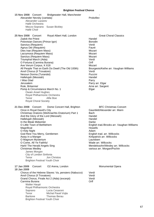| 15 Nov 2008 Concert<br>Bridgewater Hall, Manchester<br>Alexander Nevsky (cantata)<br>Alexander Lazarev<br>Hallé Orchestra<br>Mezzo-Soprano Susan Bickley<br>Hallé Choir                                                                                                                                                                                                                                                                                                                                                                                                                                                                                             | Prokofiev                                                                                                                                                                                                                                                                                                                                |
|---------------------------------------------------------------------------------------------------------------------------------------------------------------------------------------------------------------------------------------------------------------------------------------------------------------------------------------------------------------------------------------------------------------------------------------------------------------------------------------------------------------------------------------------------------------------------------------------------------------------------------------------------------------------|------------------------------------------------------------------------------------------------------------------------------------------------------------------------------------------------------------------------------------------------------------------------------------------------------------------------------------------|
| Royal Albert Hall, London<br>25 Nov 2008 Concert<br><b>Zadok the Priest</b><br>Polovtsian Dances (Prince Igor)<br>Sanctus (Requiem)<br>Agnus Dei (Requiem)<br>Dies Irae (Requiem Mass)<br>Lacrymosa (Requiem Mass)<br>Sanctus (Requiem Mass)<br>Triumphal March (Aida)<br>O Fortuna (Carmina Burana)<br>Ave Verum Corpus, K 618<br>All People That on Earth Do Dwell (The Old 100th)<br>Anvil Chorus (Il Trovatore)<br>Nessun Dorma (Turandot)<br>Hallelujah (Messiah)<br>I Was Glad<br>Jerusalem<br>Rule, Britannia!<br>Pomp & Circumstance March No. 1<br>Owain Arwel Hughes<br>Royal Philharmonic Orchestra<br>Tenor<br>Alfie Boe<br><b>Royal Choral Society</b> | <b>Great Choral Classics</b><br>Handel<br><b>Borodin</b><br>Verdi<br>Fauré<br>Mozart<br>Mozart<br>Mozart<br>Verdi<br>Orff<br>Mozart<br>Bourgeois/Kethe arr. Vaughan Williams<br>Verdi<br>Puccini<br>Handel<br>Parry<br>Parry arr. Elgar<br>Arne arr. Sargent<br>Elgar                                                                    |
| 21 Dec 2008 Concert<br>Dome Concert Hall, Brighton<br>Once in Royal David's City<br>Christmas Oratorio (Weihnachts-Oratorium) Part 1<br>And the Glory of the Lord (Messiah)<br>Hallelujah (Messiah)<br>In the Bleak Midwinter<br>O Little Town of Bethlehem<br>Magnificat<br>O Holy Night<br>God Rest You Merry, Gentlemen<br>Away in a Manger<br>O Magnum Mysterium<br>O Come, All Ye Faithful<br>Hark! The Herald Angels Sing<br><b>Christmas Medley</b><br>James Morgan<br>City of London Sinfonia<br>Tenor<br>Jon Christos<br><b>Brighton Festival Youth Choir</b>                                                                                              | <b>BFC Christmas Concert</b><br>Gauntlett/Alexander arr. Mann<br>Bach<br>Handel<br>Handel<br>Darke<br>English trad./Brooks arr. Vaughan Williams<br>Howells<br>Adam<br>English trad. arr. Willcocks<br>Kirkpatrick arr. Willcocks<br>Lauridsen<br>Wade arr. Willcocks<br>Mendelssohn/Wesley arr. Willcocks<br>various arr. Morgan/Pochin |
| O2 Arena, London<br>17 Jan 2009<br>Concert<br>18 Jan 2009<br>Chorus of the Hebrew Slaves: Va, pensiero (Nabucco)<br>Anvil Chorus (Il Trovatore)<br>Grand Chorus, Finale Act 2 (Aida) (excerpt)<br>Carmina Burana<br><b>Walter Haupt</b><br>Royal Philharmonic Orchestra<br>Soprano<br>Lucia Cesaroni<br>Tenor<br>Michal Pavel Vojta<br><b>Baritone</b><br><b>Thomas Berau</b><br><b>Brighton Festival Youth Choir</b>                                                                                                                                                                                                                                               | Monumental Opera<br>Verdi<br>Verdi<br>Verdi<br>Orff                                                                                                                                                                                                                                                                                      |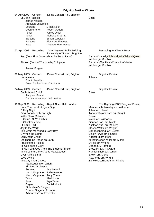| 04 Apr 2009<br>Concert<br>St. John Passion<br>James Morgan<br><b>Arcadian Ensemble</b><br>Soprano<br>Countertenor<br>Tenor<br>Tenor<br>Baritone<br><b>Baritone</b><br><b>Bass</b>                                                                                                                                                                                                                                                                                                                                                                                                                                                                                                   | Dome Concert Hall, Brighton<br>Gillian Keith<br>Robert Ogden<br>James Oxley<br><b>Nicholas Sharratt</b><br>Simon Lobelson<br>Riccardo Simonetti<br><b>Matthew Hargreaves</b>                                     | Bach                                                                                                                                                                                                                                                                                                                                                                                                                                                                                                                                                    |  |  |
|-------------------------------------------------------------------------------------------------------------------------------------------------------------------------------------------------------------------------------------------------------------------------------------------------------------------------------------------------------------------------------------------------------------------------------------------------------------------------------------------------------------------------------------------------------------------------------------------------------------------------------------------------------------------------------------|------------------------------------------------------------------------------------------------------------------------------------------------------------------------------------------------------------------|---------------------------------------------------------------------------------------------------------------------------------------------------------------------------------------------------------------------------------------------------------------------------------------------------------------------------------------------------------------------------------------------------------------------------------------------------------------------------------------------------------------------------------------------------------|--|--|
| 07 Apr 2009<br>Recording                                                                                                                                                                                                                                                                                                                                                                                                                                                                                                                                                                                                                                                            | John Maynard Smith Building,<br>University of Sussex, Brighton<br>Run (from Final Straw album by Snow Patrol)                                                                                                    | Recording for Classic Rock<br>Archer/Connolly/Lightbody/McClelland/Quinn                                                                                                                                                                                                                                                                                                                                                                                                                                                                                |  |  |
| Fix You (from X&Y album by Coldplay)<br>James Morgan                                                                                                                                                                                                                                                                                                                                                                                                                                                                                                                                                                                                                                |                                                                                                                                                                                                                  | arr. Morgan/Pochin<br>Berryman/Buckland/Champion/Martin<br>arr. Morgan/Pochin                                                                                                                                                                                                                                                                                                                                                                                                                                                                           |  |  |
|                                                                                                                                                                                                                                                                                                                                                                                                                                                                                                                                                                                                                                                                                     |                                                                                                                                                                                                                  |                                                                                                                                                                                                                                                                                                                                                                                                                                                                                                                                                         |  |  |
| 07 May 2009 Concert<br>Harmonium<br><b>Grant Llewellyn</b><br>Royal Philharmonic Orchestra                                                                                                                                                                                                                                                                                                                                                                                                                                                                                                                                                                                          | Dome Concert Hall, Brighton                                                                                                                                                                                      | <b>Brighton Festival</b><br>Adams                                                                                                                                                                                                                                                                                                                                                                                                                                                                                                                       |  |  |
| 24 May 2009 Concert<br>Daphnis and Chloë<br>Jacques Mercier<br>Orchestre National de Lorraine                                                                                                                                                                                                                                                                                                                                                                                                                                                                                                                                                                                       | Dome Concert Hall, Brighton                                                                                                                                                                                      | <b>Brighton Festival</b><br>Ravel                                                                                                                                                                                                                                                                                                                                                                                                                                                                                                                       |  |  |
| Hark! The Herald Angels Sing<br>O Holy Night<br>Ding Dong Merrily on High<br>In the Bleak Midwinter<br>O Come, All Ye Faithful<br>O Christmas Tree<br>Still, Still, Still<br>Joy to the World<br>The Virgin Mary had a Baby Boy<br>O When the Saints<br>Lord Jesus Christ<br>Let There be Peace on Earth<br>Praise to the Holiest<br>To God be the Glory<br>Thine be the Glory (Judas Maccabaeus)<br>Over All the Earth<br>Love Divine<br>The Day Thou Gavest<br>Paul Leddington Wright<br><b>Big Sing Orchestra</b><br>Soprano<br>Mezzo-Soprano<br>Mezzo-Soprano<br>Tenor<br>Bass<br>Organ<br>St. Michael's Singers<br>Exmoor Singers of London<br><b>Adventist Vocal Ensemble</b> | 13 Sep 2009 Recording Royal Albert Hall, London<br>I'll Walk with God (from The Student Prince)<br><b>Amy Nuttall</b><br>Jodie Prenger<br><b>Ruby Turner</b><br>Aled Jones<br><b>Bryn Terfel</b><br>Daniel Moult | The Big Sing (BBC Songs of Praise)<br>Mendelssohn/Wesley arr. Willcocks<br>Adam arr. Hazell<br>Tabourot/Woodward arr. Wright<br>Darke<br>Wade arr. Willcocks<br>German trad. arr. Monk<br>Austrian trad. arr. Wilberg<br>Mason/Watts arr. Wright<br>Caribbean trad. arr. Burton<br>Black/Purvis arr. Ramskill<br>Appleford arr. Monk<br>Miller/Jackson Miller arr. Monk<br>Dykes arr. Wright<br>Doane arr. Ramskill<br>Brodzsky arr. Hayward<br>Handel/Budry arr. Wright<br>Brown arr. Monk<br>Rowlands arr. Wright<br>Scholefield/Ellerton arr. Wright |  |  |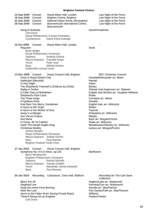| 15 Sep 2009<br>18 Sep 2009<br>22 Sep 2009<br>26 Sep 2009<br>Song of Australia                                                                                                         | Concert<br>Concert<br>Concert<br>Concert                                                                                                                                                                                                                                                                                                             | Royal Albert Hall, London<br>Brighton Centre, Brighton<br>National Indoor Arena, Birmingham<br>Bournemouth International Centre,<br><b>Bournemouth</b>                                                                | Last Night of the Poms<br>Last Night of the Poms<br>Last Night of the Poms<br>Last Night of the Poms<br>Davis/Humphries                                                                                                                                                                                                                                                                                                                                               |
|---------------------------------------------------------------------------------------------------------------------------------------------------------------------------------------|------------------------------------------------------------------------------------------------------------------------------------------------------------------------------------------------------------------------------------------------------------------------------------------------------------------------------------------------------|-----------------------------------------------------------------------------------------------------------------------------------------------------------------------------------------------------------------------|-----------------------------------------------------------------------------------------------------------------------------------------------------------------------------------------------------------------------------------------------------------------------------------------------------------------------------------------------------------------------------------------------------------------------------------------------------------------------|
|                                                                                                                                                                                       | <b>Carl Davis</b><br>Countertenor                                                                                                                                                                                                                                                                                                                    | Royal Philharmonic Concert Orchestra<br>Dame Edna Everage                                                                                                                                                             |                                                                                                                                                                                                                                                                                                                                                                                                                                                                       |
| 16 Oct 2009<br>Requiem<br>Soprano<br>Tenor<br><b>Bass</b>                                                                                                                             | Concert<br><b>Brian Wright</b><br>Royal Philharmonic Orchestra<br>Mezzo-Soprano<br><b>Goldsmiths Choral Union</b>                                                                                                                                                                                                                                    | Royal Albert Hall, London<br>Antonia Cifrone<br>Graciela Araya<br>Peter Auty<br><b>Mikhail Svetlov</b>                                                                                                                | Verdi                                                                                                                                                                                                                                                                                                                                                                                                                                                                 |
| 13 Dec 2009 Concert<br>O Holy Night<br>Dejlig er Jorden<br>The Three Kings<br>A Spotless Rose<br>Away in a Manger<br>Ave Verum Corpus<br>Ave Maria<br>Christmas Medley<br><b>Bass</b> | Once in Royal David's City<br>Hallelujah (Messiah)<br>O Little Town of Bethlehem<br>Shepherd's Pipe Carol<br>God Rest You Merry, Gentlemen<br>A Hymn to the Virgin<br>A Hymn to the Mother of God<br>O Come, All Ye Faithful<br>Hark! The Herald Angels Sing<br>James Morgan<br>Royal Philharmonic Orchestra<br><b>Brighton Festival Youth Choir</b> | Dome Concert Hall, Brighton<br>The Shepherds' Farewell (L'Enfance du Christ)<br>Mezzo-Soprano Juliette Pochin<br><b>Paul Reeves</b>                                                                                   | <b>BFC Christmas Concert</b><br>Gauntlett/Alexander arr. Mann<br>Handel<br>Adam<br><b>Berlioz</b><br>Silesian trad./Ingemann arr. Bojesen<br>English trad./Brooks arr. Vaughan Williams<br>Rutter<br>Cornelius arr. Atkins<br><b>Howells</b><br>English trad. arr. Willcocks<br><b>Britten</b><br>Tavener<br>Kirkpatrick arr. Willcocks<br>Mawby<br>Bach arr. Morgan/Pochin<br>Wade arr. Willcocks<br>Mendelssohn/Wesley arr. Willcocks<br>various arr. Morgan/Pochin |
| 17 Jan 2010<br>Soprano<br>Tenor<br><b>Bass</b>                                                                                                                                        | Concert<br>Barry Wordsworth                                                                                                                                                                                                                                                                                                                          | Dome Concert Hall, Brighton<br>Symphony No. 9 in D minor, op.125<br><b>Brighton Philharmonic Orchestra</b><br><b>Rachel Nicholls</b><br>Mezzo-Soprano Carolyn Dobbin<br>Alexander James Edwards<br><b>Paul Reeves</b> | Beethoven                                                                                                                                                                                                                                                                                                                                                                                                                                                             |
| 20 Jan 2010<br>Bless 'Em All<br>Siegfried Line<br>Wish Me Luck                                                                                                                        | Recording<br>Keep the Home Fires Burning<br>There'll Always be an England<br><b>Carl Davis</b>                                                                                                                                                                                                                                                       | Colosseum, Town Hall, Watford<br>Hymn to the Fallen (from Saving Private Ryan)                                                                                                                                        | Recording for The Carl Davis<br>Collection<br>Hughes/Lake arr. Wadsworth<br>Kennedy/Carr arr. Wadsworth<br>Novello arr. MacPherson<br>Parr-Davies/Park arr. MacPherson<br>Williams<br>Parker/Charles                                                                                                                                                                                                                                                                  |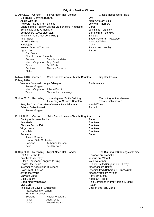03 Apr 2010 Concert Royal Albert Hall, London Classic Response for Haiti O Fortuna (Carmina Burana) **Orff** Abide With Me **Monk/Lyte arr.** Lole How Can I Keep From Singing Lowry arr. Herbert Chorus of the Hebrew Slaves: Va, pensiero (Nabucco) Verdi Benedictus (The Armed Man)<br>
Somewhere (West Side Story) The Communication of Bernstein arr. Langley Somewhere (West Side Story) Finlandia ("On Great Lone Hills") Sibelius The Prayer Sager/Foster arr. Masterson<br>
Amazing Grace Sager/Foster arr. Masterson<br>
Newton/Walker Amazing Grace Hallelujah<br>Nessun Dorma (Turandot) di dikenali pada tahun 1990 Septembang Puccini arr. Langley Nessun Dorma (Turandot) Agnus Dei **Barber** Carl Davis City of London Sinfonia Soprano Camilla Kerslake Mezzo-Soprano Faryl Smith Tenor Paul Potts Baritone Rhydian Roberts Blake **14 May 2010** Concert Saint Bartholomew's Church, Brighton Brighton Festival **15 May 2010** Vespers (Vsenoshchnoye Bdeniye) Machmaninov James Morgan Mezzo-Soprano Juliette Pochin Tenor Christopher Lemmings **08 Jun 2010** Recording John Maynard Smith Building, Recording for the Minerva University of Sussex, Brighton Theatre, Chichester See, the Conqu'ring Hero Comes / Rule Britannia Handel/Arne Britons, Strike Home! Purcell James Morgan 17 Jul 2010 Concert Saint Bartholomew's Church, Brighton Cantique de Jean Racine **Fauré** Fauré Ave Maria Bruckner Christus Factus Est Bruckner Virga Jesse Bruckner Locus Iste Bruckner Requiem James Morgan London Gala Orchestra Soprano Katherine Carson Bass Paul Reeves **12 Sep 2010** Recording Royal Albert Hall, London The Big Sing (BBC Songs of Praise) Let All The World<br>
British Isles Medley<br>
Harwood arr. Ramskill<br>
various arr. Wright British Isles Medley O for a Thousand Tongues to Sing Wesley/Jarman Lord for the Years Dudley-Smith/Baughan arr. Ellerby Intermezzo (Cavelleria Rusticana) Mascagni arr. Baker How Great Thou Art Swedish trad./Boberg arr. Hine/Wright Joy to the World Mason/Watts arr. Wright Calypso Carol **Perry arr.** Monk O Holy Night **Adam arr. Hazell** Good King Wenceslas **Piane Cantiones (from)/Neale arr.** Monk Star Carol<br>The Twelve Days of Christmas The Twelve Days of Christmas The Twelve Days of Christmas Paul Leddington Wright Big Sing Orchestra Soprano Hayley Westenra Tenor Aled Jones Tenor Russell Watson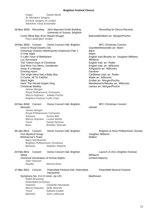Organ Daniel Moult St. Michael's Singers Exmoor Singers of London Adventist Vocal Ensemble

| 16 Nov 2010 Recording                                                                                                                    |                                                                                                                                                                                                                                                                                                                           | John Maynard Smith Building,<br>University of Sussex, Brighton                                                            | Recording for Decca Records                                                                                                                                                                                                                                                                                                                                                                                 |
|------------------------------------------------------------------------------------------------------------------------------------------|---------------------------------------------------------------------------------------------------------------------------------------------------------------------------------------------------------------------------------------------------------------------------------------------------------------------------|---------------------------------------------------------------------------------------------------------------------------|-------------------------------------------------------------------------------------------------------------------------------------------------------------------------------------------------------------------------------------------------------------------------------------------------------------------------------------------------------------------------------------------------------------|
|                                                                                                                                          | Paul Leddington Wright                                                                                                                                                                                                                                                                                                    | Come What May (from Moulin Rouge)                                                                                         | Baerwald/Gilbert arr. Morgan/Pochin                                                                                                                                                                                                                                                                                                                                                                         |
| 19 Dec 2010<br>O Holy Night<br>Lux Aurumque<br>Away in a Manger<br><b>Evening Hymn</b><br><b>Silent Night</b><br><b>Christmas Medley</b> | Concert<br>Once in Royal David's City<br>O Little Town of Bethlehem<br>The Twelve Days of Christmas<br>God Rest You Merry, Gentlemen<br>The Virgin Mary had a Baby Boy<br>O Come, All Ye Faithful<br>Hark! The Herald Angels Sing<br>James Morgan<br>Royal Philharmonic Orchestra<br><b>Brighton Festival Youth Choir</b> | Dome Concert Hall, Brighton<br>Christmas Oratorio (Weihnachts-Oratorium) Part 1<br>Mezzo-Soprano Juliette Pochin          | <b>BFC Christmas Concert</b><br>Gauntlett/Alexander arr. Mann<br><b>Bach</b><br>Adam<br>English trad./Brooks arr. Vaughan Williams<br>Whitacre<br>English trad. arr. Rutter<br>English trad. arr. Willcocks<br>Kirkpatrick arr. Willcocks<br>Gardiner<br>Caribbean trad. arr. Rutter<br>Wade arr. Willcocks<br>Grüber arr. Morgan/Pochin<br>Mendelssohn/Wesley arr. Willcocks<br>various arr. Morgan/Pochin |
| 22 Dec 2010<br>Messiah<br>Soprano<br>Tenor<br>Bass                                                                                       | Concert<br>James Morgan<br>Royal Philharmonic Orchestra                                                                                                                                                                                                                                                                   | Dome Concert Hall, Brighton<br>Emma Bell<br>Mezzo-Soprano Louise Winter<br>Daniel Norman<br><b>Brindley Sherratt</b>      | <b>BFC Christmas Concert</b><br>Handel                                                                                                                                                                                                                                                                                                                                                                      |
| 30 Jan 2011<br><b>Baritone</b>                                                                                                           | Concert<br><b>Five Mystical Songs</b><br><b>Belshazzar's Feast</b><br><b>Barry Wordsworth</b>                                                                                                                                                                                                                             | Dome Concert Hall, Brighton<br><b>Brighton Philharmonic Orchestra</b><br><b>Stephen Roberts</b>                           | Brighton & Hove Philharmonic Society<br>Vaughan Williams<br>Walton                                                                                                                                                                                                                                                                                                                                          |
| 23 Feb 2011<br>Sleep<br>Reader                                                                                                           | Concert<br>John Hancorn                                                                                                                                                                                                                                                                                                   | Dome Concert Hall, Brighton<br>Universal Declaration of Human Rights<br><b>Monica Ross</b>                                | Launch of 2011 Brighton Festival<br>Whitacre<br>(United Nations)                                                                                                                                                                                                                                                                                                                                            |
| 17 Mar 2011                                                                                                                              | Concert                                                                                                                                                                                                                                                                                                                   | Petersfield Festival Hall, Petersfield,<br>Hampshire                                                                      | <b>Petersfield Musical Festival</b>                                                                                                                                                                                                                                                                                                                                                                         |
| Soprano<br>Tenor<br><b>Baritone</b>                                                                                                      | Robin Browning<br><b>Petersfield Orchestra</b><br>Mezzo-Soprano                                                                                                                                                                                                                                                           | Symphony No. 9 in D minor, op.125<br><b>Charlotte Newstead</b><br>Sofie Almroth<br><b>Edward Goater</b><br>John Lofthouse | Beethoven                                                                                                                                                                                                                                                                                                                                                                                                   |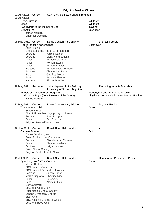| 01 Apr 2011<br>02 Apr 2011<br>Lux Aurumque                                                                             | Concert                                                                                                                                                                                                                                                |                                                                                                                                                                                                                                                                                      | Saint Bartholomew's Church, Brighton<br>Whitacre |                                                                                    |  |
|------------------------------------------------------------------------------------------------------------------------|--------------------------------------------------------------------------------------------------------------------------------------------------------------------------------------------------------------------------------------------------------|--------------------------------------------------------------------------------------------------------------------------------------------------------------------------------------------------------------------------------------------------------------------------------------|--------------------------------------------------|------------------------------------------------------------------------------------|--|
| Sleep                                                                                                                  | Two Hymns to the Mother of God                                                                                                                                                                                                                         |                                                                                                                                                                                                                                                                                      | Whitacre<br>Tavener                              |                                                                                    |  |
| Lux Aeterna                                                                                                            | James Morgan                                                                                                                                                                                                                                           |                                                                                                                                                                                                                                                                                      | Lauridsen                                        |                                                                                    |  |
|                                                                                                                        | <b>Chamber Domaine</b>                                                                                                                                                                                                                                 |                                                                                                                                                                                                                                                                                      |                                                  |                                                                                    |  |
| 08 May 2011 Concert                                                                                                    | Fidelio (concert performance)<br>Ádám Fischer                                                                                                                                                                                                          | Dome Concert Hall, Brighton                                                                                                                                                                                                                                                          | Beethoven                                        | <b>Brighton Festival</b>                                                           |  |
| Soprano<br>Soprano<br>Tenor<br>Tenor<br>Tenor<br>Baritone<br><b>Baritone</b><br><b>Bass</b><br><b>Bass</b><br>Narrator |                                                                                                                                                                                                                                                        | Orchestra of the Age of Enlightenment<br>Janice Watson<br>Elena Xanthoudakis<br>Anthony Osborne<br>Roman Sadnik<br><b>Andrew Staples</b><br><b>Andrew Foster-Williams</b><br><b>Christopher Parke</b><br><b>Geoffrey Moses</b><br><b>Brindley Sherratt</b><br><b>Simon Butteriss</b> |                                                  |                                                                                    |  |
| 10 May 2011 Recording                                                                                                  |                                                                                                                                                                                                                                                        | John Maynard Smith Building,<br>University of Sussex, Brighton                                                                                                                                                                                                                       |                                                  | Recording for Alfie Boe album                                                      |  |
|                                                                                                                        | James Morgan                                                                                                                                                                                                                                           | Wheels of a Dream (from Ragtime)<br>Music of the Night (from Phantom of the Opera)                                                                                                                                                                                                   |                                                  | Flaherty/Ahrens arr. Morgan/Pochin<br>Lloyd Webber/Hart/Stilgoe arr. Morgan/Pochin |  |
| 22 May 2011 Concert<br>There Was a Child<br>Soprano<br>Tenor                                                           | Simon Halsey                                                                                                                                                                                                                                           | Dome Concert Hall, Brighton<br>City of Birmingham Symphony Orchestra<br>Joan Rodgers<br>Ben Johnson                                                                                                                                                                                  | Dove                                             | <b>Brighton Festival</b>                                                           |  |
|                                                                                                                        | <b>Brighton Festival Youth Choir</b>                                                                                                                                                                                                                   | 26 Jun 2011 Concert Royal Albert Hall, London                                                                                                                                                                                                                                        |                                                  |                                                                                    |  |
| Carmina Burana<br>Soprano                                                                                              | <b>Owain Arwel Hughes</b>                                                                                                                                                                                                                              | Royal Philharmonic Orchestra<br>Elin Manahan Thomas                                                                                                                                                                                                                                  | Orff                                             |                                                                                    |  |
| Tenor<br><b>Baritone</b>                                                                                               | <b>Royal Choral Society</b><br><b>Brighton Festival Youth Choir</b>                                                                                                                                                                                    | Stephen Wallace<br>Leigh Melrose                                                                                                                                                                                                                                                     |                                                  |                                                                                    |  |
| 17 Jul 2011<br>Soprano<br>Tenor<br><b>Bass</b>                                                                         | Concert<br>Symphony No. 1 (The Gothic)<br><b>Martyn Brabbins</b><br><b>BBC Concert Orchestra</b><br>Côr Caerdydd<br>Southend Girls' Choir<br><b>Huddersfield Choral Society</b><br>London Symphony Chorus<br><b>Bach Choir</b><br>Southend Boys' Choir | Royal Albert Hall, London<br><b>BBC National Orchestra of Wales</b><br><b>Susan Gritton</b><br>Mezzo-Soprano Christine Rice<br>Peter Auty<br><b>Alastair Miles</b><br><b>BBC National Chorus of Wales</b>                                                                            | <b>Brian</b>                                     | Henry Wood Promenade Concerts                                                      |  |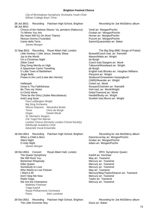City of Birmingham Symphony Orchestra Youth Choir Eltham College Boys' Choir

**28 Jul 2011** Chorus of the Hebrew Slaves: Va, pensiero (Nabucco) Verdi arr. Morgan/Pochin To Where You Are Groban arr. Morgan/Pochin<br>My Heart Will Go On (from Titanic) Communisty Channel Horner arr. Morgan/Pochin My Heart Will Go On (from Titanic) Nessun Dorma (Turandot)<br>
Canto della Terra<br>
Canto della Terra James Morgan **11 Sep 2011** Recording Royal Albert Hall, London The Big Sing (BBC Songs of Praise) Little Donkey / Little Jesus, Sweetly Sleep Boswell/Czech trad. arr. Ramskill Joy to the World Mason/Watts arr. Wright On a Christmas Night de Burgh Zither Carol Czech trad./Sargent arr. Monk Ding Dong Merrily on High Tabourot/Woodward arr. Wright A Spaceman Came Travelling de Burgh O Little Town of Bethlehem English trad./Brooks arr. Vaughan Williams Jingle Bells<br>Praise to the Lord (Lobe den Herren) entitled and Strate Stratsund Ernewerten Gesangbuch Praise to the Lord (Lobe den Herren) Hallelujah Cohen arr. Monk<br>Great Is Thy Faithfulness Cohen arr. Monk Great Is Thy Faithfulness<br>
Be Thou my Vision<br>
Be Thou my Vision<br>
Runyan/Chisholm arr. Monk/Wright In Christ Alone Getty/Townend arr. Monk Thine be the Glory (Judas Maccabaeus) Thine be the Glory (Judas Maccabaeus) Handel/Budry arr. Wright Auld Lang Syne Superson Scottish trad./Burns arr. Wright Paul Leddington Wright Big Sing Orchestra Mezzo-Soprano Alexandra Burke Tenor Chris de Burgh Organ Daniel Moult St. Michael's Singers Côr Ysgol Pen Barras London Chorus (formerly London Choral Society) Edinburgh Academy Choir Adventist Vocal Ensemble 16 Oct 2011 Recording Patcham High School, Brighton Recording for Joe McElderry album When a Child is Born Dammicco/Jay arr. Morgan/Pochin Silent Night Grüber arr. Morgan/Pochin O Holy Night **Adam arr. Morgan/Pochin** James Morgan **18 Oct 2011** Concert Royal Albert Hall, London RPO: Symphonic Queen The Queen Symphony Kashif arr. Kershaw We Will Rock You Bohemian Rhapsody **Mercury array array array array array array array array array array array array array array array array array array array array array array array array array array array array array array array array arr** Killer Queen **Mercury arrangement of the Contract Act of the Mercury arr. Townend** Somebody to Love **Mercury array array array array array array array array array array array array array array array array array array array array array array array array array array array array array array array array arra** Who Wants to Live Forever May arr. Townend I Want it All **Mercury/May/Taylor/Deacon arr. Townend** Don't Stop Me Now **Mercury arr. Townend** Radio Gaga **Taylor** arr. Townend We Are the Champions Mercury arr. Townend Matthew Freeman Tolga Kashif Royal Philharmonic Orchestra Piano John Lenehan

25 Jul 2011 Recording Patcham High School, Brighton Recording for Joe McElderry album

Sartori/Quarantotto arr. Baker

(1665)/Neander arr. Wright Irish trad. arr. Monk/Wright

20 Oct 2011 Recording Patcham High School, Brighton Recording for Joe McElderry album The Little Drummer Boy **Davis arr. Baker**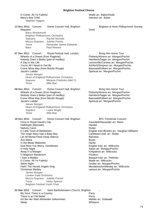O Come, All Ye Faithful Wade arr. Baker/Dodd Mary's Boy Child **Hairston arr. Baker** Hairston arr. Baker Stephen Higgins

**13 Nov 2011** Concert Dome Concert Hall, Brighton **Brighton & Hove Philharmonic Society** Requiem Verdi Barry Wordsworth Brighton Philharmonic Orchestra Soprano Rachel Nicholls Mezzo-Soprano Juliette Pochin<br>Tenor Alexander Jam Alexander James Edwards Bass Paul Reeves 07 Dec 2011 Concert Royal Festival Hall, London Bring Him Home Tour Wheels of a Dream (from Ragtime) Flaherty/Ahrens arr. Morgan/Pochin<br>Nobody Does it Better (part of medley) Finally Hamlisch/Sager arr. Morgan/Pochin Nobody Does it Better (part of medley) A Day in the Life **Lennon** Lennon/McCartney arr. Morgan/Pochin You're All I Need to Get By Ashford/Simpson arr. Morgan/Pochin Come What May (from Moulin Rouge) Baerwald/Gilbert arr. Morgan/Pochin Jacob's Ladder **Spiritual arr. Morgan/Pochin** James Morgan Heart of England Philharmonic Orchestra Soprano Melanie Chisholm (Mel C) Tenor Alfie Boe **08 Dec 2011** Concert Dome Concert Hall, Brighton Bring Him Home Tour Wheels of a Dream (from Ragtime) Flaherty/Ahrens arr. Morgan/Pochin Nobody Does it Better (part of medley) <br>Come What May (from Moulin Rouge) Baerwald/Gilbert arr. Morgan/Pochin Come What May (from Moulin Rouge) Jacob's Ladder Spiritual arr. Morgan/Pochin James Morgan Heart of England Philharmonic Orchestra Soprano Laura Wright Tenor Alfie Boe 18 Dec 2011 Concert Dome Concert Hall, Brighton BFC Christmas Concert Once in Royal David's City **Gauntlett**/Alexander arr. Mann Hallelujah (Messiah) Handel Handel Nativity Carol **Nativity** Carol **Rutter** O Little Town of Bethlehem **English trad./Brooks arr. Vaughan Williams**<br>The Virgin Mary had a Baby Boy **English Caribbean trad.** arr. Rutter The Virgin Mary had a Baby Boy Let All Mortal Flesh Keep Silence **Bairstow** Ave Maria Busto In the Bleak Midwinter<br>
God Rest You Merry, Gentlemen<br>
God Rest You Merry, Gentlemen<br>
God Rest You Merry, Gentlemen God Rest You Merry, Gentlemen O Holy Night Communication of the Adam arr. Morgan/Pochin<br>
Adam arr. Morgan/Pochin<br>
Away in a Manger Communication of the Adam Array in a Manger Kirkpatrick arr. Willcocks O Magnum Mysterium **Poulence I Saw a Maiden Basque trad. arr. Pettman** O Come, All Ye Faithful Wade arr. Willcocks Silent Night Grüber arr. Morgan/Pochin Hark! The Herald Angels Sing Mendelssohn/Wesley arr. Willcocks Christmas Medley various arr. Morgan/Pochin James Morgan London Gala Orchestra Mezzo-Soprano Juliette Pochin Tenor Nicky Spence Brighton Festival Youth Choir 02 Mar 2012 Concert Saint Bartholomew's Church, Brighton My Soul, There is a Country **Parry Parry** Parry

There is an Old Belief Parry Ich Bin der Welt Abhanden Gekommen Sleep Whitacre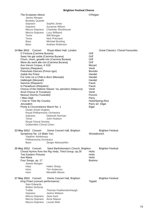The Ecstasies Above **O'Regan** James Morgan Brodsky Quartet Soprano Sophie Jones Soprano Suzanne Wilson Mezzo-Soprano Charlotte Shorthouse Mezzo-Soprano Lucy Williams Tenor Will Morgan<br>Tenor Nick Pritcha Nick Pritchard Bass Michael Bunting Bass Andrew Robinson **14 Mar 2012** Concert Royal Albert Hall, London Great Classics: Choral Favourites O Fortuna (Carmina Burana) **Orff** Swaz hie gat umbe (Carmina Burana) Orff Chum, chum, geselle min (Carmina Burana) Orff Were diu werlt alle min (Carmina Burana) (Contract of the Orff Ave Verum Corpus, K 618 Mozart Sanctus (Requiem) Verdi Polovtsian Dances (Prince Igor) Borodin Zadok the Priest **Handel** For Unto Us a Child is Born (Messiah) Handel Hallelujah (Messiah) Handel Sanctus (Requiem) Fauré In Paradisum (Requiem) Fauré Chorus of the Hebrew Slaves: Va, pensiero (Nabucco) Verdi<br>Anvil Chorus (Il Trovatore) Verdi Anvil Chorus (Il Trovatore) Nessun Dorma (Turandot) **Puccini** Puccini I Was Glad<br>I Vow to Thee My Country **Actual Control Control Control** Parry Holst/Spring-Rice I Vow to Thee My Country Jerusalem **Parry arr.** Elgar Pomp & Circumstance March No. 1 Elgar Owain Arwel Hughes Royal Philharmonic Orchestra Soprano Deborah Norman Tenor John Hudson Royal Choral Society Goldsmiths Choral Union **23 May 2012** Concert Dome Concert Hall, Brighton **Brighton Festival** Symphony No. 13 (Babi Yar) Shostakovich Vladimir Ashkenazy Philharmonia Orchestra Bass Sergei Aleksashkin **25 May 2012** Concert Saint Bartholomew's Church, Brighton Brighton Festival Choral Hymns from the Rig Veda, Third Group, op.26 Holst Two Eastern Pictures North States (North States 1995)<br>Ave Maria Holst Ave Maria Four Songs, op. 17 Brahms James Morgan Harp Helen Sharp Horn **Tim Anderson** Horn Meredith Moore 27 May 2012 Concert Dome Concert Hall, Brighton **Brighton Festival** King Priam (concert performance) Tippett Sian Edwards Britten Sinfonia Treble Thomas Featherstonhaugh Soprano Janice Watson

Mezzo-Soprano Jane Irwin Mezzo-Soprano Anne Mason Mezzo-Soprano Louise Mott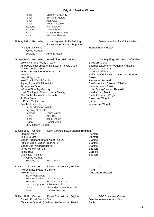| Tenor<br>Tenor<br>Tenor<br>Tenor<br>Baritone<br><b>Baritone</b><br><b>Bass</b><br><b>Bass</b>                                        |                                                                                                                                                                                                                                                                                                                    | Stephen Chaundy<br><b>Benjamin Hulett</b><br>Alan Oke<br><b>Robin Tritschler</b><br>Ivan Ludlow<br><b>Mark Stone</b><br><b>Graeme Broadbent</b><br><b>Brindley Sherratt</b>                                                                              |                                                                                                                                                                                                                                                                                                                                                                                                                                      |
|--------------------------------------------------------------------------------------------------------------------------------------|--------------------------------------------------------------------------------------------------------------------------------------------------------------------------------------------------------------------------------------------------------------------------------------------------------------------|----------------------------------------------------------------------------------------------------------------------------------------------------------------------------------------------------------------------------------------------------------|--------------------------------------------------------------------------------------------------------------------------------------------------------------------------------------------------------------------------------------------------------------------------------------------------------------------------------------------------------------------------------------------------------------------------------------|
| 29 May 2012                                                                                                                          | Recording                                                                                                                                                                                                                                                                                                          | John Maynard Smith Building,<br>University of Sussex, Brighton                                                                                                                                                                                           | Demo recording for Military Wives                                                                                                                                                                                                                                                                                                                                                                                                    |
| Soprano                                                                                                                              | The Journey Home<br>James Morgan                                                                                                                                                                                                                                                                                   | Antonia Hyatt                                                                                                                                                                                                                                            | Morgan/Pochin/Black                                                                                                                                                                                                                                                                                                                                                                                                                  |
| Angels<br>Holy, Holy, Holy<br>Stronger As One<br>If I Can Dream<br>Soprano<br>Tenor<br>Tenor<br>Organ                                | Crown Him With Many Crowns<br>To God be the Glory<br>Now Thank We All Our God<br>Joyful, Joyful We Adore Him<br>I Vow to Thee My Country<br>The Battle Hymn of the Republic<br>O Praise Ye the Lord<br><b>British Isles Medley</b><br>Paul Leddington Wright<br><b>Big Sing Orchestra</b><br>St. Michael's Singers | 09 Sep 2012 Recording Royal Albert Hall, London<br>All People That on Earth Do Dwell (The Old 100th)<br>When I Survey the Wondrous Cross<br>Lord, The Light of Your Love Is Shining<br>Laura Wright<br>Alfie Boe<br>Jaz Ellington<br><b>Daniel Moult</b> | The Big Sing (BBC Songs of Praise)<br>Elvey arr. Monk<br>Bourgeois/Kethe arr. Vaughan Williams<br>Doane arr. Ramskill<br>Watts arr. Ellerby<br>Hefferman/Williams/Chambers arr. Burton<br><b>Dykes</b><br>Rinkart arr. Ramskill<br>Beethoven/van Dyke arr. Ellerby<br>Hartshorne arr. Baker<br>Holst/Spring-Rice arr. Ramskill<br>Kendrick arr. Monk<br>Steffe/Howe arr. Wright<br>Brown arr. Wright<br>Parry<br>various arr. Wright |
| 22 Sep 2012 Concert<br><b>Eternal Father</b><br>The Blue Bird<br><b>Totus Tuus</b><br>Magnificat in B flat<br>Soprano<br>21 Oct 2012 | Ruf zur Maria (Marienlieder no. 5)<br>Marias Lob (Marienlieder no. 7)<br>Three Motets, Op. 38<br>James Morgan                                                                                                                                                                                                      | Saint Bartholomew's Church, Brighton<br>Marias Kirchgang (Marienlieder no. 2)<br>Sue Clough                                                                                                                                                              | Stanford<br>Stanford<br><b>Brahms</b><br><b>Brahms</b><br><b>Brahms</b><br>Stanford<br>Górecki<br>Stanford                                                                                                                                                                                                                                                                                                                           |
| Rule, Britannia!<br>Soprano<br>Tenor<br>Bass                                                                                         | Concert<br>Nelson Mass (Mass in D Minor)<br>Barry Wordsworth                                                                                                                                                                                                                                                       | Dome Concert Hall, Brighton<br><b>Brighton Philharmonic Orchestra</b><br>Elizabeth Donovan<br>Mezzo-Soprano Juliette Pochin<br>Alexander James Edwards<br>Michael George                                                                                 | Haydn<br>Arne arr. Wordsworth                                                                                                                                                                                                                                                                                                                                                                                                        |
| 08 Dec 2012 Concert                                                                                                                  | Once in Royal David's City                                                                                                                                                                                                                                                                                         | Dome Concert Hall, Brighton<br>Christmas Oratorio (Weihnachts-Oratorium) Part 1                                                                                                                                                                          | <b>BFC Christmas Concert</b><br>Gauntlett/Alexander arr. Mann<br><b>Bach</b>                                                                                                                                                                                                                                                                                                                                                         |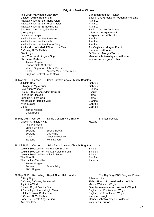The Virgin Mary had a Baby Boy **Caribbean trad.** arr. Rutter O Little Town of Bethlehem **English trad./Brooks arr. Vaughan Williams** Navidad Nuestra - La Anunciación **Ramirez** Ramirez Navidad Nuestra - La Peregrinación **Ramirez** Ramirez Navidad Nuestra - El Nacimiento **Ramirez** Ramirez God Rest You Merry, Gentlemen **English traders** English trad. arr. Willcocks O Holy Night Adam arr. Morgan/Pochin Away in a Manger Kirkpatrick arr. Willcocks<br>Navidad Nuestra - Los Pastores Manuel Ramirez Navidad Nuestra - Los Pastores Navidad Nuestra - La Huida Ramirez Navidad Nuestra - Los Reyes Magos<br>
It's the Most Wonderful Time of the Year **Example 20 Set Altitude Constructs**Rola/Wyle arr. Morgan/Pochin It's the Most Wonderful Time of the Year Pola/Wyle arr. Morganism Pola/Wyle arr. Morganism C Come, All Ye Faithful O Come, All Ye Faithful Silent Night Grüber arr. Morgan/Pochin Hark! The Herald Angels Sing Mendelssohn/Wesley arr. Willcocks Christmas Medley various arr. Morgan/Pochin James Morgan London Gala Orchestra Mezzo-Soprano Juliette Pochin Tenor Andrew MacKenzie-Wicks Brighton Festival Youth Choir 02 Mar 2013 Concert Saint Bartholomew's Church, Brighton Jubilate Deo Gabrieli O Magnum Mysterium **Gabrieli** Gabrieli Revelation Window Hughes Psalm 100 (Jauchzet dem Herren) Faire is the Heaven **Harris** Harris Bring us, O Lord God Harris Wo ist ein so Herrlich Volk Brahms Kyrie Eleison Gabrieli Gloria Gabrieli James Morgan Onyx Brass **26 May 2013** Concert Dome Concert Hall, Brighton **Brighton Festival** Mass in C minor, K 427 Mozart Thierry Fischer Britten Sinfonia Soprano Sophie Bevan Soprano Lisa Milne Tenor Timothy Robinson Baritone Henk Neven 20 Jul 2013 Concert Saint Bartholomew's Church, Brighton Lauluja Sekaköörille - Me nuoriso Suomen Sibelius<br>Lauluja Sekaköörille - Montapa elon merellä Sibelius Lauluja Sekaköörille - Montapa elon merellä Lauluja Sekaköörille - Oi kallis Suomi Suomi Sibelius<br>The Blue Bird The Blue Bird The Vanity of Vanities **Bantock** Bantock James Morgan Soprano Emma Tring BBC Singers **08 Sep 2013** Recording Royal Albert Hall, London The Big Sing (BBC Songs of Praise) O Holy Night **Adam arr.** Arch O Come, O Come, Emmanuel 15th c. French Processional arr. Wright Joy to the World Mason/Watts arr. Wright Once in Royal David's City Gauntlett/Alexander arr. Willcocks/Wright It Came Upon the Midnight Clear **English trad./Sullivan arr.** Wright O Little Town of Bethlehem **English trad./Brooks arr. Wright**<br>
O Come. All Ye Faithful **English trad./Brooks arr.** Wright O Come, All Ye Faithful Hark! The Herald Angels Sing Mendelssohn/Wesley arr. Willcocks And Can It Be Wesley arr. Burton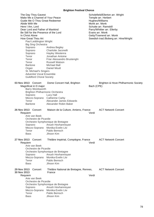| The Day Thou Gavest<br>Make Me a Channel of Your Peace<br>Guide Me O Thou Great Redeemer<br>Abide With Me<br>Here I Am, Lord<br>Dear Lord and Father of Mankind<br>Be Still for the Presence of the Lord<br>In Christ Alone<br>How Great Thou Art<br>Paul Leddington Wright |                                                                                                                                                                              | Scholefield/Ellerton arr. Wright<br>Temple arr. Herbert<br>Hughes/Williams<br>Monk arr. Monk<br>Schutte arr. Ramskill<br>Parry/Whittier arr. Ellerby<br>Evans arr. Monk<br>Getty/Townend arr. Monk<br>Swedish trad./Boberg arr. Hine/Wright |  |  |
|-----------------------------------------------------------------------------------------------------------------------------------------------------------------------------------------------------------------------------------------------------------------------------|------------------------------------------------------------------------------------------------------------------------------------------------------------------------------|---------------------------------------------------------------------------------------------------------------------------------------------------------------------------------------------------------------------------------------------|--|--|
| <b>Big Sing Orchestra</b><br>Soprano<br>Soprano<br>Soprano<br>Tenor<br>Tenor<br>Tenor<br><b>Baritone</b><br>Organ<br>St. Michael's Singers<br><b>Adventist Vocal Ensemble</b><br><b>Guildford Choral Society</b>                                                            | Andrea Begley<br>Charlotte Jaconelli<br>Hayley Westenra<br>Jonathan Antoine<br>Friar Alessandro Brustenghi<br><b>Russell Watson</b><br><b>Michael Ball</b><br>Daniel Moult   |                                                                                                                                                                                                                                             |  |  |
| 03 Nov 2013 Concert<br>Magnificat in D major<br>Barry Wordsworth<br><b>Brighton Philharmonic Orchestra</b><br>Soprano<br>Mezzo-Soprano Catherine Carby<br>Tenor<br>Baritone                                                                                                 | Dome Concert Hall, Brighton<br>Lucy Hall<br>Alexander James Edwards<br>Alexander Robin Baker                                                                                 | Brighton & Hove Philharmonic Society<br>Bach (CPE)                                                                                                                                                                                          |  |  |
| 26 Nov 2013 Concert<br>Requiem<br>Arie van Beek<br>Orchestre de Picardie<br>Soprano<br>Tenor<br><b>Bass</b>                                                                                                                                                                 | Maison de la Culture, Amiens, France<br>Orchestre Symphonique de Bretagne<br>Anush Hovhannisyan<br>Mezzo-Soprano Monika-Evelin Liiv<br>Pablo Bemsch<br>Jihoon Kim            | <b>ACT Network Concert</b><br>Verdi                                                                                                                                                                                                         |  |  |
| 27 Nov 2013 Concert<br>Requiem<br>Arie van Beek<br>Orchestre de Picardie<br>Soprano<br>Tenor<br><b>Bass</b>                                                                                                                                                                 | Théâtre Impérial, Compiègne, France<br>Orchestre Symphonique de Bretagne<br>Anush Hovhannisyan<br>Mezzo-Soprano Monika-Evelin Liiv<br>Pablo Bemsch<br>Jihoon Kim             | <b>ACT Network Concert</b><br>Verdi                                                                                                                                                                                                         |  |  |
| 29 Nov 2013 Concert<br>30 Nov 2013<br>Requiem<br>Arie van Beek<br>Orchestre de Picardie<br>Soprano<br>Tenor<br><b>Bass</b>                                                                                                                                                  | Théâtre National de Bretagne, Rennes,<br>France<br>Orchestre Symphonique de Bretagne<br>Anush Hovhannisyan<br>Mezzo-Soprano Monika-Evelin Liiv<br>Pablo Bemsch<br>Jihoon Kim | <b>ACT Network Concert</b><br>Verdi                                                                                                                                                                                                         |  |  |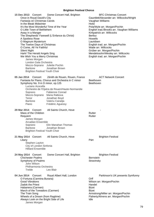| 15 Dec 2013 Concert<br>Dome Concert Hall, Brighton<br>Once in Royal David's City<br>Fantasia on Christmas Carols<br>In the Bleak Midwinter<br>It's the Most Wonderful Time of the Year<br>O Little Town of Bethlehem<br>Away in a Manger<br>The Shepherds' Farewell (L'Enfance du Christ)<br>A Spotless Rose<br>O Magnum Mysterium<br>The Twelve Days of Christmas<br>O Come, All Ye Faithful<br><b>Silent Night</b><br>Hark! The Herald Angels Sing<br>We Wish You a Merry Christmas<br>James Morgan<br>London Gala Orchestra<br>Mezzo-Soprano Juliette Pochin<br><b>Baritone</b><br>Jonathan Brown<br><b>Brighton Festival Youth Choir</b> | <b>BFC Christmas Concert</b><br>Gauntlett/Alexander arr. Willcocks/Wright<br>Vaughan Williams<br>Holst<br>Pola/Wyle arr. Morgan/Pochin<br>English trad./Brooks arr. Vaughan Williams<br>Kirkpatrick arr. Willcocks<br><b>Berlioz</b><br>Howells<br>Lauridsen<br>English trad. arr. Morgan/Pochin<br>Wade arr. Willcocks<br>Grüber arr. Morgan/Pochin<br>Mendelssohn/Wesley arr. Willcocks<br>English trad. arr. Morgan/Pochin |
|----------------------------------------------------------------------------------------------------------------------------------------------------------------------------------------------------------------------------------------------------------------------------------------------------------------------------------------------------------------------------------------------------------------------------------------------------------------------------------------------------------------------------------------------------------------------------------------------------------------------------------------------|-------------------------------------------------------------------------------------------------------------------------------------------------------------------------------------------------------------------------------------------------------------------------------------------------------------------------------------------------------------------------------------------------------------------------------|
| 05 Jan 2014<br>Concert<br>Zénith de Rouen, Rouen, France<br>Fantasia for Piano, Chorus and Orchestra in C minor<br>Symphony No. 9 in D minor, op.125<br>Luciano Acocella<br>Orchestre de l'Opéra de Rouen/Haute-Normandie<br><b>Fabienne Conrad</b><br>Soprano<br>Mezzo-Soprano Maria Ratkova<br>Tenor<br>Jonathan Boyd<br>Valeriu Caradja<br><b>Baritone</b><br>Piano<br>Frédéric Aguessy                                                                                                                                                                                                                                                   | <b>ACT Network Concert</b><br>Beethoven<br>Beethoven                                                                                                                                                                                                                                                                                                                                                                          |
| 29 Mar 2014 Concert<br>All Saints Church, Hove<br>Mass of the Children<br>Requiem<br>James Morgan<br><b>Arcadian Ensemble</b><br>Elin Manahan Thomas<br>Soprano<br>Baritone<br>Jonathan Brown<br><b>Brighton Festival Youth Choir</b>                                                                                                                                                                                                                                                                                                                                                                                                        | Rutter<br>Rutter                                                                                                                                                                                                                                                                                                                                                                                                              |
| 21 May 2014 Concert<br>All Saints Church, Hove<br>Litany<br>Stephen Layton<br>City of London Sinfonia<br><b>Hilliard Ensemble</b>                                                                                                                                                                                                                                                                                                                                                                                                                                                                                                            | <b>Brighton Festival</b><br>Pärt                                                                                                                                                                                                                                                                                                                                                                                              |
| 24 May 2014 Concert<br>Dome Concert Hall, Brighton<br><b>Chichester Psalms</b><br>Symphony of Psalms<br>John Wilson<br>Philharmonia Orchestra<br><b>Treble</b><br>Leo Blair                                                                                                                                                                                                                                                                                                                                                                                                                                                                  | <b>Brighton Festival</b><br><b>Bernstein</b><br>Stravinsky                                                                                                                                                                                                                                                                                                                                                                    |
| 04 Jun 2014 Concert<br>Royal Albert Hall, London<br>O Fortuna (Carmina Burana)<br><b>Good Vibrations</b><br>Zadok the Priest<br>Habanera (Carmen)<br>March of the Toreadors (Carmen)<br>The Train Song<br>Wheels of a Dream (from Ragtime)<br>Always Look on the Bright Side of Life<br>James Morgan                                                                                                                                                                                                                                                                                                                                         | Parkinson's UK presents Symfunny<br>Orff<br>Wilson arr. Morgan/Pochin<br>Handel<br><b>Bizet</b><br><b>Bizet</b><br>Armstrong/Miller arr. Morgan/Pochin<br>Flaherty/Ahrens arr. Morgan/Pochin<br>Idle                                                                                                                                                                                                                          |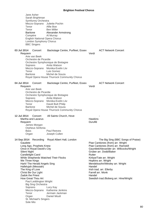Jane Asher Sarah Brightman Symfunny Orchestra Mezzo-Soprano Juliette Pochin Tenor Alfie Boe Tenor Ben Miller Baritone Alexander Armstrong Compère Al Murray English National Opera Chorus London Symphony Chorus BBC Singers **03 Jul 2014** Concert Backstage Centre, Purfleet, Essex ACT Network Concert Requiem Verdi Arie van Beek Orchestre de Picardie Orchestre Symphonique de Bretagne Soprano Anita Watson Mezzo-Soprano Monika-Evelin Liiv Tenor Luis Gomez Baritone Michel de Souza Royal Opera House Thurrock Community Chorus **04 Jul 2014** Concert Backstage Centre, Purfleet, Essex ACT Network Concert Requiem Verdi Arie van Beek Orchestre de Picardie Orchestre Symphonique de Bretagne Soprano Anita Watson Mezzo-Soprano Monika-Evelin Liiv Tenor David Butt Philip Baritone Michel de Souza Royal Opera House Thurrock Community Chorus 12 Jul 2014 Concert All Saints Church, Hove Martha and Lazarus **Hawkins** Hawkins Requiem **Duruflé** James Morgan Orpheus Sinfonia Bass **Paul Reeves** Organ Joseph Cullen **14 Sep 2014** Recording Royal Albert Hall, London The Big Sing (BBC Songs of Praise) Gaudete<br>
Long Ago, Prophets Knew<br>
Piae Cantiones (from) arr. Ramsk Long Ago, Prophets Knew **Piae Cantiones (from) arr. Ramskill**<br>Once in Royal David's City **Prophetic Control Control Control Control Control Control Control Control Control C** Once in Royal David's City Gauntlett/Alexander arr. Willcocks/Wright<br>Silent Night<br>Grüber arr. Dodd/Baker Grüber arr. Dodd/Baker Candlelight Carol **Rutter** Rutter While Shepherds Watched Their Flocks Kirbye/Tate arr. Wright We Three Kings **Hopkins array Hopkins array Hopkins** arr. Wright Hark! The Herald Angels Sing Mendelssohn/Wesley arr. Wright Hallelujah (Messiah) Handel The King of Love **Irish tradents** Irish trad. arr. Ellerby Christ Be Our Light Farrell arr. Monk Zadok the Priest **Handel** How Great Thou Art **Swedish trad./Boberg arr. Hine/Wright** Swedish trad./Boberg arr. Hine/Wright Paul Leddington Wright Big Sing Orchestra Soprano Lucy Kay Mezzo-Soprano Katherine Jenkins Tenor Jermain Jackman Organ Daniel Moult St. Michael's Singers

Sole Mio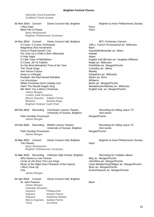Adventist Vocal Ensemble Guildford Choral Society

| 02 Nov 2014 Concert<br>I Was Glad<br><b>Blest Pair of Sirens</b>                                                                                                                                                                                                                                                                                     | Barry Wordsworth                                                   | Dome Concert Hall, Brighton<br><b>Brighton Philharmonic Orchestra</b>                                                                                                                                                                                                                    | Parry<br>Parry                                     | Brighton & Hove Philharmonic Society                                                                                                                                                                                                                                                                                                                                                             |
|------------------------------------------------------------------------------------------------------------------------------------------------------------------------------------------------------------------------------------------------------------------------------------------------------------------------------------------------------|--------------------------------------------------------------------|------------------------------------------------------------------------------------------------------------------------------------------------------------------------------------------------------------------------------------------------------------------------------------------|----------------------------------------------------|--------------------------------------------------------------------------------------------------------------------------------------------------------------------------------------------------------------------------------------------------------------------------------------------------------------------------------------------------------------------------------------------------|
| 14 Dec 2014 Concert<br>O Come, O Come, Emmanuel<br>Magnificat (first movement)<br>Once in Royal David's City<br>O Holy Night<br>O Little Town of Bethlehem<br>O Come, All Ye Faithful<br>The Three Kings<br>Ave Verum Corpus<br>Away in a Manger<br>Lux Aurumque<br>Hark! The Herald Angels Sing<br>We Wish You a Merry Christmas<br><b>Baritone</b> | James Morgan<br>London Gala Orchestra                              | Dome Concert Hall, Brighton<br>For Unto Us a Child is Born (Messiah)<br>It's the Most Wonderful Time of the Year<br>Rudolph, the Red-Nosed Reindeer<br>White Christmas (from Holiday Inn)<br>Mezzo-Soprano Juliette Pochin<br><b>Andrew Rupp</b><br><b>Brighton Festival Youth Choir</b> | <b>Bach</b><br>Handel<br>Adam<br>Mawby<br>Whitacre | <b>BFC Christmas Concert</b><br>15th c. French Processional arr. Willcocks<br>Gauntlett/Alexander arr. Mann<br>English trad./Brooks arr. Vaughan Williams<br>Wade arr. Willcocks<br>Pola/Wyle arr. Morgan/Pochin<br>Cornelius arr. Atkins<br>Kirkpatrick arr. Willcocks<br>Marks arr. Elms<br>Berlin arr. Morgan/Pochin<br>Mendelssohn/Wesley arr. Willcocks<br>English trad. arr. Morgan/Pochin |
| 09 Feb 2015<br>Palm Sunday Procession                                                                                                                                                                                                                                                                                                                | Recording<br>James Morgan                                          | Chichester Lecture Theatre,<br>University of Sussex, Brighton                                                                                                                                                                                                                            |                                                    | Recording for Killing Jesus TV<br>mini-series<br>Morgan/Pochin                                                                                                                                                                                                                                                                                                                                   |
| 10 Feb 2015<br>Palm Sunday Procession                                                                                                                                                                                                                                                                                                                | Recording<br>James Morgan                                          | <b>BSMS Lecture Theatre,</b><br>University of Sussex, Brighton                                                                                                                                                                                                                           |                                                    | Recording for Killing Jesus TV<br>mini-series<br>Morgan/Pochin                                                                                                                                                                                                                                                                                                                                   |
| 22 Mar 2015<br>The Planets                                                                                                                                                                                                                                                                                                                           | Concert<br>Barry Wordsworth                                        | Dome Concert Hall, Brighton<br><b>Brighton Philharmonic Orchestra</b>                                                                                                                                                                                                                    | Holst                                              | Brighton & Hove Philharmonic Society                                                                                                                                                                                                                                                                                                                                                             |
| 31 Mar 2015<br>Who Wants to Live Forever<br>I Won't Give Up<br>One                                                                                                                                                                                                                                                                                   | James Morgan                                                       | Recording Patcham High School, Brighton<br>Circle of Life (from The Lion King)<br>Music of the Night (from Phantom of the Opera)                                                                                                                                                         |                                                    | Recording for Collabro album<br>May arr. Morgan/Pochin<br>John/Rice arr. Morgan/Pochin<br>Lloyd Webber/Hart/Stilgoe arr. Morgan/Pochin<br>Mraz arr. Morgan/Pochin<br>Evans/Hewson arr. Morgan/Pochin                                                                                                                                                                                             |
| 03 Apr 2015<br>St. John Passion<br>Soprano<br>Soprano<br>Soprano<br>Tenor                                                                                                                                                                                                                                                                            | Concert<br>James Morgan<br><b>Chamber Domaine</b><br>Mezzo-Soprano | Dome Concert Hall, Brighton<br>Philippa Bull<br><b>Sharon Flower</b><br>Katherine Manley<br>Juliette Pochin<br>Jon Brent                                                                                                                                                                 | Bach                                               |                                                                                                                                                                                                                                                                                                                                                                                                  |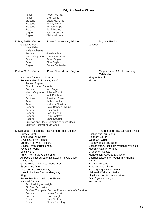| Tenor<br>Tenor<br><b>Baritone</b><br><b>Baritone</b><br><b>Baritone</b><br><b>Bass</b><br>Organ<br>Organ                                                                                                                                                                                                                                                                   | <b>Robert Murray</b><br>Mark Wilde<br>David McAuliffe<br><b>Ashley Riches</b><br>Andrew Rupp<br><b>Paul Reeves</b><br>Joseph Cullen<br><b>Claire Williams</b>                                                                                                                                                                                                                                     |                                                                                                                                                                                                                                                                                                                                                                                                                                                                                                          |
|----------------------------------------------------------------------------------------------------------------------------------------------------------------------------------------------------------------------------------------------------------------------------------------------------------------------------------------------------------------------------|---------------------------------------------------------------------------------------------------------------------------------------------------------------------------------------------------------------------------------------------------------------------------------------------------------------------------------------------------------------------------------------------------|----------------------------------------------------------------------------------------------------------------------------------------------------------------------------------------------------------------------------------------------------------------------------------------------------------------------------------------------------------------------------------------------------------------------------------------------------------------------------------------------------------|
| 23 May 2015 Concert<br><b>Glagolitic Mass</b><br>Mark Elder<br>Hallé Orchestra<br>Soprano<br>Mezzo-Soprano<br>Tenor<br><b>Bass</b><br>Organ                                                                                                                                                                                                                                | Dome Concert Hall, Brighton<br>Giselle Allen<br><b>Madeleine Shaw</b><br>Peter Berger<br>Clive Bayley<br>Darius Battiwalla                                                                                                                                                                                                                                                                        | <b>Brighton Festival</b><br>Janácek                                                                                                                                                                                                                                                                                                                                                                                                                                                                      |
| 11 Jun 2015<br>Concert                                                                                                                                                                                                                                                                                                                                                     | Dome Concert Hall, Brighton                                                                                                                                                                                                                                                                                                                                                                       | Magna Carta 800th Anniversary<br>Celebration                                                                                                                                                                                                                                                                                                                                                                                                                                                             |
| Invictus - Cantata for Liberty<br>James Morgan<br>Soprano<br>Mezzo-Soprano<br>Tenor<br><b>Baritone</b><br>Actor<br>Actor<br>Reader<br>Reader<br>Reader<br>Reader<br>Reader                                                                                                                                                                                                 | Requiem Mass in D minor, K 626<br>City of London Sinfonia<br>Keri Fuge<br>Juliette Pochin<br><b>Nick Pritchard</b><br>Jonathan Brown<br><b>Richard Attlee</b><br><b>Matthew Coulton</b><br>Dave Benson Phillips<br>Lucy Brett<br>Rae Dugerian<br>Tom Godfrey<br>Chris Steynor<br>Brighton and Hove Community Youth Choir<br><b>Brighton Festival Youth Choir</b>                                  | Morgan/Pochin<br>Mozart                                                                                                                                                                                                                                                                                                                                                                                                                                                                                  |
| 13 Sep 2015 Recording<br><b>Sussex Carol</b><br>In the Bleak Midwinter<br>O Come, All Ye Faithful<br>Do You Hear What I Hear?<br>O Little Town of Bethlehem<br>Joy to the World<br><b>Silent Night</b><br>I Was Glad<br>Stronger As One<br>I Vow to Thee My Country<br>Sing<br><b>National Anthem</b><br><b>Big Sing Orchestra</b><br>Soprano<br>Soprano<br>Tenor<br>Tenor | Royal Albert Hall, London<br>Hark! The Herald Angels Sing<br>All People That on Earth Do Dwell (The Old 100th)<br>Guide Me O Thou Great Redeemer<br>I Would Be True (Londonderry Air)<br>Praise, My Soul, the King of Heaven<br>Paul Leddington Wright<br>Fanfare Trumpets, Band of Prince of Wales's Division<br><b>Lesley Garrett</b><br>Laura Wright<br><b>Gary Chilton</b><br>Shaun Escoffery | The Big Sing (BBC Songs of Praise)<br>English trad. arr. Monk<br>Holst arr. Baker<br>Wade arr. Wright<br>Regney/Baker arr. Burton<br>English trad./Brooks arr. Vaughan Williams<br>Mason/Watts arr. Wright<br>Grüber arr. Coates<br>Mendelssohn/Wesley arr. Wright<br>Bourgeois/Kethe arr. Vaughan Williams<br>Parry<br>Hughes/Williams<br>Hartshorne arr. Baker<br>Holst/Spring-Rice arr. Monk<br>Irish trad./Walter arr. Baker<br>Lloyd Webber/Barlow arr. Monk<br>Goss/Lyte arr. Wright<br>anon./Arne |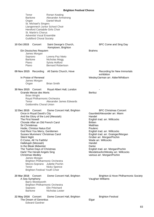| Tenor<br><b>Baritone</b><br>Organ<br>St. Michael's Singers<br><b>Hereford Cantabile Girls Choir</b><br>St. Martin's Chorus<br><b>Adventist Vocal Ensemble</b><br><b>Guildford Choral Society</b>                                                                                                                                                                                                                                                                                                                                      | <b>Ronan Keating</b><br>Alexander Armstrong<br><b>Daniel Moult</b><br>Llangennech Junior School Choir                         |                                                                                                                                                                                                                                                                                                                                                                                                      |
|---------------------------------------------------------------------------------------------------------------------------------------------------------------------------------------------------------------------------------------------------------------------------------------------------------------------------------------------------------------------------------------------------------------------------------------------------------------------------------------------------------------------------------------|-------------------------------------------------------------------------------------------------------------------------------|------------------------------------------------------------------------------------------------------------------------------------------------------------------------------------------------------------------------------------------------------------------------------------------------------------------------------------------------------------------------------------------------------|
| 10 Oct 2015<br>Concert                                                                                                                                                                                                                                                                                                                                                                                                                                                                                                                | Saint George's Church,                                                                                                        | BFC Come and Sing Day                                                                                                                                                                                                                                                                                                                                                                                |
| Ein Deutsches Requiem<br>James Morgan<br>Soprano<br><b>Baritone</b><br>Piano<br>Piano                                                                                                                                                                                                                                                                                                                                                                                                                                                 | Kemptown, Brighton<br>Lorena Paz Nieto<br>Nicholas Mogg<br>Sylvia Holford<br><b>Bernard Robertson</b>                         | <b>Brahms</b>                                                                                                                                                                                                                                                                                                                                                                                        |
| 09 Nov 2015 Recording                                                                                                                                                                                                                                                                                                                                                                                                                                                                                                                 | All Saints Church, Hove                                                                                                       | Recording for New Immortals                                                                                                                                                                                                                                                                                                                                                                          |
| In Praise of Renewal<br>James Morgan                                                                                                                                                                                                                                                                                                                                                                                                                                                                                                  |                                                                                                                               | exhibition<br>Wesley/Jarman arr. Alder/Whitburn                                                                                                                                                                                                                                                                                                                                                      |
| Organ                                                                                                                                                                                                                                                                                                                                                                                                                                                                                                                                 | <b>Brian Smith</b>                                                                                                            |                                                                                                                                                                                                                                                                                                                                                                                                      |
| 30 Nov 2015 Concert<br>Grande Messe des Morts<br><b>Brian Wright</b><br>Royal Philharmonic Orchestra<br>Tenor<br><b>Goldsmiths Choral Union</b>                                                                                                                                                                                                                                                                                                                                                                                       | Royal Albert Hall, London<br>Alexander James Edwards                                                                          | <b>Berlioz</b>                                                                                                                                                                                                                                                                                                                                                                                       |
| 12 Dec 2015 Concert<br>Once in Royal David's City<br>And the Glory of the Lord (Messiah)<br>The First Nowell<br>Chorale After an Old French Carol<br>Sir Christèmas<br>Hodie, Christus Natus Est!<br>God Rest You Merry, Gentlemen<br><b>Sussex Mummers' Christmas Carol</b><br>Silent Night<br>O Come, All Ye Faithful<br>Hallelujah (Messiah)<br>In the Bleak Midwinter<br>The Twelve Days of Christmas<br>Hark! The Herald Angels Sing<br><b>Christmas Medley</b><br>James Morgan<br>Tenor<br><b>Brighton Festival Youth Choir</b> | Dome Concert Hall, Brighton<br><b>Brighton Philharmonic Orchestra</b><br>Mezzo-Soprano Juliette Pochin<br><b>Nicky Spence</b> | <b>BFC Christmas Concert</b><br>Gauntlett/Alexander arr. Mann<br>Handel<br>English trad. arr. Willcocks<br><b>Britten</b><br>Matthias<br>Poulenc<br>English trad. arr. Willcocks<br>English trad. arr. Grainger/Morgan<br>Grüber arr. Morgan/Pochin<br>Wade arr. Willcocks<br>Handel<br>Darke<br>English trad. arr. Morgan/Pochin<br>Mendelssohn/Wesley arr. Willcocks<br>various arr. Morgan/Pochin |
| 20 Mar 2016<br>Concert<br>A Sea Symphony<br>Barry Wordsworth<br>Soprano<br><b>Baritone</b>                                                                                                                                                                                                                                                                                                                                                                                                                                            | Dome Concert Hall, Brighton<br><b>Brighton Philharmonic Orchestra</b><br>Elin Pritchard<br>Nicholas Lester                    | Brighton & Hove Philharmonic Society<br>Vaughan Williams                                                                                                                                                                                                                                                                                                                                             |
| 22 May 2016 Concert<br>The Dream of Gerontius<br><b>Edward Gardner</b>                                                                                                                                                                                                                                                                                                                                                                                                                                                                | Dome Concert Hall, Brighton                                                                                                   | <b>Brighton Festival</b><br>Elgar                                                                                                                                                                                                                                                                                                                                                                    |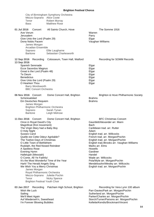| Mezzo-Soprano Alice Coote<br>Tenor<br><b>Bass</b>                                                                                                                                                                                                                                                                                                                                                                                                                                                                                                                                                                                          | City of Birmingham Symphony Orchestra<br><b>Robert Murray</b><br><b>Matthew Rose</b> |                                                                                                                                                                                                                                                                                                                                                                                                                                                       |
|--------------------------------------------------------------------------------------------------------------------------------------------------------------------------------------------------------------------------------------------------------------------------------------------------------------------------------------------------------------------------------------------------------------------------------------------------------------------------------------------------------------------------------------------------------------------------------------------------------------------------------------------|--------------------------------------------------------------------------------------|-------------------------------------------------------------------------------------------------------------------------------------------------------------------------------------------------------------------------------------------------------------------------------------------------------------------------------------------------------------------------------------------------------------------------------------------------------|
| 01 Jul 2016<br>Concert<br>Ave Verum<br>Jerusalem<br>Give Unto the Lord (Psalm 29)<br>Dona Nobis Pacem<br>James Morgan<br><b>Arcadian Ensemble</b><br>Soprano<br>Baritone                                                                                                                                                                                                                                                                                                                                                                                                                                                                   | All Saints Church, Hove<br>Ellie Laugharne<br>Sebastian Charlesworth                 | The Somme 1916<br>Warren<br>Parry<br>Elgar<br>Vaughan Williams                                                                                                                                                                                                                                                                                                                                                                                        |
| 12 Sep 2016<br>Recording<br>13 Sep 2016<br>Spanish Serenade<br><b>Ecce Sacerdos Magnus</b><br>Great is the Lord (Psalm 48)<br>Te Deum<br><b>Benedictus</b><br>Give Unto the Lord (Psalm 29)<br>O Hearken Thou<br>Barry Wordsworth<br><b>BBC Concert Orchestra</b>                                                                                                                                                                                                                                                                                                                                                                          | Colosseum, Town Hall, Watford                                                        | <b>Recording for SOMM Records</b><br>Elgar<br>Elgar<br>Elgar<br>Elgar<br>Elgar<br>Elgar<br>Elgar                                                                                                                                                                                                                                                                                                                                                      |
| 06 Nov 2016 Concert<br>Schicksalslied<br>Ein Deutsches Requiem<br>James Morgan<br><b>Brighton Philharmonic Orchestra</b><br>Soprano<br><b>Baritone</b>                                                                                                                                                                                                                                                                                                                                                                                                                                                                                     | Dome Concert Hall, Brighton<br>Sarah Tynan<br>Leigh Melrose                          | Brighton & Hove Philharmonic Society<br><b>Brahms</b><br><b>Brahms</b>                                                                                                                                                                                                                                                                                                                                                                                |
| 11 Dec 2016 Concert<br>Once in Royal David's City<br>Magnificat (first movement)<br>The Virgin Mary had a Baby Boy<br>O Holy Night<br><b>Sussex Carol</b><br>Quelle est Cette Odeur Agréable?<br>The Twelve Days of Christmas<br>O Little Town of Bethlehem<br>Rudolph, the Red-Nosed Reindeer<br>A Spotless Rose<br><b>Evening Hymn</b><br>Hallelujah (Messiah)<br>O Come, All Ye Faithful<br>It's the Most Wonderful Time of the Year<br>Hark! The Herald Angels Sing<br>We Wish You a Merry Christmas<br>James Morgan<br>Royal Philharmonic Orchestra<br>Mezzo-Soprano Juliette Pochin<br>Tenor<br><b>Brighton Festival Youth Choir</b> | Dome Concert Hall, Brighton<br><b>Nicky Spence</b>                                   | <b>BFC Christmas Concert</b><br>Gauntlett/Alexander arr. Mann<br>Bach<br>Caribbean trad. arr. Rutter<br>Adam<br>English trad. arr. Willcocks<br>French trad. arr. Morgan/Pochin<br>English trad. arr. Morgan/Pochin<br>English trad./Brooks arr. Vaughan Williams<br>Marks arr. Elms<br>Howells<br>Gardiner<br>Handel<br>Wade arr. Willcocks<br>Pola/Wyle arr. Morgan/Pochin<br>Mendelssohn/Wesley arr. Willcocks<br>English trad. arr. Morgan/Pochin |
| 03 Jan 2017 Recording<br>Wish Me Luck<br>Sailing<br>We'll Meet Again<br>Auf Wiederseh'n, Sweetheart                                                                                                                                                                                                                                                                                                                                                                                                                                                                                                                                        | Patcham High School, Brighton                                                        | Recording for Vera Lynn 100 album<br>Parr-Davies/Park arr. Morgan/Pochin<br>Sutherland arr. Morgan/Pochin<br>Parker/Charles arr. Morgan/Pochin<br>Storch/Turner/Parsons arr. Morgan/Pochin                                                                                                                                                                                                                                                            |

I'm Forever Blowing Bubbles **Kellette/Kendis/Brockman/Vincent** 

84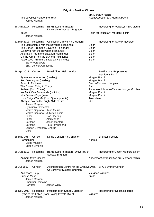| The Loveliest Night of the Year<br>James Morgan                 |                                                                                                                                                                                                                                                                                                               |                                                    | arr. Morgan/Pochin<br>Rosas/Webster arr. Morgan/Pochin |  |
|-----------------------------------------------------------------|---------------------------------------------------------------------------------------------------------------------------------------------------------------------------------------------------------------------------------------------------------------------------------------------------------------|----------------------------------------------------|--------------------------------------------------------|--|
| 10 Jan 2017<br>Recording                                        | <b>BSMS Lecture Theatre,</b><br>University of Sussex, Brighton                                                                                                                                                                                                                                                |                                                    | Recording for Vera Lynn 100 album                      |  |
| Yours<br>James Morgan                                           |                                                                                                                                                                                                                                                                                                               |                                                    | Roig/Rodriguez arr. Morgan/Pochin                      |  |
| 21 Mar 2017<br>Barry Wordsworth<br><b>BBC Concert Orchestra</b> | Recording Colosseum, Town Hall, Watford<br>The Marksmen (From the Bavarian Highlands)<br>The Dance (From the Bavarian Highlands)<br>Lullaby (From the Bavarian Highlands)<br>Aspiration (From the Bavarian Highlands)<br>On the Alm (From the Bavarian Highlands)<br>False Love (From the Bavarian Highlands) | Elgar<br>Elgar<br>Elgar<br>Elgar<br>Elgar<br>Elgar | <b>Recording for SOMM Records</b>                      |  |
| 19 Apr 2017<br>Concert                                          | Royal Albert Hall, London                                                                                                                                                                                                                                                                                     |                                                    | Parkinson's UK presents<br>Symfunny No. 2              |  |
| Symfunny Introduction (medley)<br>Rob Deering set (medley)      |                                                                                                                                                                                                                                                                                                               | Morgan/Pochin<br>Morgan/Pochin                     |                                                        |  |
| Funiculì, Funiculà<br>The Closest Thing to Crazy                |                                                                                                                                                                                                                                                                                                               | <b>Batt</b>                                        | Denza/Turco arr. Langley                               |  |
| Anthem (from Chess)                                             |                                                                                                                                                                                                                                                                                                               |                                                    | Andersson/Ulvaeus/Rice arr. Morgan/Pochin              |  |
| No Rack Can Torture Me (Invictus)<br>Mrs Brown's Boys (intro)   |                                                                                                                                                                                                                                                                                                               | Morgan/Pochin<br>Morgan/Pochin                     |                                                        |  |
|                                                                 | Love Reign O'er Me (from Quadrophenia)<br>Always Look on the Bright Side of Life                                                                                                                                                                                                                              | Townshend<br>Idle                                  |                                                        |  |
| James Morgan                                                    |                                                                                                                                                                                                                                                                                                               |                                                    |                                                        |  |
| Symfunny Orchestra                                              | Mezzo-Soprano Katie Melua                                                                                                                                                                                                                                                                                     |                                                    |                                                        |  |
| Tenor                                                           | Mezzo-Soprano Juliette Pochin<br>Rob Deering                                                                                                                                                                                                                                                                  |                                                    |                                                        |  |
| Tenor<br>Baritone                                               | Aled Jones<br>Jason Manford                                                                                                                                                                                                                                                                                   |                                                    |                                                        |  |
| Baritone                                                        | Pete Townshend                                                                                                                                                                                                                                                                                                |                                                    |                                                        |  |
| London Symphony Chorus<br>Coro                                  |                                                                                                                                                                                                                                                                                                               |                                                    |                                                        |  |
| 28 May 2017 Concert<br>Harmonium                                | Dome Concert Hall, Brighton                                                                                                                                                                                                                                                                                   | Adams                                              | <b>Brighton Festival</b>                               |  |
| Diego Masson<br><b>Britten Sinfonia</b>                         |                                                                                                                                                                                                                                                                                                               |                                                    |                                                        |  |
| 20 Jun 2017<br>Recording                                        | <b>BSMS Lecture Theatre, University of</b><br>Sussex, Brighton                                                                                                                                                                                                                                                |                                                    | Recording for Jason Manford album                      |  |
| Anthem (from Chess)<br>James Morgan                             |                                                                                                                                                                                                                                                                                                               |                                                    | Andersson/Ulvaeus/Rice arr. Morgan/Pochin              |  |
| 08 Jul 2017<br>Concert                                          | Attenborough Centre for the Creative Arts,<br>University of Sussex, Brighton                                                                                                                                                                                                                                  |                                                    | <b>BFC Summer Concert</b>                              |  |
| An Oxford Elegy<br><b>Sunrise Mass</b>                          |                                                                                                                                                                                                                                                                                                               | Gjeilo                                             | Vaughan Williams                                       |  |
| James Morgan                                                    |                                                                                                                                                                                                                                                                                                               |                                                    |                                                        |  |
| <b>Chamber Domaine</b><br>Narrator                              | James Wilby                                                                                                                                                                                                                                                                                                   |                                                    |                                                        |  |
| 28 Nov 2017 Recording<br>James Morgan                           | Patcham High School, Brighton<br>Hymn to the Fallen (from Saving Private Ryan)                                                                                                                                                                                                                                | Williams                                           | Recording for Decca Records                            |  |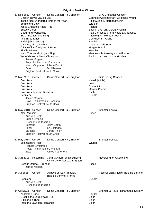**17 Dec 2017** Concert Dome Concert Hall, Brighton BFC Christmas Concert Once in Royal David's City Gauntlett/Alexander arr. Willcocks/Wright It's the Most Wonderful Time of the Year **Pola/Wyle arr. Morgan/Pochin**<br>Bethlehem Down Bethlehem Down Jesus Christ the Apple Tree<br>Sussex Carol Poston Russex Carol Sussex Carol **English trad. arr. Morgan/Pochin**<br>
Good King Wenceslas **Communist Communist Communist Communist Communist Communist Communist Communist Communist** Good King Wenceslas **Piae Cantiones (from)/Neale arr. Jacques**<br> **Piae Cantiones (from)/Neale arr. Jacques**<br>
(medley) arr. Morgan/Pochin (medley) arr. Morgan/Pochin The Three Kings Cornelius arr. Atkins<br>Halleluiah (Messiah) Cornelius arr. Atkins Hallelujah (Messiah) Handel O Come, All Ye Faithful<br>
O Little City of Brighton & Hove<br>
Morgan/Pochin O Little City of Brighton & Hove Sir Christèmas **Matthias** Matthias Hark! The Herald Angels Sing Mendelssohn/Wesley arr. Willcocks We Wish You a Merry Christmas **English trad.** arr. Morgan/Pochin James Morgan Royal Philharmonic Orchestra Mezzo-Soprano Juliette Pochin Bass Paul Reeves Brighton Festival Youth Choir **31 Mar 2018** Concert Dome Concert Hall, Brighton BFC Spring Concert Crucifixus Vivaldi (attrib.) Crucifixus Lotti Lotti Lotti Lotti Lotti Lotti Lotti Lotti Lotti Lotti Lotti Lotti Lotti Lotti Lotti Lotti Lotti Lotti Lotti Lotti Lotti Lotti Lotti Lotti Lotti Lotti Lotti Lotti Lotti Lotti Lotti Lotti Lotti Lotti Lotti L Crucifixus Crucifixus **Morgan/Pochin** Morgan/Pochin Crucifixus (Mass in B Minor) entitled and the Bach Bach<br>Requiem Requiem James Morgan Royal Philharmonic Orchestra Brighton Festival Youth Choir **12 May 2018** Concert Dome Concert Hall, Brighton **Brighton Festival** War Requiem **Britten** Arie van Beek Britten Sinfonia Orchestre de Picardie<br>Soprano Clai **Claire Booth** Tenor Ian Bostridge Baritone **Gerald Finley** Brighton Festival Youth Choir 27 May 2018 Concert Dome Concert Hall, Brighton **Brighton Festival** Belshazzar's Feast New York 1997 and the Walton Richard Armstrong Royal Philharmonic Orchestra Bass James Rutherford **12 Jun 2018** Recording John Maynard Smith Building, Recording for Classic FM University of Sussex, Brighton Nessun Dorma (Turandot) **Puccini** Puccini James Morgan 14 Jul 2018 Concert Abbaye de Saint-Riquier, Festival Saint-Riquier Baie de Somme Baie de Somme, France Requiem **Duruflé** Arie van Beek Orchestre de Picardie 14 Oct 2018 Concert Dome Concert Hall, Brighton **Brighton & Hove Philharmonic Society** Zadok the Priest<br>Great is the Lord (Psalm 48) example the Handel Handel Stream Handel Great is the Lord (Psalm 48) O Hearken Thou **Elgar** From the Bavarian Highlands **Elgar** Elgar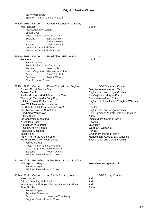# Barry Wordsworth Brighton Philharmonic Orchestra

| 14 Nov 2018 Concert<br><b>Coventry Cathedral, Coventry</b><br>War Requiem<br>Paul Leddington Wright<br>Simon Over<br>Royal Philharmonic Orchestra<br>Soprano<br>Ilona Domnich<br>Tenor<br>Gwilym Bowen<br><b>Baritone</b><br>Lawrence White<br><b>Coventry Cathedral Chorus</b><br><b>Coventry Cathedral Choristers</b>                                                                                                                                                                                                                                                                                                                                                                                                                                          | <b>Britten</b>                                                                                                                                                                                                                                                                                                                                                                                                                                                                                                          |
|------------------------------------------------------------------------------------------------------------------------------------------------------------------------------------------------------------------------------------------------------------------------------------------------------------------------------------------------------------------------------------------------------------------------------------------------------------------------------------------------------------------------------------------------------------------------------------------------------------------------------------------------------------------------------------------------------------------------------------------------------------------|-------------------------------------------------------------------------------------------------------------------------------------------------------------------------------------------------------------------------------------------------------------------------------------------------------------------------------------------------------------------------------------------------------------------------------------------------------------------------------------------------------------------------|
| 20 Nov 2018 Concert<br>Royal Albert Hall, London<br>Requiem<br>Jac van Steen<br>Royal Philharmonic Orchestra<br>Soprano<br>Helena Dix<br>Mezzo-Soprano Alessandra Volpe<br>Tenor<br>David Butt Philip<br><b>Baritone</b><br><b>Roland Wood</b><br>City of London Choir                                                                                                                                                                                                                                                                                                                                                                                                                                                                                           | Verdi                                                                                                                                                                                                                                                                                                                                                                                                                                                                                                                   |
| 09 Dec 2018 Concert<br>Dome Concert Hall, Brighton<br>Once in Royal David's City<br><b>Sussex Carol</b><br>It's the Most Wonderful Time of the Year<br>The Virgin Mary had a Baby Boy<br>O Little Town of Bethlehem<br>Now Well May We Mirthes Make<br>For Unto Us a Child is Born (Messiah)<br>The Twelve Days of Christmas<br>Good King Wenceslas<br>O Holy Night<br><b>Big Christmas Singalong</b><br>A Spotless Rose<br>O Magnum Mysterium<br>O Come, All Ye Faithful<br>Hallelujah (Messiah)<br><b>Silent Night</b><br>Hark! The Herald Angels Sing<br>We Wish You a Merry Christmas<br>James Morgan<br>Royal Philharmonic Orchestra<br>Mezzo-Soprano<br>Juliette Pochin<br><b>Baritone</b><br><b>Robert Davies</b><br><b>Brighton Festival Youth Choir</b> | <b>BFC Christmas Concert</b><br>Gauntlett/Alexander arr. Mann<br>English trad. arr. Morgan/Pochin<br>Pola/Wyle arr. Morgan/Pochin<br>Caribbean trad. arr. Rutter<br>English trad./Brooks arr. Vaughan Williams<br>Jallo<br>Handel<br>English trad. arr. Morgan/Pochin<br>Piae Cantiones (from)/Neale arr. Jacques<br>Adam<br>(medley) arr. Morgan/Pochin<br>Howells<br>Lauridsen<br>Wade arr. Willcocks<br>Handel<br>Grüber arr. Morgan/Pochin<br>Mendelssohn/Wesley arr. Willcocks<br>English trad. arr. Morgan/Pochin |
| 12 Jan 2019 Recording<br>Abbey Road Studios, London<br>The Age of Anxiety<br>James Morgan<br><b>Brighton Festival Youth Choir</b>                                                                                                                                                                                                                                                                                                                                                                                                                                                                                                                                                                                                                                | Townshend/Morgan/Pochin                                                                                                                                                                                                                                                                                                                                                                                                                                                                                                 |
| 23 Mar 2019<br>Concert<br>All Saints Church, Hove<br>If Ye Love Me<br>O Lord, Give Thy Holy Spirit<br>Why Fum'th in Sight (Archbishop Parker's Psalter)<br><b>Saint Nicolas</b><br>James Morgan<br><b>Arcadian Ensemble</b><br>Tenor<br>Lawrence Thackeray<br><b>Brighton Festival Youth Choir</b>                                                                                                                                                                                                                                                                                                                                                                                                                                                               | <b>BFC Spring Concert</b><br>Tallis<br>Tallis<br><b>Tallis</b><br><b>Britten</b>                                                                                                                                                                                                                                                                                                                                                                                                                                        |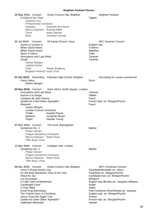| 26 May 2019 Concert<br>A Child of Our Time<br>Soprano<br>Tenor<br><b>Bass</b>                                 | Roderick Cox<br>Philharmonia Orchestra                                                                                                                                                                     | Dome Concert Hall, Brighton<br>Gweneth Ann Rand<br>Mezzo-Soprano Ronnita Miller<br><b>Noah Stewart</b><br>Jonathan Lemalu | <b>Tippett</b>                                                             | <b>Brighton Festival</b>                                                                                                                                                                                                                                                                             |
|---------------------------------------------------------------------------------------------------------------|------------------------------------------------------------------------------------------------------------------------------------------------------------------------------------------------------------|---------------------------------------------------------------------------------------------------------------------------|----------------------------------------------------------------------------|------------------------------------------------------------------------------------------------------------------------------------------------------------------------------------------------------------------------------------------------------------------------------------------------------|
| 20 Jul 2019<br>Sumer Is Icumen In<br>When David Heard<br>When David Heard<br>Spem In Alium<br>Svyati<br>Cello | Concert<br><b>Invocations and Last Word</b><br>James Morgan<br>Juliette Pochin<br><b>Brighton Festival Youth Choir</b>                                                                                     | All Saints Church, Hove<br>Adrian Bradbury                                                                                | English trad.<br><b>Tomkins</b><br>Weelkes<br>Tallis<br>Tavener<br>Tavener | <b>BFC Summer Concert</b>                                                                                                                                                                                                                                                                            |
| 01 Oct 2019<br><b>Ferox Natus</b>                                                                             | Recording<br>James Morgan                                                                                                                                                                                  | Patcham High School, Brighton                                                                                             | Dunn                                                                       | Recording for Loewe commercial                                                                                                                                                                                                                                                                       |
| 03 Nov 2019<br>Hymne à la Vierge<br>Requiem<br>Treble<br><b>Baritone</b><br>Organ                             | Concert<br><b>Invocations and Last Word</b><br>Cantique de Jean Racine<br>Quelle est Cette Odeur Agréable?<br>James Morgan<br>London Concert Orchestra                                                     | Saint John's Smith Square, London<br>Kayden Payne<br>Jonathan Brown<br>Alastair Young                                     | Tavener<br>Villette<br>Fauré<br>Fauré                                      | French trad. arr. Morgan/Pochin                                                                                                                                                                                                                                                                      |
| 07 Nov 2019<br>Symphony No. 3                                                                                 | Concert<br>Pietari Inkinen<br>Prague Symphony Orchestra<br>Mezzo-Soprano Ester Pavlů<br>Tiffin Boys' Choir                                                                                                 | The Anvil, Basingstoke                                                                                                    | Mahler                                                                     |                                                                                                                                                                                                                                                                                                      |
| 12 Nov 2019 Concert<br>Symphony No. 3                                                                         | Pietari Inkinen<br>Prague Symphony Orchestra<br>Mezzo-Soprano Ester Pavlů<br>Tiffin Boys' Choir                                                                                                            | Cadogan Hall, London                                                                                                      | Mahler                                                                     |                                                                                                                                                                                                                                                                                                      |
| 08 Dec 2019 Concert<br>Shout for Joy<br>Lux Aurumque<br><b>Candlelight Carol</b><br>O Holy Night              | Once in Royal David's City<br>O Little Town of Bethlehem<br>Good King Wenceslas<br>The Twelve Days of Christmas<br>Jesus Christ the Apple Tree<br>Quelle est Cette Odeur Agréable?<br>Hallelujah (Messiah) | Dome Concert Hall, Brighton<br>It's the Most Wonderful Time of the Year                                                   | Whitacre<br>Rutter<br>Adam<br>Poston<br>Handel                             | <b>BFC Christmas Concert</b><br>Gauntlett/Alexander arr. Mann<br>Pola/Wyle arr. Morgan/Pochin<br>Caribbean trad. arr. Morgan/Pochin<br>English trad./Brooks arr. Vaughan Williams<br>Piae Cantiones (from)/Neale arr. Jacques<br>English trad. arr. Morgan/Pochin<br>French trad. arr. Morgan/Pochin |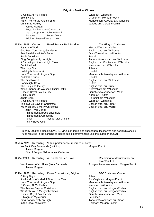O Come, All Ye Faithful Wade arr. Willcocks Silent Night Grüber arr. Morgan/Pochin Hark! The Herald Angels Sing **Mendelssohn/Wesley arr. Willcocks**<br>Christmas Medley Christmas Medley arrests of the Mendelssohn/Mesley arr. Morgan/Pochin various arr. Morgan/Pochin James Morgan Royal Philharmonic Orchestra Mezzo-Soprano Juliette Pochin Baritone Robert Davies Brighton Festival Youth Choir **15 Dec 2019** Concert Royal Festival Hall, London The Glory of Christmas Joy to the World<br>
God Rest You Merry, Gentlemen<br>
God Rest You Merry, Gentlemen<br>
Mason/Watts arr. Willcocks God Rest You Merry, Gentlemen English trad. arr. Willcocks<br>See Amid the Winter's Snow See Amid the Willcocks See Amid the Winter's Snow Panis Angelicus **Franck** Ding Dong Merrily on High Tabourot/Woodward arr. Willcocks It Came Upon the Midnight Clear **English trade.** English trad./Sullivan arr. Willcocks Deck the Hall **Deck the Hall** Welsh trad. arr. Willcocks The Holy City **Adams** Hallelujah (Messiah) Handel Hark! The Herald Angels Sing Mendelssohn/Wesley arr. Willcocks Zadok the Priest **Handel** The First Nowell **English traders are English traders and English traders arr. Willcocks** Candlelight Carol Candlelight Carol Candlelight Carol Candlelight Carolis Control Candlelight Carolis Control C<br>
The Holly and the Ivy Candlelight Candlelight Candlelight Candlelight Candlelight Candlelight Candlelight Can English trad. arr. Rutter While Shepherds Watched Their Flocks<br>
Once in Royal David's City<br>
Gauntlett/Alexander arr. M Gauntlett/Alexander arr. Mann<br>Adam arr. Rutter O Holy Night Jingle Bells<br>
O Come, All Ye Faithful<br>
O Come, All Ye Faithful<br>
Pierpoint arr. Willcocks O Come, All Ye Faithful Wade arr. Willcocks The Twelve Days of Christmas We Wish You a Merry Christmas **English trad.** arr. Warrell John Pryce-Jones Philharmonia Brass Ensemble Philharmonia Orchestra Tenor **Trystan Llyr Griffiths** Trinity Boys' Choir

In early 2020 the global COVID-19 virus pandemic and subsequent lockdowns and social distancing rules resulted in the banning of indoor public performances until the summer of 2021

| 03 Jun 2020 Recording Virtual performance, recorded at home |
|-------------------------------------------------------------|
| Morgan/Pochin                                               |
|                                                             |
| Recording for documentary on<br>Liverpool FC                |
| Rodgers/Hammerstein arr. Morgan/Pochin                      |
| <b>BFC Christmas Concert</b>                                |
| Adam                                                        |
| Pola/Wyle arr. Morgan/Pochin                                |
| Mendelssohn/Wesley arr. Willcocks                           |
| Wade arr. Willcocks                                         |
| English trad. arr. Morgan/Pochin                            |
| English trad. arr. Morgan/Pochin                            |
| Gauntlett/Alexander arr. Mann                               |
| Lauridsen                                                   |
| Tabourot/Woodward arr. Wood                                 |
| Holst arr. Morgan/Pochin                                    |
|                                                             |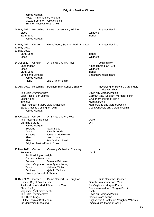| James Morgan<br>Royal Philharmonic Orchestra<br>Mezzo-Soprano Juliette Pochin<br><b>Brighton Festival Youth Choir</b>                                                                                                                                         |                                                                                                                          |                                                                                                                                                                                                                                                                                      |
|---------------------------------------------------------------------------------------------------------------------------------------------------------------------------------------------------------------------------------------------------------------|--------------------------------------------------------------------------------------------------------------------------|--------------------------------------------------------------------------------------------------------------------------------------------------------------------------------------------------------------------------------------------------------------------------------------|
| 04 May 2021<br>Recording<br>Sleep<br>Earth Song<br>James Morgan                                                                                                                                                                                               | Dome Concert Hall, Brighton                                                                                              | <b>Brighton Festival</b><br>Whitacre<br>Ticheli                                                                                                                                                                                                                                      |
| 21 May 2021<br>Concert<br>22 May 2021<br>23 May 2021<br>Earth Song<br>Sleep                                                                                                                                                                                   | Great Wood, Stanmer Park, Brighton                                                                                       | <b>Brighton Festival</b><br>Ticheli<br>Whitacre                                                                                                                                                                                                                                      |
| 24 Jul 2021<br>Concert<br>Shenandoah<br>Sleep<br>Earth Song<br>Songs and Sonnets<br>James Morgan<br>Piano                                                                                                                                                     | All Saints Church, Hove<br>Sue Graham Smith                                                                              | Unlockdown<br>American trad. arr. Erb<br>Whitacre<br>Ticheli<br>Shearing/Shakespeare                                                                                                                                                                                                 |
| 31 Aug 2021 Recording<br>The Little Drummer Boy<br>Leise Rieselt der Schnee<br><b>Silent Night</b><br>Interlude 4<br>Have Yourself a Merry Little Christmas<br>Santa Claus is Coming to Town<br>James Morgan                                                  | Patcham High School, Brighton                                                                                            | Recording for Howard Carpendale<br>Christmas album<br>Davis arr. Morgan/Pochin<br>German trad. / Ebel arr. Morgan/Pochin<br>Grüber arr. Morgan/Pochin<br>Morgan/Pochin<br>Martin/Blane arr. Morgan/Pochin<br>Coots/Gillespie arr. Morgan/Pochin                                      |
| 16 Oct 2021<br>Concert<br>The Passing of the Year<br>Carmina Burana<br>James Morgan<br>Soprano<br>Tenor<br><b>Baritone</b><br>Piano<br>Piano<br><b>Brighton Festival Youth Choir</b>                                                                          | All Saints Church, Hove<br>Paula Sides<br>Joseph Doody<br>Jonathan McGovern<br>Léon Charles<br>Sue Graham Smith          | Dove<br>Orff                                                                                                                                                                                                                                                                         |
| <b>13 Nov 2021</b> Concert<br>Requiem<br>Paul Leddington Wright<br>Orchestra Pro Anima<br>Soprano<br>Mezzo-Soprano<br>Tenor<br><b>Baritone</b><br><b>Coventry Cathedral Chorus</b>                                                                            | <b>Coventry Cathedral, Coventry</b><br>Susanna Fairbairn<br>Kate Symonds-Joy<br><b>Matthew Minter</b><br>Njabulo Madlala | Verdi                                                                                                                                                                                                                                                                                |
| 12 Dec 2021<br>Concert<br>Once in Royal David's City<br>It's the Most Wonderful Time of the Year<br>Shout for Joy<br>Magnificat (first movement)<br>The Little Drummer Boy<br>The Three Kings<br>O Little Town of Bethlehem<br><b>Big Christmas Singalong</b> | Dome Concert Hall, Brighton                                                                                              | <b>BFC Christmas Concert</b><br>Gauntlett/Alexander arr. Mann<br>Pola/Wyle arr. Morgan/Pochin<br>Caribbean trad. arr. Morgan/Pochin<br><b>Bach</b><br>Davis arr. Morgan/Pochin<br>Cornelius arr. Atkins<br>English trad./Brooks arr. Vaughan Williams<br>(medley) arr. Morgan/Pochin |